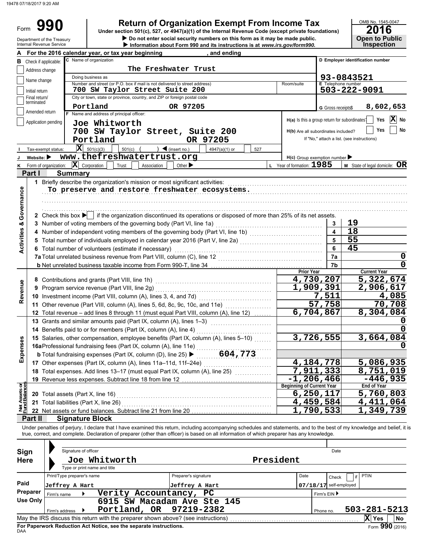Form

Department of the Treasury

# **990** Return of Organization Exempt From Income Tax <br>
Under section 501(c), 527, or 4947(a)(1) of the Internal Revenue Code (except private foundations) **2016**

 $\triangleright$  Do not enter social security numbers on this form as it may be made public. **Open to Public Under section 501(c), 527, or 4947(a)(1) of the Internal Revenue Code (except private foundations)**

|                                |                                                                         | Internal Revenue Service                                                                                                                        |                            |                                                                  |            |                                                                                   |                             |  | Information about Form 990 and its instructions is at www.irs.gov/form990.                                                                                                 |     |                  |                                               |                                  |                                            | <b>Inspection</b>                      |  |  |
|--------------------------------|-------------------------------------------------------------------------|-------------------------------------------------------------------------------------------------------------------------------------------------|----------------------------|------------------------------------------------------------------|------------|-----------------------------------------------------------------------------------|-----------------------------|--|----------------------------------------------------------------------------------------------------------------------------------------------------------------------------|-----|------------------|-----------------------------------------------|----------------------------------|--------------------------------------------|----------------------------------------|--|--|
|                                |                                                                         |                                                                                                                                                 |                            | For the 2016 calendar year, or tax year beginning                |            |                                                                                   |                             |  | and ending                                                                                                                                                                 |     |                  |                                               |                                  |                                            |                                        |  |  |
| в                              |                                                                         | Check if applicable:                                                                                                                            |                            | C Name of organization                                           |            |                                                                                   |                             |  |                                                                                                                                                                            |     |                  |                                               | D Employer identification number |                                            |                                        |  |  |
|                                | Address change                                                          |                                                                                                                                                 |                            |                                                                  |            | The Freshwater Trust                                                              |                             |  |                                                                                                                                                                            |     |                  |                                               |                                  |                                            |                                        |  |  |
|                                |                                                                         |                                                                                                                                                 |                            | Doing business as                                                |            |                                                                                   |                             |  |                                                                                                                                                                            |     |                  |                                               |                                  | 93-0843521                                 |                                        |  |  |
|                                | Name change                                                             |                                                                                                                                                 |                            |                                                                  |            | Number and street (or P.O. box if mail is not delivered to street address)        |                             |  |                                                                                                                                                                            |     |                  | Room/suite                                    | <b>E</b> Telephone number        |                                            |                                        |  |  |
|                                | Initial return                                                          |                                                                                                                                                 |                            |                                                                  |            | 700 SW Taylor Street Suite 200                                                    |                             |  |                                                                                                                                                                            |     |                  |                                               |                                  | 503-222-9091                               |                                        |  |  |
|                                | Final return/                                                           |                                                                                                                                                 |                            |                                                                  |            | City or town, state or province, country, and ZIP or foreign postal code          |                             |  |                                                                                                                                                                            |     |                  |                                               |                                  |                                            |                                        |  |  |
|                                | terminated                                                              |                                                                                                                                                 |                            | Portland                                                         |            |                                                                                   | OR 97205                    |  |                                                                                                                                                                            |     |                  |                                               | G Gross receipts\$               |                                            | 8,602,653                              |  |  |
|                                | Amended return                                                          |                                                                                                                                                 |                            | F Name and address of principal officer:                         |            |                                                                                   |                             |  |                                                                                                                                                                            |     |                  |                                               |                                  |                                            |                                        |  |  |
|                                |                                                                         | Application pending                                                                                                                             |                            | Joe Whitworth                                                    |            |                                                                                   |                             |  |                                                                                                                                                                            |     |                  | H(a) Is this a group return for subordinates? |                                  |                                            | X<br>Yes<br>No                         |  |  |
|                                |                                                                         |                                                                                                                                                 |                            |                                                                  |            |                                                                                   |                             |  | 700 SW Taylor Street, Suite 200                                                                                                                                            |     |                  | H(b) Are all subordinates included?           |                                  |                                            | Yes<br>No                              |  |  |
|                                |                                                                         |                                                                                                                                                 |                            |                                                                  |            |                                                                                   |                             |  |                                                                                                                                                                            |     |                  |                                               |                                  | If "No," attach a list. (see instructions) |                                        |  |  |
|                                |                                                                         |                                                                                                                                                 |                            | Portland                                                         |            |                                                                                   |                             |  | OR 97205                                                                                                                                                                   |     |                  |                                               |                                  |                                            |                                        |  |  |
|                                |                                                                         | Tax-exempt status:                                                                                                                              |                            | $ \mathbf{X} $ 501(c)(3)                                         | $501(c)$ ( |                                                                                   | $\sum$ (insert no.)         |  | 4947(a)(1) or                                                                                                                                                              | 527 |                  |                                               |                                  |                                            |                                        |  |  |
|                                | Website: $\blacktriangleright$                                          |                                                                                                                                                 |                            |                                                                  |            | www.thefreshwatertrust.org                                                        |                             |  |                                                                                                                                                                            |     |                  | $H(c)$ Group exemption number                 |                                  |                                            |                                        |  |  |
| κ                              |                                                                         | Form of organization:                                                                                                                           |                            | $ \mathbf{X} $ Corporation                                       | Trust      | Association                                                                       | Other $\blacktriangleright$ |  |                                                                                                                                                                            |     |                  | L Year of formation: 1985                     |                                  |                                            | <b>M</b> State of legal domicile: $OR$ |  |  |
|                                | Part I                                                                  |                                                                                                                                                 | <b>Summary</b>             |                                                                  |            |                                                                                   |                             |  |                                                                                                                                                                            |     |                  |                                               |                                  |                                            |                                        |  |  |
|                                |                                                                         |                                                                                                                                                 |                            |                                                                  |            | 1 Briefly describe the organization's mission or most significant activities:     |                             |  |                                                                                                                                                                            |     |                  |                                               |                                  |                                            |                                        |  |  |
|                                |                                                                         |                                                                                                                                                 |                            |                                                                  |            |                                                                                   |                             |  | To preserve and restore freshwater ecosystems.                                                                                                                             |     |                  |                                               |                                  |                                            |                                        |  |  |
|                                |                                                                         |                                                                                                                                                 |                            |                                                                  |            |                                                                                   |                             |  |                                                                                                                                                                            |     |                  |                                               |                                  |                                            |                                        |  |  |
|                                |                                                                         |                                                                                                                                                 |                            |                                                                  |            |                                                                                   |                             |  |                                                                                                                                                                            |     |                  |                                               |                                  |                                            |                                        |  |  |
|                                |                                                                         |                                                                                                                                                 |                            |                                                                  |            |                                                                                   |                             |  |                                                                                                                                                                            |     |                  |                                               |                                  |                                            |                                        |  |  |
| Governance                     |                                                                         |                                                                                                                                                 |                            |                                                                  |            |                                                                                   |                             |  | 2 Check this box $\blacktriangleright$   if the organization discontinued its operations or disposed of more than 25% of its net assets.                                   |     |                  |                                               |                                  |                                            |                                        |  |  |
|                                |                                                                         |                                                                                                                                                 |                            |                                                                  |            | 3 Number of voting members of the governing body (Part VI, line 1a)               |                             |  |                                                                                                                                                                            |     |                  |                                               | 3                                | 19                                         |                                        |  |  |
| <b>Activities &amp;</b>        |                                                                         |                                                                                                                                                 |                            |                                                                  |            |                                                                                   |                             |  |                                                                                                                                                                            |     |                  |                                               | 4                                | $\overline{18}$                            |                                        |  |  |
|                                |                                                                         |                                                                                                                                                 |                            |                                                                  |            |                                                                                   |                             |  | 5 Total number of individuals employed in calendar year 2016 (Part V, line 2a) [11] [20] [11] Total number of individuals employed in calendar year 2016 (Part V, line 2a) |     |                  |                                               | 5                                | 55                                         |                                        |  |  |
|                                |                                                                         |                                                                                                                                                 |                            |                                                                  |            |                                                                                   |                             |  |                                                                                                                                                                            |     |                  |                                               |                                  |                                            |                                        |  |  |
|                                |                                                                         |                                                                                                                                                 |                            |                                                                  |            | 6 Total number of volunteers (estimate if necessary)                              |                             |  |                                                                                                                                                                            |     |                  |                                               | 6                                | 45                                         |                                        |  |  |
|                                | 7a Total unrelated business revenue from Part VIII, column (C), line 12 |                                                                                                                                                 |                            |                                                                  |            |                                                                                   |                             |  |                                                                                                                                                                            |     |                  | 7a                                            |                                  | 0                                          |                                        |  |  |
|                                |                                                                         |                                                                                                                                                 |                            |                                                                  |            |                                                                                   |                             |  |                                                                                                                                                                            |     |                  |                                               | 7b                               |                                            | $\mathbf 0$                            |  |  |
|                                |                                                                         |                                                                                                                                                 |                            |                                                                  |            |                                                                                   |                             |  |                                                                                                                                                                            |     |                  | <b>Prior Year</b>                             |                                  | <b>Current Year</b>                        |                                        |  |  |
|                                |                                                                         |                                                                                                                                                 |                            | 8 Contributions and grants (Part VIII, line 1h)                  |            |                                                                                   |                             |  |                                                                                                                                                                            |     |                  |                                               | 4,730,207                        |                                            | 5, 322, 674                            |  |  |
| Revenue                        |                                                                         | 9 Program service revenue (Part VIII, line 2g)                                                                                                  |                            |                                                                  |            |                                                                                   |                             |  |                                                                                                                                                                            |     | <u>1,909,391</u> |                                               | 2,906,617                        |                                            |                                        |  |  |
|                                |                                                                         | 10 Investment income (Part VIII, column (A), lines 3, 4, and 7d)<br>11 Other revenue (Part VIII, column (A), lines 5, 6d, 8c, 9c, 10c, and 11e) |                            |                                                                  |            |                                                                                   |                             |  |                                                                                                                                                                            |     |                  |                                               | 7,511                            |                                            | 4,085                                  |  |  |
|                                |                                                                         |                                                                                                                                                 |                            |                                                                  |            |                                                                                   |                             |  |                                                                                                                                                                            |     |                  | 57,758                                        |                                  | 70,708                                     |                                        |  |  |
|                                |                                                                         |                                                                                                                                                 |                            |                                                                  |            |                                                                                   |                             |  | 12 Total revenue - add lines 8 through 11 (must equal Part VIII, column (A), line 12)                                                                                      |     |                  |                                               | 6,704,867                        |                                            | 8,304,084                              |  |  |
|                                |                                                                         |                                                                                                                                                 |                            |                                                                  |            |                                                                                   |                             |  |                                                                                                                                                                            |     |                  |                                               |                                  |                                            |                                        |  |  |
|                                |                                                                         |                                                                                                                                                 |                            |                                                                  |            | 13 Grants and similar amounts paid (Part IX, column (A), lines 1-3)               |                             |  |                                                                                                                                                                            |     |                  |                                               |                                  |                                            |                                        |  |  |
|                                |                                                                         |                                                                                                                                                 |                            | 14 Benefits paid to or for members (Part IX, column (A), line 4) |            |                                                                                   |                             |  |                                                                                                                                                                            |     |                  |                                               |                                  |                                            |                                        |  |  |
|                                |                                                                         |                                                                                                                                                 |                            |                                                                  |            |                                                                                   |                             |  | 15 Salaries, other compensation, employee benefits (Part IX, column (A), lines 5-10)                                                                                       |     |                  |                                               | 3,726,555                        |                                            | 3,664,084                              |  |  |
| enses                          |                                                                         |                                                                                                                                                 |                            |                                                                  |            |                                                                                   |                             |  |                                                                                                                                                                            |     |                  |                                               |                                  |                                            |                                        |  |  |
|                                |                                                                         |                                                                                                                                                 |                            |                                                                  |            |                                                                                   |                             |  | 15 Salaries, other compenses (Part IX, column (A), line 11e)<br>16aProfessional fundraising fees (Part IX, column (A), line 25) $\blacktriangleright$ 604,773              |     |                  |                                               |                                  |                                            |                                        |  |  |
| Ехр                            |                                                                         |                                                                                                                                                 |                            |                                                                  |            | 17 Other expenses (Part IX, column (A), lines 11a-11d, 11f-24e)                   |                             |  |                                                                                                                                                                            |     |                  |                                               | 4, 184, 778                      |                                            | 5,086,935                              |  |  |
|                                |                                                                         |                                                                                                                                                 |                            |                                                                  |            | 18 Total expenses. Add lines 13-17 (must equal Part IX, column (A), line 25)      |                             |  |                                                                                                                                                                            |     |                  |                                               | 7,911,333                        |                                            | 8,751,019                              |  |  |
|                                |                                                                         |                                                                                                                                                 |                            |                                                                  |            | 19 Revenue less expenses. Subtract line 18 from line 12                           |                             |  |                                                                                                                                                                            |     |                  | $-1, 206, 466$                                |                                  |                                            | $-446,935$                             |  |  |
|                                |                                                                         |                                                                                                                                                 |                            |                                                                  |            |                                                                                   |                             |  |                                                                                                                                                                            |     |                  | <b>Beginning of Current Year</b>              |                                  | End of Year                                |                                        |  |  |
| Net Assets or<br>Fund Balances |                                                                         |                                                                                                                                                 |                            | 20 Total assets (Part X, line 16)                                |            |                                                                                   |                             |  |                                                                                                                                                                            |     |                  |                                               | 6,250,117                        |                                            | 5,760,803                              |  |  |
|                                |                                                                         |                                                                                                                                                 |                            |                                                                  |            |                                                                                   |                             |  |                                                                                                                                                                            |     |                  |                                               | 4,459,584                        |                                            | 4,411,064                              |  |  |
|                                |                                                                         |                                                                                                                                                 |                            | 21 Total liabilities (Part X, line 26)                           |            |                                                                                   |                             |  |                                                                                                                                                                            |     |                  |                                               |                                  |                                            |                                        |  |  |
|                                |                                                                         |                                                                                                                                                 |                            |                                                                  |            | 22 Net assets or fund balances. Subtract line 21 from line 20                     |                             |  |                                                                                                                                                                            |     |                  |                                               | 1,790,533                        |                                            | 1,349,739                              |  |  |
|                                | Part II                                                                 |                                                                                                                                                 |                            | <b>Signature Block</b>                                           |            |                                                                                   |                             |  |                                                                                                                                                                            |     |                  |                                               |                                  |                                            |                                        |  |  |
|                                |                                                                         |                                                                                                                                                 |                            |                                                                  |            |                                                                                   |                             |  | Under penalties of perjury, I declare that I have examined this return, including accompanying schedules and statements, and to the best of my knowledge and belief, it i  |     |                  |                                               |                                  |                                            |                                        |  |  |
|                                |                                                                         |                                                                                                                                                 |                            |                                                                  |            |                                                                                   |                             |  | true, correct, and complete. Declaration of preparer (other than officer) is based on all information of which preparer has any knowledge.                                 |     |                  |                                               |                                  |                                            |                                        |  |  |
|                                |                                                                         |                                                                                                                                                 |                            |                                                                  |            |                                                                                   |                             |  |                                                                                                                                                                            |     |                  |                                               |                                  |                                            |                                        |  |  |
| Sign                           |                                                                         |                                                                                                                                                 | Signature of officer       |                                                                  |            |                                                                                   |                             |  |                                                                                                                                                                            |     |                  |                                               | Date                             |                                            |                                        |  |  |
|                                | <b>Here</b>                                                             |                                                                                                                                                 |                            | Joe Whitworth                                                    |            |                                                                                   |                             |  |                                                                                                                                                                            |     |                  | President                                     |                                  |                                            |                                        |  |  |
|                                |                                                                         |                                                                                                                                                 |                            | Type or print name and title                                     |            |                                                                                   |                             |  |                                                                                                                                                                            |     |                  |                                               |                                  |                                            |                                        |  |  |
|                                |                                                                         |                                                                                                                                                 |                            |                                                                  |            |                                                                                   |                             |  |                                                                                                                                                                            |     |                  |                                               |                                  |                                            |                                        |  |  |
|                                |                                                                         |                                                                                                                                                 | Print/Type preparer's name |                                                                  |            |                                                                                   | Preparer's signature        |  |                                                                                                                                                                            |     |                  | Date                                          | Check                            | PTIN                                       |                                        |  |  |
| Paid                           |                                                                         |                                                                                                                                                 | Jeffrey A Hart             |                                                                  |            |                                                                                   | Jeffrey A Hart              |  |                                                                                                                                                                            |     |                  |                                               | $07/18/17$ self-employed         |                                            |                                        |  |  |
|                                | <b>Preparer</b>                                                         | Firm's name                                                                                                                                     |                            |                                                                  |            | Verity Accountancy,                                                               |                             |  | PC                                                                                                                                                                         |     |                  |                                               | Firm's EIN ▶                     |                                            |                                        |  |  |
|                                | <b>Use Only</b>                                                         |                                                                                                                                                 |                            |                                                                  |            |                                                                                   |                             |  | 6915 SW Macadam Ave Ste 145                                                                                                                                                |     |                  |                                               |                                  |                                            |                                        |  |  |
|                                |                                                                         | Firm's address                                                                                                                                  |                            |                                                                  |            | Portland, OR                                                                      |                             |  | 97219-2382                                                                                                                                                                 |     |                  |                                               | Phone no.                        |                                            | 503-281-5213                           |  |  |
|                                |                                                                         |                                                                                                                                                 |                            |                                                                  |            | May the IRS discuss this return with the preparer shown above? (see instructions) |                             |  |                                                                                                                                                                            |     |                  |                                               |                                  | $ X $ Yes                                  | No                                     |  |  |
|                                |                                                                         |                                                                                                                                                 |                            |                                                                  |            |                                                                                   |                             |  |                                                                                                                                                                            |     |                  |                                               |                                  |                                            |                                        |  |  |

| Sign<br><b>Here</b> |                | Signature of officer       | Joe Whitworth                                                      |                                                                                   | Date<br>President |           |                          |                               |  |  |
|---------------------|----------------|----------------------------|--------------------------------------------------------------------|-----------------------------------------------------------------------------------|-------------------|-----------|--------------------------|-------------------------------|--|--|
|                     |                |                            | Type or print name and title                                       |                                                                                   |                   |           |                          |                               |  |  |
|                     |                | Print/Type preparer's name |                                                                    | Preparer's signature                                                              | Date              |           | Check                    | <b>PTIN</b>                   |  |  |
| Paid                |                | Jeffrey A Hart             |                                                                    | Jeffrey A Hart                                                                    |                   |           | $07/18/17$ self-employed |                               |  |  |
| Preparer            | Firm's name    |                            | Verity Accountancy,                                                | PC.                                                                               |                   |           |                          |                               |  |  |
| Use Only            | Firm's address |                            |                                                                    | 6915 SW Macadam Ave Ste 145<br>Portland, OR 97219-2382                            |                   | Phone no. |                          | $503 - 281 - 5213$            |  |  |
|                     |                |                            |                                                                    | May the IRS discuss this return with the preparer shown above? (see instructions) |                   |           |                          | Ιx<br><b>No</b><br><b>Yes</b> |  |  |
| DAA                 |                |                            | For Paperwork Reduction Act Notice, see the separate instructions. |                                                                                   |                   |           |                          | Form $990(2016)$              |  |  |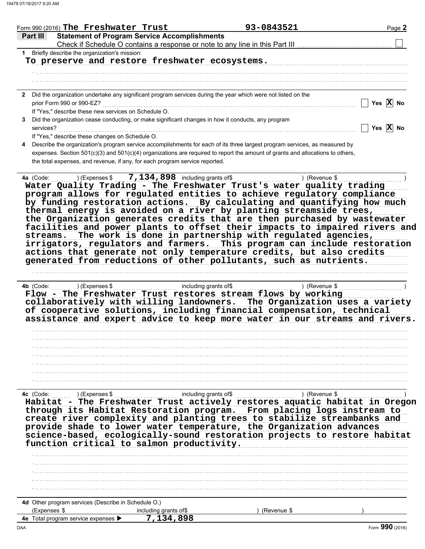|              | Form 990 (2016) The Freshwater Trust                                        |                       | 93-0843521                                                                                                                                                                                                                                                                                                                                                                                                                                                                                                                                                                                                                                                                                                                                                                                                                                                                                                                                                                                          | Page 2                |
|--------------|-----------------------------------------------------------------------------|-----------------------|-----------------------------------------------------------------------------------------------------------------------------------------------------------------------------------------------------------------------------------------------------------------------------------------------------------------------------------------------------------------------------------------------------------------------------------------------------------------------------------------------------------------------------------------------------------------------------------------------------------------------------------------------------------------------------------------------------------------------------------------------------------------------------------------------------------------------------------------------------------------------------------------------------------------------------------------------------------------------------------------------------|-----------------------|
| Part III     | <b>Statement of Program Service Accomplishments</b>                         |                       | Check if Schedule O contains a response or note to any line in this Part III [11] [11] [11] [11] [11] [11] [1                                                                                                                                                                                                                                                                                                                                                                                                                                                                                                                                                                                                                                                                                                                                                                                                                                                                                       |                       |
|              | 1 Briefly describe the organization's mission:                              |                       |                                                                                                                                                                                                                                                                                                                                                                                                                                                                                                                                                                                                                                                                                                                                                                                                                                                                                                                                                                                                     |                       |
|              | To preserve and restore freshwater ecosystems.                              |                       |                                                                                                                                                                                                                                                                                                                                                                                                                                                                                                                                                                                                                                                                                                                                                                                                                                                                                                                                                                                                     |                       |
|              |                                                                             |                       |                                                                                                                                                                                                                                                                                                                                                                                                                                                                                                                                                                                                                                                                                                                                                                                                                                                                                                                                                                                                     |                       |
|              |                                                                             |                       |                                                                                                                                                                                                                                                                                                                                                                                                                                                                                                                                                                                                                                                                                                                                                                                                                                                                                                                                                                                                     |                       |
|              |                                                                             |                       | 2 Did the organization undertake any significant program services during the year which were not listed on the                                                                                                                                                                                                                                                                                                                                                                                                                                                                                                                                                                                                                                                                                                                                                                                                                                                                                      |                       |
|              | prior Form 990 or 990-EZ?                                                   |                       |                                                                                                                                                                                                                                                                                                                                                                                                                                                                                                                                                                                                                                                                                                                                                                                                                                                                                                                                                                                                     | Yes $X$ No            |
|              | If "Yes," describe these new services on Schedule O.                        |                       |                                                                                                                                                                                                                                                                                                                                                                                                                                                                                                                                                                                                                                                                                                                                                                                                                                                                                                                                                                                                     |                       |
|              |                                                                             |                       | 3 Did the organization cease conducting, or make significant changes in how it conducts, any program                                                                                                                                                                                                                                                                                                                                                                                                                                                                                                                                                                                                                                                                                                                                                                                                                                                                                                |                       |
| services?    |                                                                             |                       |                                                                                                                                                                                                                                                                                                                                                                                                                                                                                                                                                                                                                                                                                                                                                                                                                                                                                                                                                                                                     | Yes $\overline{X}$ No |
|              | If "Yes," describe these changes on Schedule O.                             |                       |                                                                                                                                                                                                                                                                                                                                                                                                                                                                                                                                                                                                                                                                                                                                                                                                                                                                                                                                                                                                     |                       |
|              |                                                                             |                       | 4 Describe the organization's program service accomplishments for each of its three largest program services, as measured by                                                                                                                                                                                                                                                                                                                                                                                                                                                                                                                                                                                                                                                                                                                                                                                                                                                                        |                       |
|              |                                                                             |                       | expenses. Section 501(c)(3) and 501(c)(4) organizations are required to report the amount of grants and allocations to others,                                                                                                                                                                                                                                                                                                                                                                                                                                                                                                                                                                                                                                                                                                                                                                                                                                                                      |                       |
|              | the total expenses, and revenue, if any, for each program service reported. |                       |                                                                                                                                                                                                                                                                                                                                                                                                                                                                                                                                                                                                                                                                                                                                                                                                                                                                                                                                                                                                     |                       |
| streams.     |                                                                             |                       | 4a $(Code:$ (Code: ) $(Ex^{p} \cdot \dots)$ (Expenses \$ 7, 134, 898 including grants of \$ \bush including grants of \$ \bush including grants of \$ \bush including grants of \$ \bush including grants of \$ \bush including grants of \$ \bus<br>Water Quality Trading - The Freshwater Trust's water quality trading<br>program allows for regulated entities to achieve regulatory compliance<br>by funding restoration actions. By calculating and quantifying how much<br>thermal energy is avoided on a river by planting streamside trees,<br>the Organization generates credits that are then purchased by wastewater<br>facilities and power plants to offset their impacts to impaired rivers and<br>The work is done in partnership with regulated agencies,<br>irrigators, regulators and farmers. This program can include restoration<br>actions that generate not only temperature credits, but also credits<br>generated from reductions of other pollutants, such as nutrients. |                       |
| 4b (Code:    | ) (Expenses \$                                                              |                       | 1.111111111<br>Flow - The Freshwater Trust restores stream flows by working<br>collaboratively with willing landowners. The Organization uses a variety<br>of cooperative solutions, including financial compensation, technical<br>assistance and expert advice to keep more water in our streams and rivers.                                                                                                                                                                                                                                                                                                                                                                                                                                                                                                                                                                                                                                                                                      |                       |
|              |                                                                             |                       |                                                                                                                                                                                                                                                                                                                                                                                                                                                                                                                                                                                                                                                                                                                                                                                                                                                                                                                                                                                                     |                       |
|              |                                                                             |                       |                                                                                                                                                                                                                                                                                                                                                                                                                                                                                                                                                                                                                                                                                                                                                                                                                                                                                                                                                                                                     |                       |
|              |                                                                             |                       |                                                                                                                                                                                                                                                                                                                                                                                                                                                                                                                                                                                                                                                                                                                                                                                                                                                                                                                                                                                                     |                       |
|              |                                                                             |                       |                                                                                                                                                                                                                                                                                                                                                                                                                                                                                                                                                                                                                                                                                                                                                                                                                                                                                                                                                                                                     |                       |
|              |                                                                             |                       |                                                                                                                                                                                                                                                                                                                                                                                                                                                                                                                                                                                                                                                                                                                                                                                                                                                                                                                                                                                                     |                       |
|              |                                                                             |                       |                                                                                                                                                                                                                                                                                                                                                                                                                                                                                                                                                                                                                                                                                                                                                                                                                                                                                                                                                                                                     |                       |
|              | function critical to salmon productivity.                                   |                       | 4c (Code: ) (Expenses \$ including grants of \$ ) (Revenue \$ ) (Revenue \$ ) (Expenses \$ $\qquad$ ) (Revenue \$ $\qquad$ )<br>through its Habitat Restoration program. From placing logs instream to<br>create river complexity and planting trees to stabilize streambanks and<br>provide shade to lower water temperature, the Organization advances<br>science-based, ecologically-sound restoration projects to restore habitat                                                                                                                                                                                                                                                                                                                                                                                                                                                                                                                                                               |                       |
|              |                                                                             |                       |                                                                                                                                                                                                                                                                                                                                                                                                                                                                                                                                                                                                                                                                                                                                                                                                                                                                                                                                                                                                     |                       |
|              |                                                                             |                       |                                                                                                                                                                                                                                                                                                                                                                                                                                                                                                                                                                                                                                                                                                                                                                                                                                                                                                                                                                                                     |                       |
|              |                                                                             |                       |                                                                                                                                                                                                                                                                                                                                                                                                                                                                                                                                                                                                                                                                                                                                                                                                                                                                                                                                                                                                     |                       |
|              |                                                                             |                       |                                                                                                                                                                                                                                                                                                                                                                                                                                                                                                                                                                                                                                                                                                                                                                                                                                                                                                                                                                                                     |                       |
|              |                                                                             |                       |                                                                                                                                                                                                                                                                                                                                                                                                                                                                                                                                                                                                                                                                                                                                                                                                                                                                                                                                                                                                     |                       |
|              | 4d Other program services (Describe in Schedule O.)                         |                       |                                                                                                                                                                                                                                                                                                                                                                                                                                                                                                                                                                                                                                                                                                                                                                                                                                                                                                                                                                                                     |                       |
| (Expenses \$ |                                                                             | including grants of\$ | (Revenue \$                                                                                                                                                                                                                                                                                                                                                                                                                                                                                                                                                                                                                                                                                                                                                                                                                                                                                                                                                                                         |                       |
|              | 4e Total program service expenses                                           | 7,134,898             |                                                                                                                                                                                                                                                                                                                                                                                                                                                                                                                                                                                                                                                                                                                                                                                                                                                                                                                                                                                                     |                       |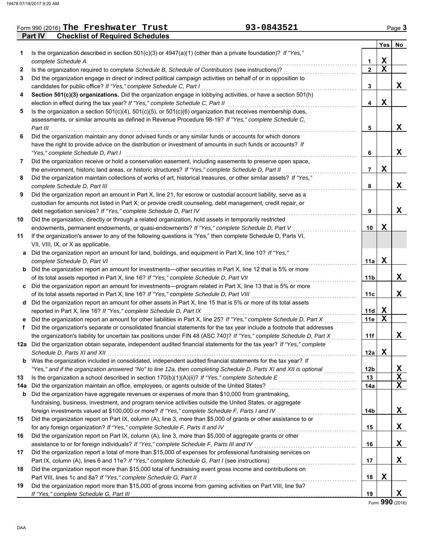### **Part IV Checklist of Required Schedules** Form 990 (2016) Page **3 The Freshwater Trust 93-0843521**

| 93-0843521 |  |  |
|------------|--|--|
|------------|--|--|

|              |                                                                                                                                                                                         |     | Yes              | No.         |
|--------------|-----------------------------------------------------------------------------------------------------------------------------------------------------------------------------------------|-----|------------------|-------------|
| 1            | Is the organization described in section $501(c)(3)$ or $4947(a)(1)$ (other than a private foundation)? If "Yes,"                                                                       |     |                  |             |
|              | complete Schedule A                                                                                                                                                                     | 1   | X<br>$\mathbf X$ |             |
| $\mathbf{2}$ | Is the organization required to complete Schedule B, Schedule of Contributors (see instructions)?                                                                                       | 2   |                  |             |
| 3            | Did the organization engage in direct or indirect political campaign activities on behalf of or in opposition to<br>candidates for public office? If "Yes," complete Schedule C, Part I | 3   |                  | X           |
| 4            | Section 501(c)(3) organizations. Did the organization engage in lobbying activities, or have a section 501(h)                                                                           |     |                  |             |
|              | election in effect during the tax year? If "Yes," complete Schedule C, Part II                                                                                                          | 4   | X                |             |
| 5            | Is the organization a section $501(c)(4)$ , $501(c)(5)$ , or $501(c)(6)$ organization that receives membership dues,                                                                    |     |                  |             |
|              | assessments, or similar amounts as defined in Revenue Procedure 98-19? If "Yes," complete Schedule C,                                                                                   |     |                  |             |
|              | Part III                                                                                                                                                                                | 5   |                  | X           |
| 6            | Did the organization maintain any donor advised funds or any similar funds or accounts for which donors                                                                                 |     |                  |             |
|              | have the right to provide advice on the distribution or investment of amounts in such funds or accounts? If                                                                             |     |                  |             |
|              | "Yes," complete Schedule D, Part I                                                                                                                                                      | 6   |                  | X           |
| 7            | Did the organization receive or hold a conservation easement, including easements to preserve open space,                                                                               |     |                  |             |
|              | the environment, historic land areas, or historic structures? If "Yes," complete Schedule D, Part II                                                                                    | 7   | X                |             |
| 8            | Did the organization maintain collections of works of art, historical treasures, or other similar assets? If "Yes,"                                                                     |     |                  |             |
|              | complete Schedule D, Part III                                                                                                                                                           | 8   |                  | X           |
| 9            | Did the organization report an amount in Part X, line 21, for escrow or custodial account liability, serve as a                                                                         |     |                  |             |
|              | custodian for amounts not listed in Part X; or provide credit counseling, debt management, credit repair, or                                                                            |     |                  |             |
|              | debt negotiation services? If "Yes," complete Schedule D, Part IV                                                                                                                       | 9   |                  | X           |
| 10           | Did the organization, directly or through a related organization, hold assets in temporarily restricted                                                                                 |     |                  |             |
|              | endowments, permanent endowments, or quasi-endowments? If "Yes," complete Schedule D, Part V                                                                                            | 10  | x                |             |
| 11           | If the organization's answer to any of the following questions is "Yes," then complete Schedule D, Parts VI,                                                                            |     |                  |             |
|              | VII, VIII, IX, or X as applicable.                                                                                                                                                      |     |                  |             |
| a            | Did the organization report an amount for land, buildings, and equipment in Part X, line 10? If "Yes,"                                                                                  |     |                  |             |
|              | complete Schedule D, Part VI                                                                                                                                                            | 11a | x                |             |
| b            | Did the organization report an amount for investments-other securities in Part X, line 12 that is 5% or more                                                                            |     |                  |             |
|              | of its total assets reported in Part X, line 16? If "Yes," complete Schedule D, Part VII                                                                                                | 11b |                  | X.          |
| c            | Did the organization report an amount for investments—program related in Part X, line 13 that is 5% or more                                                                             |     |                  |             |
|              | of its total assets reported in Part X, line 16? If "Yes," complete Schedule D, Part VIII                                                                                               | 11c |                  | X           |
| d            | Did the organization report an amount for other assets in Part X, line 15 that is 5% or more of its total assets                                                                        |     |                  |             |
|              | reported in Part X, line 16? If "Yes," complete Schedule D, Part IX                                                                                                                     | 11d | x                |             |
|              | Did the organization report an amount for other liabilities in Part X, line 25? If "Yes," complete Schedule D, Part X                                                                   | 11e | Х                |             |
| f            | Did the organization's separate or consolidated financial statements for the tax year include a footnote that addresses                                                                 |     |                  |             |
|              | the organization's liability for uncertain tax positions under FIN 48 (ASC 740)? If "Yes," complete Schedule D, Part X                                                                  | 11f |                  | X           |
|              | 12a Did the organization obtain separate, independent audited financial statements for the tax year? If "Yes," complete                                                                 |     |                  |             |
|              | Schedule D. Parts XI and XII                                                                                                                                                            | 12a | X                |             |
|              | <b>b</b> Was the organization included in consolidated, independent audited financial statements for the tax year? If                                                                   |     |                  |             |
|              | "Yes," and if the organization answered "No" to line 12a, then completing Schedule D, Parts XI and XII is optional                                                                      | 12b |                  | X           |
| 13           | Is the organization a school described in section 170(b)(1)(A)(ii)? If "Yes," complete Schedule E                                                                                       | 13  |                  | $\mathbf X$ |
| 14а          | Did the organization maintain an office, employees, or agents outside of the United States?                                                                                             | 14a |                  | X           |
| b            | Did the organization have aggregate revenues or expenses of more than \$10,000 from grantmaking,                                                                                        |     |                  |             |
|              | fundraising, business, investment, and program service activities outside the United States, or aggregate                                                                               |     |                  |             |
|              | foreign investments valued at \$100,000 or more? If "Yes," complete Schedule F, Parts I and IV                                                                                          | 14b |                  | X           |
| 15           | Did the organization report on Part IX, column (A), line 3, more than \$5,000 of grants or other assistance to or                                                                       |     |                  |             |
|              | for any foreign organization? If "Yes," complete Schedule F, Parts II and IV                                                                                                            | 15  |                  | X           |
| 16           | Did the organization report on Part IX, column (A), line 3, more than \$5,000 of aggregate grants or other                                                                              |     |                  |             |
| 17           | assistance to or for foreign individuals? If "Yes," complete Schedule F, Parts III and IV                                                                                               | 16  |                  | X           |
|              | Did the organization report a total of more than \$15,000 of expenses for professional fundraising services on                                                                          | 17  |                  | X           |
| 18           | Did the organization report more than \$15,000 total of fundraising event gross income and contributions on                                                                             |     |                  |             |
|              | Part VIII, lines 1c and 8a? If "Yes," complete Schedule G, Part II                                                                                                                      | 18  | X                |             |
| 19           | Did the organization report more than \$15,000 of gross income from gaming activities on Part VIII, line 9a?                                                                            |     |                  |             |
|              | If "Yes," complete Schedule G, Part III                                                                                                                                                 | 19  |                  | X.          |
|              |                                                                                                                                                                                         |     |                  |             |

Form **990** (2016)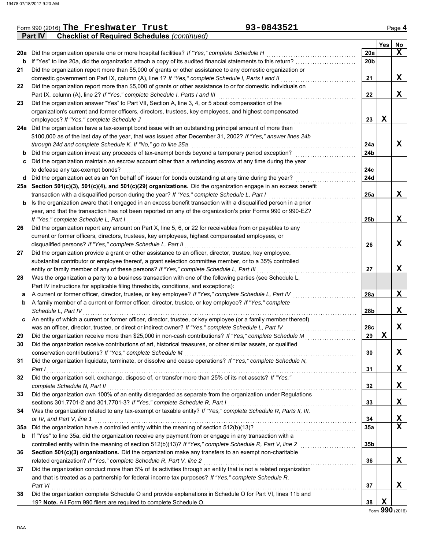|     | Part IV<br><b>Checklist of Required Schedules (continued)</b>                                                    |                 |     |                 |
|-----|------------------------------------------------------------------------------------------------------------------|-----------------|-----|-----------------|
|     |                                                                                                                  |                 | Yes | No              |
|     | 20a Did the organization operate one or more hospital facilities? If "Yes," complete Schedule H                  | 20a             |     | $\mathbf x$     |
| b   | If "Yes" to line 20a, did the organization attach a copy of its audited financial statements to this return?     | 20b             |     |                 |
| 21  | Did the organization report more than \$5,000 of grants or other assistance to any domestic organization or      |                 |     |                 |
|     | domestic government on Part IX, column (A), line 1? If "Yes," complete Schedule I, Parts I and II                | 21              |     | X               |
| 22  | Did the organization report more than \$5,000 of grants or other assistance to or for domestic individuals on    |                 |     |                 |
|     | Part IX, column (A), line 2? If "Yes," complete Schedule I, Parts I and III                                      | 22              |     | X               |
| 23  | Did the organization answer "Yes" to Part VII, Section A, line 3, 4, or 5 about compensation of the              |                 |     |                 |
|     | organization's current and former officers, directors, trustees, key employees, and highest compensated          |                 |     |                 |
|     | employees? If "Yes," complete Schedule J                                                                         | 23              | X   |                 |
|     | 24a Did the organization have a tax-exempt bond issue with an outstanding principal amount of more than          |                 |     |                 |
|     | \$100,000 as of the last day of the year, that was issued after December 31, 2002? If "Yes," answer lines 24b    |                 |     |                 |
|     | through 24d and complete Schedule K. If "No," go to line 25a                                                     | 24a             |     | X               |
| b   | Did the organization invest any proceeds of tax-exempt bonds beyond a temporary period exception?                | 24b             |     |                 |
| c   | Did the organization maintain an escrow account other than a refunding escrow at any time during the year        |                 |     |                 |
|     | to defease any tax-exempt bonds?                                                                                 | 24c             |     |                 |
| d   | Did the organization act as an "on behalf of" issuer for bonds outstanding at any time during the year?          | 24d             |     |                 |
|     | 25a Section 501(c)(3), 501(c)(4), and 501(c)(29) organizations. Did the organization engage in an excess benefit |                 |     |                 |
|     | transaction with a disqualified person during the year? If "Yes," complete Schedule L, Part I                    | 25a             |     | X               |
| b   | Is the organization aware that it engaged in an excess benefit transaction with a disqualified person in a prior |                 |     |                 |
|     | year, and that the transaction has not been reported on any of the organization's prior Forms 990 or 990-EZ?     |                 |     |                 |
|     | If "Yes," complete Schedule L, Part I                                                                            | 25 <sub>b</sub> |     | X               |
| 26  | Did the organization report any amount on Part X, line 5, 6, or 22 for receivables from or payables to any       |                 |     |                 |
|     | current or former officers, directors, trustees, key employees, highest compensated employees, or                |                 |     |                 |
|     | disqualified persons? If "Yes," complete Schedule L, Part II                                                     | 26              |     | X               |
| 27  | Did the organization provide a grant or other assistance to an officer, director, trustee, key employee,         |                 |     |                 |
|     | substantial contributor or employee thereof, a grant selection committee member, or to a 35% controlled          |                 |     |                 |
|     | entity or family member of any of these persons? If "Yes," complete Schedule L, Part III                         | 27              |     | X               |
| 28  | Was the organization a party to a business transaction with one of the following parties (see Schedule L,        |                 |     |                 |
|     | Part IV instructions for applicable filing thresholds, conditions, and exceptions):                              |                 |     |                 |
| а   | A current or former officer, director, trustee, or key employee? If "Yes," complete Schedule L, Part IV          | 28a             |     | X               |
| b   | A family member of a current or former officer, director, trustee, or key employee? If "Yes," complete           |                 |     |                 |
|     | Schedule L, Part IV                                                                                              | 28b             |     | X               |
| c   | An entity of which a current or former officer, director, trustee, or key employee (or a family member thereof)  |                 |     |                 |
|     | was an officer, director, trustee, or direct or indirect owner? If "Yes," complete Schedule L, Part IV           | 28c             |     | X               |
| 29  | Did the organization receive more than \$25,000 in non-cash contributions? If "Yes," complete Schedule M         | 29              | X   |                 |
|     | Did the organization receive contributions of art, historical treasures, or other similar assets, or qualified   |                 |     |                 |
|     | conservation contributions? If "Yes," complete Schedule M                                                        | 30              |     | X               |
| 31  | Did the organization liquidate, terminate, or dissolve and cease operations? If "Yes," complete Schedule N,      |                 |     |                 |
|     | Part I                                                                                                           | 31              |     | X               |
| 32  | Did the organization sell, exchange, dispose of, or transfer more than 25% of its net assets? If "Yes,"          |                 |     |                 |
|     | complete Schedule N, Part II                                                                                     | 32              |     | X               |
| 33  | Did the organization own 100% of an entity disregarded as separate from the organization under Regulations       |                 |     |                 |
|     | sections 301.7701-2 and 301.7701-3? If "Yes," complete Schedule R, Part I                                        | 33              |     | X               |
| 34  | Was the organization related to any tax-exempt or taxable entity? If "Yes," complete Schedule R, Parts II, III,  |                 |     |                 |
|     | or IV, and Part V, line 1                                                                                        | 34              |     | X               |
| 35a | Did the organization have a controlled entity within the meaning of section 512(b)(13)?                          | <b>35a</b>      |     | X               |
| b   | If "Yes" to line 35a, did the organization receive any payment from or engage in any transaction with a          |                 |     |                 |
|     | controlled entity within the meaning of section 512(b)(13)? If "Yes," complete Schedule R, Part V, line 2        | 35 <sub>b</sub> |     |                 |
| 36  | Section 501(c)(3) organizations. Did the organization make any transfers to an exempt non-charitable             |                 |     |                 |
|     | related organization? If "Yes," complete Schedule R, Part V, line 2                                              | 36              |     | X               |
| 37  | Did the organization conduct more than 5% of its activities through an entity that is not a related organization |                 |     |                 |
|     | and that is treated as a partnership for federal income tax purposes? If "Yes," complete Schedule R,             |                 |     |                 |
|     | Part VI                                                                                                          | 37              |     | X               |
| 38  | Did the organization complete Schedule O and provide explanations in Schedule O for Part VI, lines 11b and       |                 |     |                 |
|     | 19? Note. All Form 990 filers are required to complete Schedule O.                                               | 38              | X   |                 |
|     |                                                                                                                  |                 |     | Form 990 (2016) |

Form 990 (2016) Page **4 The Freshwater Trust 93-0843521**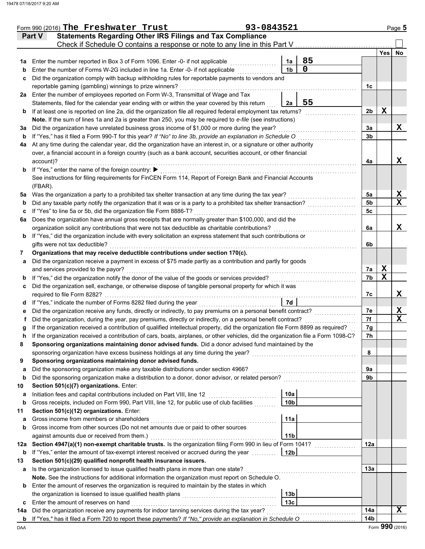|          | Form 990 (2016) The Freshwater Trust                                                                                                                                                                                            | 93-0843521 |                                    |             |                 |                 | Page 5           |
|----------|---------------------------------------------------------------------------------------------------------------------------------------------------------------------------------------------------------------------------------|------------|------------------------------------|-------------|-----------------|-----------------|------------------|
|          | <b>Statements Regarding Other IRS Filings and Tax Compliance</b><br>Part V                                                                                                                                                      |            |                                    |             |                 |                 |                  |
|          | Check if Schedule O contains a response or note to any line in this Part V                                                                                                                                                      |            |                                    |             |                 |                 |                  |
|          |                                                                                                                                                                                                                                 |            |                                    |             |                 | <b>Yes</b>      | No               |
| 1a       | Enter the number reported in Box 3 of Form 1096. Enter -0- if not applicable                                                                                                                                                    |            | 1a                                 | 85          |                 |                 |                  |
| b        | Enter the number of Forms W-2G included in line 1a. Enter -0- if not applicable                                                                                                                                                 |            | 1 <sub>b</sub>                     | $\mathbf 0$ |                 |                 |                  |
| c        | Did the organization comply with backup withholding rules for reportable payments to vendors and                                                                                                                                |            |                                    |             |                 |                 |                  |
|          | reportable gaming (gambling) winnings to prize winners?                                                                                                                                                                         |            |                                    |             | 1 <sub>c</sub>  |                 |                  |
|          | 2a Enter the number of employees reported on Form W-3, Transmittal of Wage and Tax<br>Statements, filed for the calendar year ending with or within the year covered by this return                                             |            | 2a                                 | 55          |                 |                 |                  |
|          | If at least one is reported on line 2a, did the organization file all required federal employment tax returns?                                                                                                                  |            |                                    |             | 2 <sub>b</sub>  | X               |                  |
| b        | Note. If the sum of lines 1a and 2a is greater than 250, you may be required to e-file (see instructions)                                                                                                                       |            |                                    |             |                 |                 |                  |
| За       | Did the organization have unrelated business gross income of \$1,000 or more during the year?                                                                                                                                   |            |                                    |             | 3a              |                 | X                |
| b        | If "Yes," has it filed a Form 990-T for this year? If "No" to line 3b, provide an explanation in Schedule O                                                                                                                     |            |                                    |             | 3b              |                 |                  |
| 4a       | At any time during the calendar year, did the organization have an interest in, or a signature or other authority                                                                                                               |            |                                    |             |                 |                 |                  |
|          | over, a financial account in a foreign country (such as a bank account, securities account, or other financial                                                                                                                  |            |                                    |             |                 |                 |                  |
|          | account)?                                                                                                                                                                                                                       |            |                                    |             | 4a              |                 | X                |
| b        | If "Yes," enter the name of the foreign country: ▶                                                                                                                                                                              |            |                                    |             |                 |                 |                  |
|          | See instructions for filing requirements for FinCEN Form 114, Report of Foreign Bank and Financial Accounts                                                                                                                     |            |                                    |             |                 |                 |                  |
|          | (FBAR).                                                                                                                                                                                                                         |            |                                    |             |                 |                 |                  |
| 5a       | Was the organization a party to a prohibited tax shelter transaction at any time during the tax year?                                                                                                                           |            |                                    |             | 5a              |                 | X                |
| b        | Did any taxable party notify the organization that it was or is a party to a prohibited tax shelter transaction?                                                                                                                |            |                                    |             | 5b              |                 | $\mathbf x$      |
| c        | If "Yes" to line 5a or 5b, did the organization file Form 8886-T?                                                                                                                                                               |            |                                    |             | 5c              |                 |                  |
| 6a       | Does the organization have annual gross receipts that are normally greater than \$100,000, and did the                                                                                                                          |            |                                    |             |                 |                 |                  |
|          | organization solicit any contributions that were not tax deductible as charitable contributions?                                                                                                                                |            |                                    |             | 6a              |                 | X                |
| b        | If "Yes," did the organization include with every solicitation an express statement that such contributions or                                                                                                                  |            |                                    |             |                 |                 |                  |
|          | gifts were not tax deductible?                                                                                                                                                                                                  |            |                                    |             | 6b              |                 |                  |
| 7        | Organizations that may receive deductible contributions under section 170(c).                                                                                                                                                   |            |                                    |             |                 |                 |                  |
| a        | Did the organization receive a payment in excess of \$75 made partly as a contribution and partly for goods                                                                                                                     |            |                                    |             |                 |                 |                  |
|          | and services provided to the payor?                                                                                                                                                                                             |            |                                    |             | 7a              | X               |                  |
| b        | If "Yes," did the organization notify the donor of the value of the goods or services provided?                                                                                                                                 |            |                                    |             | 7b              | $\mathbf x$     |                  |
| c        | Did the organization sell, exchange, or otherwise dispose of tangible personal property for which it was                                                                                                                        |            |                                    |             |                 |                 |                  |
|          | required to file Form 8282?                                                                                                                                                                                                     |            |                                    |             | 7с              |                 | X                |
| d        | If "Yes," indicate the number of Forms 8282 filed during the year                                                                                                                                                               |            | 7d                                 |             |                 |                 |                  |
| е        | Did the organization receive any funds, directly or indirectly, to pay premiums on a personal benefit contract?<br>Did the organization, during the year, pay premiums, directly or indirectly, on a personal benefit contract? |            |                                    |             | 7е<br>7f        |                 | X<br>$\mathbf x$ |
|          | If the organization received a contribution of qualified intellectual property, did the organization file Form 8899 as required?                                                                                                |            |                                    |             | 7g              |                 |                  |
|          | If the organization received a contribution of cars, boats, airplanes, or other vehicles, did the organization file a Form 1098-C?                                                                                              |            |                                    |             | 7h              |                 |                  |
| 8        | Sponsoring organizations maintaining donor advised funds. Did a donor advised fund maintained by the                                                                                                                            |            |                                    |             |                 |                 |                  |
|          | sponsoring organization have excess business holdings at any time during the year?                                                                                                                                              |            |                                    |             | 8               |                 |                  |
| 9        | Sponsoring organizations maintaining donor advised funds.                                                                                                                                                                       |            |                                    |             |                 |                 |                  |
| a        | Did the sponsoring organization make any taxable distributions under section 4966?                                                                                                                                              |            |                                    |             | 9а              |                 |                  |
| b        | Did the sponsoring organization make a distribution to a donor, donor advisor, or related person?                                                                                                                               |            |                                    |             | 9b              |                 |                  |
| 10       | Section 501(c)(7) organizations. Enter:                                                                                                                                                                                         |            |                                    |             |                 |                 |                  |
| а        | Initiation fees and capital contributions included on Part VIII, line 12                                                                                                                                                        |            | 10a                                |             |                 |                 |                  |
| b        | Gross receipts, included on Form 990, Part VIII, line 12, for public use of club facilities                                                                                                                                     |            | 10 <sub>b</sub>                    |             |                 |                 |                  |
| 11       | Section 501(c)(12) organizations. Enter:                                                                                                                                                                                        |            |                                    |             |                 |                 |                  |
| а        | Gross income from members or shareholders                                                                                                                                                                                       |            | 11a                                |             |                 |                 |                  |
| b        | Gross income from other sources (Do not net amounts due or paid to other sources                                                                                                                                                |            |                                    |             |                 |                 |                  |
|          | against amounts due or received from them.)                                                                                                                                                                                     |            | 11 <sub>b</sub>                    |             |                 |                 |                  |
| 12a      | Section 4947(a)(1) non-exempt charitable trusts. Is the organization filing Form 990 in lieu of Form 1041?                                                                                                                      |            |                                    |             | 12a             |                 |                  |
| b        | If "Yes," enter the amount of tax-exempt interest received or accrued during the year                                                                                                                                           |            | 12 <sub>b</sub>                    |             |                 |                 |                  |
| 13       | Section 501(c)(29) qualified nonprofit health insurance issuers.                                                                                                                                                                |            |                                    |             |                 |                 |                  |
| а        | Is the organization licensed to issue qualified health plans in more than one state?                                                                                                                                            |            |                                    |             | 13a             |                 |                  |
|          | Note. See the instructions for additional information the organization must report on Schedule O.                                                                                                                               |            |                                    |             |                 |                 |                  |
| b        | Enter the amount of reserves the organization is required to maintain by the states in which                                                                                                                                    |            |                                    |             |                 |                 |                  |
|          | the organization is licensed to issue qualified health plans                                                                                                                                                                    |            | 13 <sub>b</sub><br>13 <sub>c</sub> |             |                 |                 |                  |
| c        | Enter the amount of reserves on hand<br>Did the organization receive any payments for indoor tanning services during the tax year?                                                                                              |            |                                    |             | 14a             |                 | x                |
| 14a<br>b | If "Yes," has it filed a Form 720 to report these payments? If "No," provide an explanation in Schedule O                                                                                                                       |            |                                    |             | 14 <sub>b</sub> |                 |                  |
| DAA      |                                                                                                                                                                                                                                 |            |                                    |             |                 | Form 990 (2016) |                  |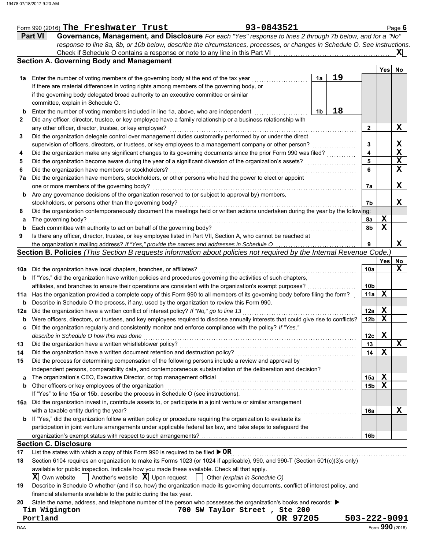|     | 93-0843521<br>Form 990 (2016) The Freshwater Trust                                                                                  |          |                |    |              |                 |             | Page 6          |
|-----|-------------------------------------------------------------------------------------------------------------------------------------|----------|----------------|----|--------------|-----------------|-------------|-----------------|
|     | Governance, Management, and Disclosure For each "Yes" response to lines 2 through 7b below, and for a "No"<br><b>Part VI</b>        |          |                |    |              |                 |             |                 |
|     | response to line 8a, 8b, or 10b below, describe the circumstances, processes, or changes in Schedule O. See instructions.           |          |                |    |              |                 |             |                 |
|     | Check if Schedule O contains a response or note to any line in this Part VI                                                         |          |                |    |              |                 |             | $ {\bf X} $     |
|     | <b>Section A. Governing Body and Management</b>                                                                                     |          |                |    |              |                 |             |                 |
|     |                                                                                                                                     |          |                |    |              |                 | Yes         | No              |
| 1a  | Enter the number of voting members of the governing body at the end of the tax year                                                 |          | 1a             | 19 |              |                 |             |                 |
|     | If there are material differences in voting rights among members of the governing body, or                                          |          |                |    |              |                 |             |                 |
|     | if the governing body delegated broad authority to an executive committee or similar                                                |          |                |    |              |                 |             |                 |
|     | committee, explain in Schedule O.                                                                                                   |          |                |    |              |                 |             |                 |
| b   | Enter the number of voting members included in line 1a, above, who are independent                                                  |          | 1 <sub>b</sub> | 18 |              |                 |             |                 |
| 2   | Did any officer, director, trustee, or key employee have a family relationship or a business relationship with                      |          |                |    |              |                 |             |                 |
|     | any other officer, director, trustee, or key employee?                                                                              |          |                |    |              | $\mathbf{2}$    |             | X               |
| 3   | Did the organization delegate control over management duties customarily performed by or under the direct                           |          |                |    |              |                 |             |                 |
|     | supervision of officers, directors, or trustees, or key employees to a management company or other person?                          |          |                |    |              | 3               |             | X               |
| 4   | Did the organization make any significant changes to its governing documents since the prior Form 990 was filed?                    |          |                |    |              | 4               |             | $\mathbf x$     |
| 5   | Did the organization become aware during the year of a significant diversion of the organization's assets?                          |          |                |    |              | 5               |             | X               |
| 6   | Did the organization have members or stockholders?                                                                                  |          |                |    |              | 6               |             | $\mathbf x$     |
| 7a  | Did the organization have members, stockholders, or other persons who had the power to elect or appoint                             |          |                |    |              |                 |             |                 |
|     | one or more members of the governing body?                                                                                          |          |                |    |              | 7a              |             | X               |
| b   | Are any governance decisions of the organization reserved to (or subject to approval by) members,                                   |          |                |    |              |                 |             |                 |
|     | stockholders, or persons other than the governing body?                                                                             |          |                |    |              | 7b              |             | x               |
| 8   | Did the organization contemporaneously document the meetings held or written actions undertaken during the year by the following:   |          |                |    |              |                 |             |                 |
| а   | The governing body?                                                                                                                 |          |                |    |              | 8a              | X           |                 |
| b   | Each committee with authority to act on behalf of the governing body?                                                               |          |                |    |              | 8b              | $\mathbf X$ |                 |
| 9   | Is there any officer, director, trustee, or key employee listed in Part VII, Section A, who cannot be reached at                    |          |                |    |              |                 |             |                 |
|     | the organization's mailing address? If "Yes," provide the names and addresses in Schedule O                                         |          |                |    |              | 9               |             | X               |
|     | Section B. Policies (This Section B requests information about policies not required by the Internal Revenue Code.                  |          |                |    |              |                 |             |                 |
|     |                                                                                                                                     |          |                |    |              |                 | Yes         | No              |
|     | 10a Did the organization have local chapters, branches, or affiliates?                                                              |          |                |    |              | 10a             |             | X               |
|     | <b>b</b> If "Yes," did the organization have written policies and procedures governing the activities of such chapters,             |          |                |    |              |                 |             |                 |
|     | affiliates, and branches to ensure their operations are consistent with the organization's exempt purposes?                         |          |                |    |              | 10 <sub>b</sub> |             |                 |
| 11a | Has the organization provided a complete copy of this Form 990 to all members of its governing body before filing the form?         |          |                |    |              | 11a             | X           |                 |
| b   | Describe in Schedule O the process, if any, used by the organization to review this Form 990.                                       |          |                |    |              |                 |             |                 |
| 12a | Did the organization have a written conflict of interest policy? If "No," go to line 13                                             |          |                |    |              | 12a             | X           |                 |
| b   | Were officers, directors, or trustees, and key employees required to disclose annually interests that could give rise to conflicts? |          |                |    |              | 12 <sub>b</sub> | $\mathbf x$ |                 |
| c   | Did the organization regularly and consistently monitor and enforce compliance with the policy? If "Yes,"                           |          |                |    |              |                 |             |                 |
|     | describe in Schedule O how this was done                                                                                            |          |                |    |              | 12c             | X           |                 |
| 13  | Did the organization have a written whistleblower policy?                                                                           |          |                |    |              | 13              |             | X               |
| 14  | Did the organization have a written document retention and destruction policy?                                                      |          |                |    |              | 14              | X           |                 |
| 15  | Did the process for determining compensation of the following persons include a review and approval by                              |          |                |    |              |                 |             |                 |
|     | independent persons, comparability data, and contemporaneous substantiation of the deliberation and decision?                       |          |                |    |              |                 |             |                 |
| a   | The organization's CEO, Executive Director, or top management official                                                              |          |                |    |              | 15a             | X           |                 |
| b   | Other officers or key employees of the organization                                                                                 |          |                |    |              | 15 <sub>b</sub> | X           |                 |
|     | If "Yes" to line 15a or 15b, describe the process in Schedule O (see instructions).                                                 |          |                |    |              |                 |             |                 |
|     | 16a Did the organization invest in, contribute assets to, or participate in a joint venture or similar arrangement                  |          |                |    |              |                 |             |                 |
|     | with a taxable entity during the year?                                                                                              |          |                |    |              | 16a             |             | X               |
|     | <b>b</b> If "Yes," did the organization follow a written policy or procedure requiring the organization to evaluate its             |          |                |    |              |                 |             |                 |
|     | participation in joint venture arrangements under applicable federal tax law, and take steps to safeguard the                       |          |                |    |              |                 |             |                 |
|     |                                                                                                                                     |          |                |    |              | 16b             |             |                 |
|     | <b>Section C. Disclosure</b>                                                                                                        |          |                |    |              |                 |             |                 |
| 17  | List the states with which a copy of this Form 990 is required to be filed ▶ OR                                                     |          |                |    |              |                 |             |                 |
| 18  | Section 6104 requires an organization to make its Forms 1023 (or 1024 if applicable), 990, and 990-T (Section 501(c)(3)s only)      |          |                |    |              |                 |             |                 |
|     | available for public inspection. Indicate how you made these available. Check all that apply.                                       |          |                |    |              |                 |             |                 |
|     | Another's website $ \mathbf{X} $ Upon request $ $ Other (explain in Schedule O)<br>$ \mathbf{X} $ Own website                       |          |                |    |              |                 |             |                 |
| 19  | Describe in Schedule O whether (and if so, how) the organization made its governing documents, conflict of interest policy, and     |          |                |    |              |                 |             |                 |
|     | financial statements available to the public during the tax year.                                                                   |          |                |    |              |                 |             |                 |
| 20  | State the name, address, and telephone number of the person who possesses the organization's books and records: ▶                   |          |                |    |              |                 |             |                 |
|     | 700 SW Taylor Street, Ste 200<br>Tim Wigington                                                                                      |          |                |    |              |                 |             |                 |
|     | Portland                                                                                                                            | OR 97205 |                |    | 503-222-9091 |                 |             |                 |
| DAA |                                                                                                                                     |          |                |    |              |                 |             | Form 990 (2016) |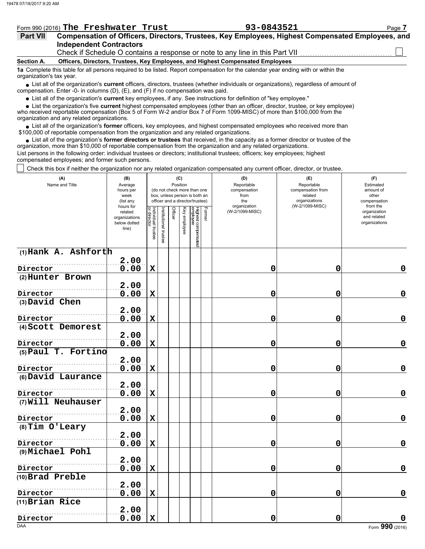|  |  |  | Form 990 (2016) The Freshwater Trust |  | 93-0843521 | $P$ ade. |
|--|--|--|--------------------------------------|--|------------|----------|
|--|--|--|--------------------------------------|--|------------|----------|

| <b>Part VII</b> | Compensation of Officers, Directors, Trustees, Key Employees, Highest Compensated Employees, and |
|-----------------|--------------------------------------------------------------------------------------------------|
|                 | <b>Independent Contractors</b>                                                                   |
|                 | Check if Schedule O contains a response or note to any line in this Part VII                     |

**Section A. Officers, Directors, Trustees, Key Employees, and Highest Compensated Employees**

**1a** Complete this table for all persons required to be listed. Report compensation for the calendar year ending with or within the organization's tax year.

■ List all of the organization's **current** officers, directors, trustees (whether individuals or organizations), regardless of amount of compensation. Enter -0- in columns (D), (E), and (F) if no compensation was paid.

List all of the organization's **current** key employees, if any. See instructions for definition of "key employee."

■ List all of the organization's **current** key employees, if any. See instructions for definition of "key employee."<br>■ List the organization's five **current** highest compensated employees (other than an officer, director,

who received reportable compensation (Box 5 of Form W-2 and/or Box 7 of Form 1099-MISC) of more than \$100,000 from the organization and any related organizations.

• List all of the organization's **former** officers, key employees, and highest compensated employees who received more than<br>00,000 of reportable compensation from the organization and any related erganizations. \$100,000 of reportable compensation from the organization and any related organizations.

• List all of the organization's **former directors or trustees** that received, in the capacity as a former director or trustee of the organization, more than \$10,000 of reportable compensation from the organization and any related organizations. List persons in the following order: individual trustees or directors; institutional trustees; officers; key employees; highest compensated employees; and former such persons.

Check this box if neither the organization nor any related organization compensated any current officer, director, or trustee.

| (A)<br>Name and Title         | (B)<br>Average<br>hours per<br>week<br>(list any<br>hours for |                                   |                      |         | (C)<br>Position | (do not check more than one<br>box, unless person is both an<br>officer and a director/trustee) | (E)<br>Reportable<br>compensation from<br>related<br>organizations<br>(W-2/1099-MISC) | (F)<br>Estimated<br>amount of<br>other<br>compensation<br>from the |                                              |  |
|-------------------------------|---------------------------------------------------------------|-----------------------------------|----------------------|---------|-----------------|-------------------------------------------------------------------------------------------------|---------------------------------------------------------------------------------------|--------------------------------------------------------------------|----------------------------------------------|--|
|                               | related<br>organizations<br>below dotted<br>line)             | Individual trustee<br>or director | nstitutional trustee | Officer | Key employee    | Former<br>Highest compensated<br>employee                                                       | organization<br>(W-2/1099-MISC)                                                       |                                                                    | organization<br>and related<br>organizations |  |
| (1) Hank A. Ashforth          |                                                               |                                   |                      |         |                 |                                                                                                 |                                                                                       |                                                                    |                                              |  |
| Director                      | 2.00<br>0.00                                                  | $\mathbf X$                       |                      |         |                 |                                                                                                 | 0                                                                                     | $\mathbf 0$                                                        | 0                                            |  |
| (2) Hunter Brown              |                                                               |                                   |                      |         |                 |                                                                                                 |                                                                                       |                                                                    |                                              |  |
|                               | 2.00                                                          |                                   |                      |         |                 |                                                                                                 |                                                                                       |                                                                    |                                              |  |
| Director                      | 0.00                                                          | $\mathbf x$                       |                      |         |                 |                                                                                                 | 0                                                                                     | 0                                                                  | 0                                            |  |
| (3) David Chen                |                                                               |                                   |                      |         |                 |                                                                                                 |                                                                                       |                                                                    |                                              |  |
|                               | 2.00                                                          |                                   |                      |         |                 |                                                                                                 |                                                                                       |                                                                    |                                              |  |
| Director                      | 0.00                                                          | $\mathbf X$                       |                      |         |                 |                                                                                                 | 0                                                                                     | 0                                                                  | 0                                            |  |
| (4) Scott Demorest            |                                                               |                                   |                      |         |                 |                                                                                                 |                                                                                       |                                                                    |                                              |  |
| Director                      | 2.00<br>0.00                                                  | $\mathbf x$                       |                      |         |                 |                                                                                                 |                                                                                       | 0                                                                  | 0                                            |  |
| (5) Paul T. Fortino           |                                                               |                                   |                      |         |                 |                                                                                                 | 0                                                                                     |                                                                    |                                              |  |
|                               | 2.00                                                          |                                   |                      |         |                 |                                                                                                 |                                                                                       |                                                                    |                                              |  |
| Director                      | 0.00                                                          | $\mathbf x$                       |                      |         |                 |                                                                                                 | 0                                                                                     | 0                                                                  | 0                                            |  |
| (6) David Laurance            |                                                               |                                   |                      |         |                 |                                                                                                 |                                                                                       |                                                                    |                                              |  |
|                               | 2.00                                                          |                                   |                      |         |                 |                                                                                                 |                                                                                       |                                                                    |                                              |  |
| Director                      | 0.00                                                          | $\mathbf x$                       |                      |         |                 |                                                                                                 | 0                                                                                     | 0                                                                  | 0                                            |  |
| (7) Will Neuhauser            |                                                               |                                   |                      |         |                 |                                                                                                 |                                                                                       |                                                                    |                                              |  |
|                               | 2.00                                                          |                                   |                      |         |                 |                                                                                                 |                                                                                       |                                                                    |                                              |  |
| Director<br>$(8)$ Tim O'Leary | 0.00                                                          | $\mathbf X$                       |                      |         |                 |                                                                                                 | 0                                                                                     | 0                                                                  | 0                                            |  |
|                               | 2.00                                                          |                                   |                      |         |                 |                                                                                                 |                                                                                       |                                                                    |                                              |  |
| Director                      | 0.00                                                          | $\mathbf x$                       |                      |         |                 |                                                                                                 | 0                                                                                     | 0                                                                  | $\mathbf 0$                                  |  |
| (9) Michael Pohl              |                                                               |                                   |                      |         |                 |                                                                                                 |                                                                                       |                                                                    |                                              |  |
|                               | 2.00                                                          |                                   |                      |         |                 |                                                                                                 |                                                                                       |                                                                    |                                              |  |
| Director                      | 0.00                                                          | $\mathbf x$                       |                      |         |                 |                                                                                                 | 0                                                                                     | 0                                                                  | $\mathbf 0$                                  |  |
| (10) Brad Preble              |                                                               |                                   |                      |         |                 |                                                                                                 |                                                                                       |                                                                    |                                              |  |
|                               | 2.00                                                          |                                   |                      |         |                 |                                                                                                 |                                                                                       |                                                                    |                                              |  |
| Director                      | 0.00                                                          | $\mathbf x$                       |                      |         |                 |                                                                                                 | 0                                                                                     | 0                                                                  | $\mathbf 0$                                  |  |
| (11) Brian Rice               | 2.00                                                          |                                   |                      |         |                 |                                                                                                 |                                                                                       |                                                                    |                                              |  |
| Director                      | 0.00                                                          | $\mathbf X$                       |                      |         |                 |                                                                                                 | 0                                                                                     | 0                                                                  | O                                            |  |
| <b>DAA</b>                    |                                                               |                                   |                      |         |                 |                                                                                                 |                                                                                       |                                                                    | Form 990 (2016)                              |  |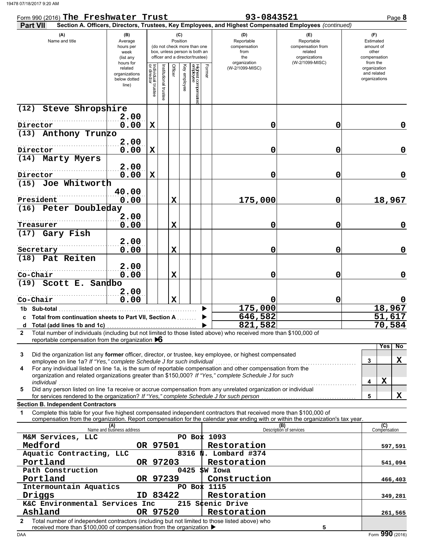| Form 990 (2016) The Freshwater Trust                                                                                                                                                                                                                                                                        |                                                               |                                   |                    |                 |              |                                                                                                 |        | 93-0843521                                                                                             |                                                                                       | Page 8                                                             |
|-------------------------------------------------------------------------------------------------------------------------------------------------------------------------------------------------------------------------------------------------------------------------------------------------------------|---------------------------------------------------------------|-----------------------------------|--------------------|-----------------|--------------|-------------------------------------------------------------------------------------------------|--------|--------------------------------------------------------------------------------------------------------|---------------------------------------------------------------------------------------|--------------------------------------------------------------------|
| <b>Part VII</b>                                                                                                                                                                                                                                                                                             |                                                               |                                   |                    |                 |              |                                                                                                 |        | Section A. Officers, Directors, Trustees, Key Employees, and Highest Compensated Employees (continued) |                                                                                       |                                                                    |
| (A)<br>Name and title                                                                                                                                                                                                                                                                                       | (B)<br>Average<br>hours per<br>week<br>(list any<br>hours for |                                   |                    | (C)<br>Position |              | (do not check more than one<br>box, unless person is both an<br>officer and a director/trustee) |        | (D)<br>Reportable<br>compensation<br>from<br>the<br>organization                                       | (E)<br>Reportable<br>compensation from<br>related<br>organizations<br>(W-2/1099-MISC) | (F)<br>Estimated<br>amount of<br>other<br>compensation<br>from the |
|                                                                                                                                                                                                                                                                                                             | related<br>organizations<br>below dotted<br>line)             | Individual trustee<br>or director | Institutional trus | Officer         | Key employee | Highest compensate<br>employee                                                                  | Former | (W-2/1099-MISC)                                                                                        |                                                                                       | organization<br>and related<br>organizations                       |
| Steve Shropshire<br>(12)                                                                                                                                                                                                                                                                                    | 2.00                                                          |                                   |                    |                 |              |                                                                                                 |        |                                                                                                        |                                                                                       |                                                                    |
| Director                                                                                                                                                                                                                                                                                                    | 0.00                                                          | $\mathbf X$                       |                    |                 |              |                                                                                                 |        | 0                                                                                                      | 0                                                                                     | 0                                                                  |
| (13) Anthony Trunzo                                                                                                                                                                                                                                                                                         |                                                               |                                   |                    |                 |              |                                                                                                 |        |                                                                                                        |                                                                                       |                                                                    |
| Director                                                                                                                                                                                                                                                                                                    | 2.00<br>0.00                                                  | $\mathbf x$                       |                    |                 |              |                                                                                                 |        | 0                                                                                                      | 0                                                                                     | 0                                                                  |
| (14) Marty Myers                                                                                                                                                                                                                                                                                            |                                                               |                                   |                    |                 |              |                                                                                                 |        |                                                                                                        |                                                                                       |                                                                    |
| Director                                                                                                                                                                                                                                                                                                    | 2.00<br>0.00                                                  | $\mathbf x$                       |                    |                 |              |                                                                                                 |        | 0                                                                                                      | 0                                                                                     | 0                                                                  |
| (15) Joe Whitworth                                                                                                                                                                                                                                                                                          |                                                               |                                   |                    |                 |              |                                                                                                 |        |                                                                                                        |                                                                                       |                                                                    |
| President                                                                                                                                                                                                                                                                                                   | 40.00<br>0.00                                                 |                                   |                    | X               |              |                                                                                                 |        | 175,000                                                                                                | 0                                                                                     | 18,967                                                             |
| (16) Peter Doubleday                                                                                                                                                                                                                                                                                        |                                                               |                                   |                    |                 |              |                                                                                                 |        |                                                                                                        |                                                                                       |                                                                    |
| Treasurer                                                                                                                                                                                                                                                                                                   | 2.00<br>0.00                                                  |                                   |                    | X               |              |                                                                                                 |        | 0                                                                                                      | 0                                                                                     | 0                                                                  |
| (17) Gary Fish                                                                                                                                                                                                                                                                                              |                                                               |                                   |                    |                 |              |                                                                                                 |        |                                                                                                        |                                                                                       |                                                                    |
| Secretary                                                                                                                                                                                                                                                                                                   | 2.00<br>0.00                                                  |                                   |                    | $\mathbf x$     |              |                                                                                                 |        | 0                                                                                                      | 0                                                                                     | 0                                                                  |
| (18) Pat Reiten                                                                                                                                                                                                                                                                                             |                                                               |                                   |                    |                 |              |                                                                                                 |        |                                                                                                        |                                                                                       |                                                                    |
| Co-Chair                                                                                                                                                                                                                                                                                                    | 2.00<br>0.00                                                  |                                   |                    | $\mathbf x$     |              |                                                                                                 |        | 0                                                                                                      | 0                                                                                     | 0                                                                  |
| (19) Scott E. Sandbo                                                                                                                                                                                                                                                                                        |                                                               |                                   |                    |                 |              |                                                                                                 |        |                                                                                                        |                                                                                       |                                                                    |
| Co-Chair                                                                                                                                                                                                                                                                                                    | 2.00<br>0.00                                                  |                                   |                    | $\mathbf x$     |              |                                                                                                 |        |                                                                                                        | 0                                                                                     |                                                                    |
| 1b Sub-total                                                                                                                                                                                                                                                                                                |                                                               |                                   |                    |                 |              |                                                                                                 |        | 175,000                                                                                                |                                                                                       | 18,967                                                             |
| c Total from continuation sheets to Part VII, Section A                                                                                                                                                                                                                                                     |                                                               |                                   |                    |                 |              |                                                                                                 |        | 646,582                                                                                                |                                                                                       | 51,617                                                             |
|                                                                                                                                                                                                                                                                                                             |                                                               |                                   |                    |                 |              |                                                                                                 |        | 821,582                                                                                                |                                                                                       | 70,584                                                             |
| Total number of individuals (including but not limited to those listed above) who received more than \$100,000 of<br>$\mathbf{2}$<br>reportable compensation from the organization $\triangleright 6$                                                                                                       |                                                               |                                   |                    |                 |              |                                                                                                 |        |                                                                                                        |                                                                                       |                                                                    |
| Did the organization list any former officer, director, or trustee, key employee, or highest compensated<br>3<br>employee on line 1a? If "Yes," complete Schedule J for such individual<br>For any individual listed on line 1a, is the sum of reportable compensation and other compensation from the<br>4 |                                                               |                                   |                    |                 |              |                                                                                                 |        |                                                                                                        |                                                                                       | No<br>Yes<br>X<br>3                                                |
| organization and related organizations greater than \$150,000? If "Yes," complete Schedule J for such<br>individual<br>Did any person listed on line 1a receive or accrue compensation from any unrelated organization or individual<br>5                                                                   |                                                               |                                   |                    |                 |              |                                                                                                 |        |                                                                                                        |                                                                                       | X<br>4                                                             |
| for services rendered to the organization? If "Yes," complete Schedule J for such person                                                                                                                                                                                                                    |                                                               |                                   |                    |                 |              |                                                                                                 |        |                                                                                                        |                                                                                       | X<br>5                                                             |
| <b>Section B. Independent Contractors</b>                                                                                                                                                                                                                                                                   |                                                               |                                   |                    |                 |              |                                                                                                 |        |                                                                                                        |                                                                                       |                                                                    |
| Complete this table for your five highest compensated independent contractors that received more than \$100,000 of<br>1<br>compensation from the organization. Report compensation for the calendar year ending with or within the organization's tax year.                                                 |                                                               |                                   |                    |                 |              |                                                                                                 |        |                                                                                                        |                                                                                       |                                                                    |
|                                                                                                                                                                                                                                                                                                             | (A)<br>Name and business address                              |                                   |                    |                 |              |                                                                                                 |        |                                                                                                        | (B)<br>Description of services                                                        | (C)<br>Compensation                                                |
| M&M Services, LLC<br>Medford                                                                                                                                                                                                                                                                                |                                                               |                                   | OR 97501           |                 |              |                                                                                                 |        | PO Box 1093<br>Restoration                                                                             |                                                                                       |                                                                    |
| Aquatic Contracting, LLC                                                                                                                                                                                                                                                                                    |                                                               |                                   |                    |                 |              |                                                                                                 |        | 8316 N. Lombard #374                                                                                   |                                                                                       | 597,591                                                            |
| Portland                                                                                                                                                                                                                                                                                                    |                                                               |                                   | OR 97203           |                 |              |                                                                                                 |        | Restoration                                                                                            |                                                                                       | 541,094                                                            |
| Path Construction                                                                                                                                                                                                                                                                                           |                                                               |                                   |                    |                 | 0425         |                                                                                                 |        | SW Iowa                                                                                                |                                                                                       |                                                                    |
| Portland<br>Intermountain Aquatics                                                                                                                                                                                                                                                                          |                                                               |                                   | OR 97239           |                 |              |                                                                                                 |        | Construction<br>PO Box 1115                                                                            |                                                                                       | 466,403                                                            |
| Driggs                                                                                                                                                                                                                                                                                                      |                                                               |                                   | ID 83422           |                 |              |                                                                                                 |        | Restoration                                                                                            |                                                                                       | 349,281                                                            |
| K&C Environmental Services Inc                                                                                                                                                                                                                                                                              |                                                               |                                   |                    |                 |              |                                                                                                 |        | 215 Scenic Drive                                                                                       |                                                                                       |                                                                    |
| Ashland                                                                                                                                                                                                                                                                                                     |                                                               |                                   | OR 97520           |                 |              |                                                                                                 |        | Restoration                                                                                            |                                                                                       | 261,565                                                            |
| Total number of independent contractors (including but not limited to those listed above) who<br>2<br>received more than \$100,000 of compensation from the organization ▶                                                                                                                                  |                                                               |                                   |                    |                 |              |                                                                                                 |        |                                                                                                        | 5                                                                                     |                                                                    |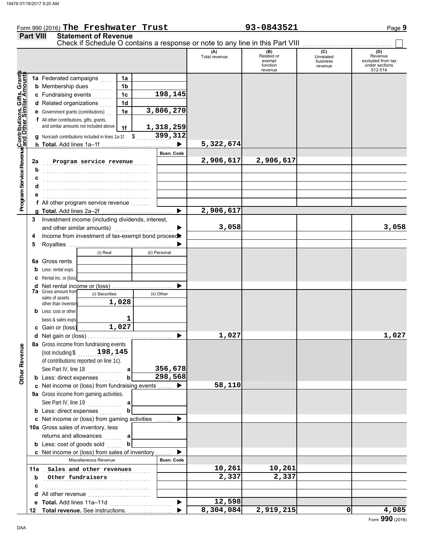### Form 990 (2016) Page **9 The Freshwater Trust 93-0843521 Part VIII Statement of Revenue** Check if Schedule O contains a response or note to any line in this Part VIII (A) (B) (C) (O) (D)<br>Total revenue Related or Unrelated Reven Total revenue Related or Unrelated Revenue excluded from tax exempt business function revenue under sections 512-514 revenue **Contributions, Gifts, Grants and Other Similar Amounts Program Service Revenue** Grant **1a 1a** Federated campaigns . . . . . **1b b** Membership dues  $\ldots$ Gifts,<br>lar Ar **198,145 1c c** Fundraising events . . . . . . . . **1d d** Related organizations . . . . . Program Service RevenueContributions, **1e 3,806,270 e** Government grants (contributions) . . **f** All other contributions, gifts, grants, and similar amounts not included above **1,318,259 1f** \$ . . . . . . . . . . . . . . . . . . . . . **399,312 g** Noncash contributions included in lines 1a-1f: **5,322,674** ▶ **h Total.** Add lines 1a–1f . . . . . . . . . . . . . . . . . . . . . . . . . . . . . **Busn. Code Program service revenue** 2,906,617 2,906,617 **2a b** . . . . . . . . . . . . . . . . . . . . . . . . . . . . . . . . . . . . . . . . . . . . **c** . . . . . . . . . . . . . . . . . . . . . . . . . . . . . . . . . . . . . . . . . . . . **d** . . . . . . . . . . . . . . . . . . . . . . . . . . . . . . . . . . . . . . . . . . . . **e** . . . . . . . . . . . . . . . . . . . . . . . . . . . . . . . . . . . . . . . . . . . . **f** All other program service revenue . . . . . . . . **2,906,617 g Total.** Add lines 2a–2f . . . . . . . . . . . . . . . . . . . . . . . . . . . . . **3** Investment income (including dividends, interest, **3,058 3,058** and other similar amounts)  $\blacksquare$ **4** Income from investment of tax-exempt bond proceed **5** Royalties . . . . . . . . . . . . . . . . . . . . . . . . . . . . . . . . . . . . . . . . . . . b (i) Real (ii) Personal **6a** Gross rents **b** Less: rental exps. **c** Rental inc. or (loss) ь **d** Net rental income or (loss) . . . . . . . . . . . . . . . . . . . . . . . . . **7a** Gross amount from (i) Securities (ii) Other sales of assets **1,028** other than inventor **b** Less: cost or other **1** basis & sales exps. **1,027 c** Gain or (loss) **1,027 1,027 d** Net gain or (loss) . . . . . . . . . . . . . . . . . . . . . . . . . . . . . . . . . . . **8a** Gross income from fundraising events **Other Revenue Other Revenue** (not including \$ . . . . . . . . . . . . . . . . . . . . **198,145** of contributions reported on line 1c). See Part IV, line 18 **356,678 a b 298,568 b** Less: direct expenses . . . . . . . . **58,110 c** Net income or (loss) from fundraising events . . . . . . ь **9a** Gross income from gaming activities. See Part IV, line 19 . . . . . . . . . . . . . . **a b b** Less: direct expenses  $\ldots$ ▶ Net income or (loss) from gaming activities . . . . . . . **c** 10a Gross sales of inventory, less returns and allowances **a b**

**b c**

**b** Less: cost of goods sold  $\ldots$ 

Net income or (loss) from sales of inventory . . . . . . . **c**

Miscellaneous Revenue **Busn. Code** 

**e Total.** Add lines 11a–11d . . . . . . . . . . . . . . . . . . . . . . . . . . **Total revenue.** See instructions. . . . . . . . . . . . . . . . . . . **12**

**d** All other revenue . . . . . . . . . . . . . . . . . . . . . . . . . .

. . . . . . . . . . . . . . . . . . . . . . . . . . . . . . . . . . . . . . . . . . . .

**11a** Sales and other revenues **10,261** 10,261

. . . . . . . . . . . . . . . . . . . . . . . . . . . . . . . . . . . . . . . . . . . . **Other fundraisers 2,337 2,337**

ь

▶

 $\blacktriangleright$ 

**12,598**

**8,304,084 2,919,215 0 4,085**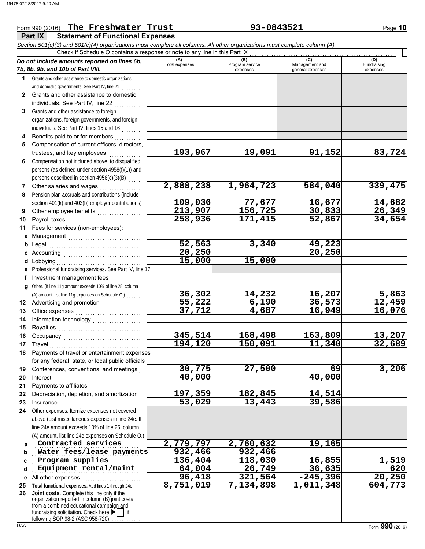### **Part IX Statement of Functional Expenses** Form 990 (2016) The Freshwater Trust **93-0843521** Page 10 *Section 501(c)(3) and 501(c)(4) organizations must complete all columns. All other organizations must complete column (A). Do not include amounts reported on lines 6b, 7b, 8b, 9b, and 10b of Part VIII.* **1 2 3 4 5 6 7 8 9 10 11 a** Management .............................. **b** Legal **c** Accounting . . . . . . . . . . . . . . . . . . . . . . . . . . . . . . . . **d** Lobbying **e f g** Other. (If line 11g amount exceeds 10% of line 25, column **12** Advertising and promotion **. . . . . . . . . . . .** . . **13 14 15 16 17 18 19 20 21 22 23 24 a b c d e** All other expenses . . . . . . . . . . . . . . . . . . . . . . . . **25 Total functional expenses.** Add lines 1 through 24e . . . **26** Grants and other assistance to domestic organizations and domestic governments. See Part IV, line 21 Grants and other assistance to domestic individuals. See Part IV, line 22 Grants and other assistance to foreign organizations, foreign governments, and foreign individuals. See Part IV, lines 15 and 16 . . . . . . . . Benefits paid to or for members . . . . . . . . . . Compensation of current officers, directors, trustees, and key employees Compensation not included above, to disqualified persons (as defined under section 4958(f)(1)) and persons described in section  $4958(c)(3)(B)$ Other salaries and wages .................. Pension plan accruals and contributions (include section 401(k) and 403(b) employer contributions) Other employee benefits ................... Payroll taxes Fees for services (non-employees): Legal . . . . . . . . . . . . . . . . . . . . . . . . . . . . . . . . . . . . . . Lobbying . . . . . . . . . . . . . . . . . . . . . . . . . . . . . . . . . . . Professional fundraising services. See Part IV, line 17 Investment management fees ............. Office expenses . . . . . . . . . . . . . . . . . . . . . . . . . . . Information technology . . . . . . . . . . . . . . . . . . . . Royalties . . . . . . . . . . . . . . . . . . . . . . . . . . . . . . . . . . Occupancy . . . . . . . . . . . . . . . . . . . . . . . . . . . . . . . . Travel . . . . . . . . . . . . . . . . . . . . . . . . . . . . . . . . . . . . . . Payments of travel or entertainment expenses for any federal, state, or local public officials Conferences, conventions, and meetings . Interest . . . . . . . . . . . . . . . . . . . . . . . . . . . . . . . . . . . . Payments to affiliates . . . . . . . . . . . . . . . Depreciation, depletion, and amortization . Insurance . . . . . . . . . . . . . . . . . . . . . . . . . . . . . . . . . . Other expenses. Itemize expenses not covered above (List miscellaneous expenses in line 24e. If line 24e amount exceeds 10% of line 25, column (A) amount, list line 24e expenses on Schedule O.) fundraising solicitation. Check here  $\blacktriangleright$  | if organization reported in column (B) joint costs from a combined educational campaign and **(A) (B)** (B) (B) (C) (C) (A) (D)<br>Total expenses Program service Management and Fundrai expenses and general expenses (D)<br>Fundraising expenses . . . . . . . . . . . . . . . . . . . . . . . . . . . . . . . . . . . . . . . . . . . . . **Contracted services 2,779,797 2,760,632 19,165 Water fees/lease payments 932,466** 932,466 Program supplies **136,404** 118,030 16,855 1,519 . . . . . . . . . . . . . . . . . . . . . . . . . . . . . . . . . . . . . . . . . . . . . **Equipment rental/maint 64,004 26,749 36,635 620** Check if Schedule O contains a response or note to any line in this Part IX **Joint costs.** Complete this line only if the (A) amount, list line 11g expenses on Schedule O.) . . . . . . . **193,967 19,091 91,152 83,724 2,888,238 1,964,723 584,040 339,475 109,036 77,677 16,677 14,682 213,907 156,725 30,833 26,349 258,936 171,415 52,867 34,654 52,563 3,340 49,223 20,250 20,250 15,000 15,000 36,302 14,232 16,207 5,863 55,222 6,190 36,573 12,459 37,712 345,514 168,498 163,809 13,207 194,120 150,091 11,340 32,689 30,775 27,500 69 3,206 40,000 40,000 197,359 182,845 14,514** 53,029 **96,418 321,564 -245,396 20,250 8,751,019 7,134,898 1,011,348 604,773**

following SOP 98-2 (ASC 958-720)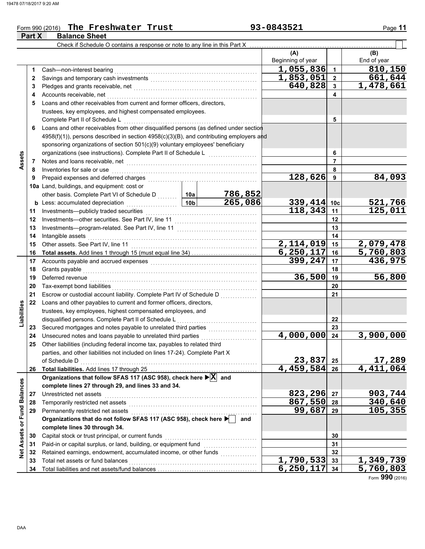### Form 990 (2016) Page **11**

|                             | Part X | <b>Balance Sheet</b>                                                                    |                 |                                         |                          |                           |                    |
|-----------------------------|--------|-----------------------------------------------------------------------------------------|-----------------|-----------------------------------------|--------------------------|---------------------------|--------------------|
|                             |        | Check if Schedule O contains a response or note to any line in this Part X              |                 |                                         |                          |                           |                    |
|                             |        |                                                                                         |                 |                                         | (A)<br>Beginning of year |                           | (B)<br>End of year |
|                             | 1      | Cash-non-interest bearing                                                               |                 |                                         | $\overline{1,055}$ ,836  | $\mathbf{1}$              | 810,150            |
|                             | 2      |                                                                                         |                 |                                         | 1,853,051                | $\mathbf{2}$              | 661,644            |
|                             | 3      |                                                                                         |                 |                                         | 640,828                  | $\mathbf{3}$              | 1,478,661          |
|                             | 4      | Accounts receivable, net                                                                |                 | 4                                       |                          |                           |                    |
|                             | 5      | Loans and other receivables from current and former officers, directors,                |                 |                                         |                          |                           |                    |
|                             |        | trustees, key employees, and highest compensated employees.                             |                 |                                         |                          |                           |                    |
|                             |        | Complete Part II of Schedule L                                                          |                 |                                         |                          | 5                         |                    |
|                             | 6      | Loans and other receivables from other disqualified persons (as defined under section   |                 |                                         |                          |                           |                    |
|                             |        | 4958(f)(1)), persons described in section 4958(c)(3)(B), and contributing employers and |                 |                                         |                          |                           |                    |
|                             |        | sponsoring organizations of section 501(c)(9) voluntary employees' beneficiary          |                 |                                         |                          |                           |                    |
|                             |        | organizations (see instructions). Complete Part II of Schedule L                        |                 | <u> 1986 - Johann Barnett, martin a</u> |                          | 6                         |                    |
| Assets                      | 7      | Notes and loans receivable, net                                                         |                 |                                         |                          | $\overline{7}$            |                    |
|                             | 8      | Inventories for sale or use                                                             |                 |                                         |                          | 8                         |                    |
|                             | 9      | Prepaid expenses and deferred charges                                                   |                 |                                         | 128,626                  | 9                         | 84,093             |
|                             |        | 10a Land, buildings, and equipment: cost or                                             |                 |                                         |                          |                           |                    |
|                             |        | other basis. Complete Part VI of Schedule D                                             | 10a             | 786,852                                 |                          |                           |                    |
|                             |        | <b>b</b> Less: accumulated depreciation<br>.                                            | 10 <sub>b</sub> | 265,086                                 | 339,414 10c              |                           |                    |
|                             | 11     | Investments-publicly traded securities                                                  |                 | 118,343                                 | 11                       | $\frac{521,766}{125,011}$ |                    |
|                             | 12     |                                                                                         |                 |                                         | 12                       |                           |                    |
|                             | 13     |                                                                                         |                 |                                         | 13                       |                           |                    |
|                             | 14     | Intangible assets                                                                       |                 | 14                                      |                          |                           |                    |
|                             | 15     | Other assets. See Part IV, line 11                                                      |                 |                                         | 2,114,019                | 15                        | 2,079,478          |
|                             | 16     |                                                                                         |                 |                                         | 6, 250, 117              | 16                        | 5,760,803          |
|                             | 17     |                                                                                         | 399,247         | 17                                      | 436,975                  |                           |                    |
|                             | 18     | Grants payable                                                                          |                 | 18                                      |                          |                           |                    |
|                             | 19     | Deferred revenue                                                                        |                 |                                         | 36,500                   | 19                        | 56,800             |
|                             | 20     | Tax-exempt bond liabilities                                                             |                 |                                         |                          | 20                        |                    |
|                             | 21     | Escrow or custodial account liability. Complete Part IV of Schedule D                   |                 |                                         |                          | 21                        |                    |
|                             | 22     | Loans and other payables to current and former officers, directors,                     |                 |                                         |                          |                           |                    |
| Liabilities                 |        | trustees, key employees, highest compensated employees, and                             |                 |                                         |                          |                           |                    |
|                             |        | disqualified persons. Complete Part II of Schedule L                                    |                 |                                         |                          | 22                        |                    |
|                             | 23     | Secured mortgages and notes payable to unrelated third parties                          |                 |                                         |                          | 23                        |                    |
|                             | 24     | Unsecured notes and loans payable to unrelated third parties                            |                 |                                         | 4,000,000                | 24                        | 3,900,000          |
|                             | 25     | Other liabilities (including federal income tax, payables to related third              |                 |                                         |                          |                           |                    |
|                             |        | parties, and other liabilities not included on lines 17-24). Complete Part X            |                 |                                         |                          |                           |                    |
|                             |        | of Schedule D                                                                           |                 |                                         | 23,837                   | 25                        | 17,289             |
|                             | 26     |                                                                                         |                 |                                         | 4,459,584 26             |                           | 4,411,064          |
|                             |        | Organizations that follow SFAS 117 (ASC 958), check here ▶ X and                        |                 |                                         |                          |                           |                    |
|                             |        | complete lines 27 through 29, and lines 33 and 34.                                      |                 |                                         |                          |                           |                    |
|                             | 27     | Unrestricted net assets                                                                 |                 |                                         | 823,296                  | 27                        | 903,744            |
|                             | 28     | Temporarily restricted net assets                                                       |                 |                                         | 867,550                  | 28                        | 340,640            |
|                             | 29     | Permanently restricted net assets                                                       |                 |                                         | 99,687                   | 29                        | 105,355            |
|                             |        | Organizations that do not follow SFAS 117 (ASC 958), check here                         | and             |                                         |                          |                           |                    |
| Net Assets or Fund Balances |        | complete lines 30 through 34.                                                           |                 |                                         |                          |                           |                    |
|                             | 30     | Capital stock or trust principal, or current funds                                      |                 |                                         |                          | 30                        |                    |
|                             | 31     | Paid-in or capital surplus, or land, building, or equipment fund                        |                 |                                         |                          | 31                        |                    |
|                             | 32     | Retained earnings, endowment, accumulated income, or other funds                        |                 |                                         |                          | 32                        |                    |
|                             | 33     | Total net assets or fund balances                                                       |                 |                                         | $\overline{1,790,533}$   | 33                        | 1,349,739          |
|                             | 34     |                                                                                         |                 |                                         | 6, 250, 117              | 34                        | 5,760,803          |

**The Freshwater Trust 93-0843521**

Form **990** (2016)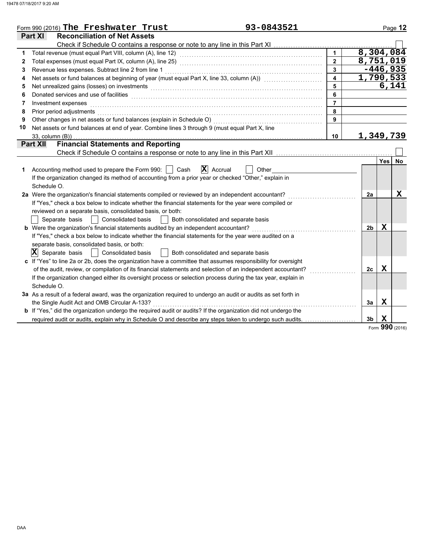|    | 93-0843521<br>Form 990 (2016) The Freshwater Trust                                                                          |                  |                |             | Page 12   |
|----|-----------------------------------------------------------------------------------------------------------------------------|------------------|----------------|-------------|-----------|
|    | <b>Reconciliation of Net Assets</b><br><b>Part XI</b>                                                                       |                  |                |             |           |
|    | Check if Schedule O contains a response or note to any line in this Part XI                                                 |                  |                |             |           |
| 1  |                                                                                                                             | $\mathbf{1}$     | 8,304,084      |             |           |
| 2  |                                                                                                                             | $\overline{2}$   | 8,751,019      |             |           |
| 3  | Revenue less expenses. Subtract line 2 from line 1                                                                          | $\overline{3}$   |                | $-446,935$  |           |
| 4  | Net assets or fund balances at beginning of year (must equal Part X, line 33, column (A)) [[[[[[[[[[[[[[[[[[[               | $\blacktriangle$ | 1,790,533      |             |           |
| 5  |                                                                                                                             | 5                |                | 6,141       |           |
| 6  | Donated services and use of facilities <b>constructs</b> and a service of the service of the services and use of facilities | 6                |                |             |           |
| 7  | Investment expenses                                                                                                         | $\overline{7}$   |                |             |           |
| 8  | Prior period adjustments                                                                                                    | 8                |                |             |           |
| 9  |                                                                                                                             | 9                |                |             |           |
| 10 | Net assets or fund balances at end of year. Combine lines 3 through 9 (must equal Part X, line                              |                  |                |             |           |
|    | $33$ , column $(B)$ )                                                                                                       | 10               | 1,349,739      |             |           |
|    | <b>Financial Statements and Reporting</b><br><b>Part XII</b>                                                                |                  |                |             |           |
|    |                                                                                                                             |                  |                |             |           |
|    |                                                                                                                             |                  |                | Yes         | <b>No</b> |
| 1  | $ \mathbf{X} $ Accrual<br>Accounting method used to prepare the Form 990:     Cash<br>Other                                 |                  |                |             |           |
|    | If the organization changed its method of accounting from a prior year or checked "Other," explain in                       |                  |                |             |           |
|    | Schedule O.                                                                                                                 |                  |                |             |           |
|    | 2a Were the organization's financial statements compiled or reviewed by an independent accountant?                          |                  | 2a             |             | х         |
|    | If "Yes," check a box below to indicate whether the financial statements for the year were compiled or                      |                  |                |             |           |
|    | reviewed on a separate basis, consolidated basis, or both:                                                                  |                  |                |             |           |
|    | Both consolidated and separate basis<br>Separate basis<br>Consolidated basis<br>$\mathcal{L}$                               |                  |                |             |           |
|    | <b>b</b> Were the organization's financial statements audited by an independent accountant?                                 |                  | 2 <sub>b</sub> | Х           |           |
|    | If "Yes," check a box below to indicate whether the financial statements for the year were audited on a                     |                  |                |             |           |
|    | separate basis, consolidated basis, or both:                                                                                |                  |                |             |           |
|    | $ \mathbf{X} $ Separate basis<br><b>Consolidated basis</b><br>Both consolidated and separate basis                          |                  |                |             |           |
|    | c If "Yes" to line 2a or 2b, does the organization have a committee that assumes responsibility for oversight               |                  |                |             |           |
|    | of the audit, review, or compilation of its financial statements and selection of an independent accountant?                |                  | 2c             | $\mathbf X$ |           |
|    | If the organization changed either its oversight process or selection process during the tax year, explain in               |                  |                |             |           |
|    | Schedule O.                                                                                                                 |                  |                |             |           |
|    | 3a As a result of a federal award, was the organization required to undergo an audit or audits as set forth in              |                  |                |             |           |
|    | the Single Audit Act and OMB Circular A-133?                                                                                |                  | 3a             | Х           |           |
|    | <b>b</b> If "Yes," did the organization undergo the required audit or audits? If the organization did not undergo the       |                  |                |             |           |
|    | required audit or audits, explain why in Schedule O and describe any steps taken to undergo such audits.                    |                  | 3 <sub>b</sub> | X<br>nne    |           |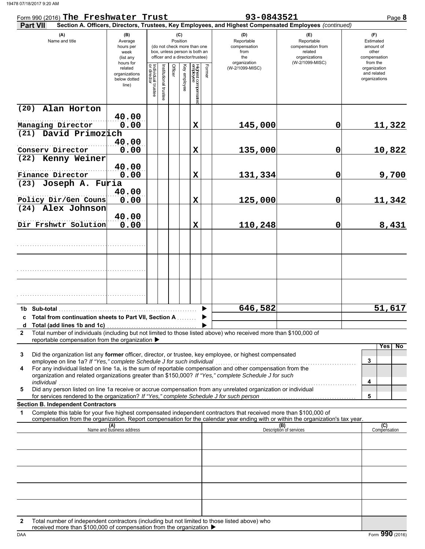| Form 990 (2016) The Freshwater Trust                                                                                                                                                                                                                                                                               |                                                               |                                   |                       |                 | 93-0843521   | Page 8                                                                                          |        |                                                                                                        |                                                                                       |                                                                    |
|--------------------------------------------------------------------------------------------------------------------------------------------------------------------------------------------------------------------------------------------------------------------------------------------------------------------|---------------------------------------------------------------|-----------------------------------|-----------------------|-----------------|--------------|-------------------------------------------------------------------------------------------------|--------|--------------------------------------------------------------------------------------------------------|---------------------------------------------------------------------------------------|--------------------------------------------------------------------|
| <b>Part VII</b>                                                                                                                                                                                                                                                                                                    |                                                               |                                   |                       |                 |              |                                                                                                 |        | Section A. Officers, Directors, Trustees, Key Employees, and Highest Compensated Employees (continued) |                                                                                       |                                                                    |
| (A)<br>Name and title                                                                                                                                                                                                                                                                                              | (B)<br>Average<br>hours per<br>week<br>(list any<br>hours for |                                   |                       | (C)<br>Position |              | (do not check more than one<br>box, unless person is both an<br>officer and a director/trustee) |        | (D)<br>Reportable<br>compensation<br>from<br>the<br>organization                                       | (E)<br>Reportable<br>compensation from<br>related<br>organizations<br>(W-2/1099-MISC) | (F)<br>Estimated<br>amount of<br>other<br>compensation<br>from the |
|                                                                                                                                                                                                                                                                                                                    | related<br>organizations<br>below dotted<br>line)             | Individual trustee<br>or director | Institutional trustee | Officer         | Key employee | Highest compensatec<br>employee                                                                 | Former | (W-2/1099-MISC)                                                                                        |                                                                                       | organization<br>and related<br>organizations                       |
| Alan Horton<br>(20)                                                                                                                                                                                                                                                                                                |                                                               |                                   |                       |                 |              |                                                                                                 |        |                                                                                                        |                                                                                       |                                                                    |
| Managing Director                                                                                                                                                                                                                                                                                                  | 40.00<br>0.00                                                 |                                   |                       |                 |              | $\mathbf X$                                                                                     |        | 145,000                                                                                                | 0                                                                                     | 11,322                                                             |
| (21) David Primozich                                                                                                                                                                                                                                                                                               |                                                               |                                   |                       |                 |              |                                                                                                 |        |                                                                                                        |                                                                                       |                                                                    |
|                                                                                                                                                                                                                                                                                                                    | 40.00                                                         |                                   |                       |                 |              |                                                                                                 |        |                                                                                                        |                                                                                       |                                                                    |
| Conserv Director                                                                                                                                                                                                                                                                                                   | 0.00                                                          |                                   |                       |                 |              | $\mathbf X$                                                                                     |        | 135,000                                                                                                | 0                                                                                     | 10,822                                                             |
| (22) Kenny Weiner                                                                                                                                                                                                                                                                                                  | 40.00                                                         |                                   |                       |                 |              |                                                                                                 |        |                                                                                                        |                                                                                       |                                                                    |
| Finance Director<br>(23) Joseph A. Furia                                                                                                                                                                                                                                                                           | 0.00                                                          |                                   |                       |                 |              | X                                                                                               |        | 131,334                                                                                                | 0                                                                                     | 9,700                                                              |
| Policy Dir/Gen Couns                                                                                                                                                                                                                                                                                               | 40.00<br>0.00                                                 |                                   |                       |                 |              | $\mathbf x$                                                                                     |        | 125,000                                                                                                | 0                                                                                     | 11,342                                                             |
| (24) Alex Johnson                                                                                                                                                                                                                                                                                                  |                                                               |                                   |                       |                 |              |                                                                                                 |        |                                                                                                        |                                                                                       |                                                                    |
| Dir Frshwtr Solution                                                                                                                                                                                                                                                                                               | 40.00<br>0.00                                                 |                                   |                       |                 |              | $\mathbf x$                                                                                     |        | 110,248                                                                                                | 0                                                                                     | 8,431                                                              |
|                                                                                                                                                                                                                                                                                                                    |                                                               |                                   |                       |                 |              |                                                                                                 |        |                                                                                                        |                                                                                       |                                                                    |
|                                                                                                                                                                                                                                                                                                                    |                                                               |                                   |                       |                 |              |                                                                                                 |        |                                                                                                        |                                                                                       |                                                                    |
|                                                                                                                                                                                                                                                                                                                    |                                                               |                                   |                       |                 |              |                                                                                                 |        |                                                                                                        |                                                                                       |                                                                    |
|                                                                                                                                                                                                                                                                                                                    |                                                               |                                   |                       |                 |              |                                                                                                 |        |                                                                                                        |                                                                                       |                                                                    |
| 1b Sub-total<br>c Total from continuation sheets to Part VII, Section A                                                                                                                                                                                                                                            |                                                               |                                   |                       |                 |              |                                                                                                 |        | 646,582                                                                                                |                                                                                       | 51,617                                                             |
|                                                                                                                                                                                                                                                                                                                    |                                                               |                                   |                       |                 |              |                                                                                                 |        |                                                                                                        |                                                                                       |                                                                    |
| Total number of individuals (including but not limited to those listed above) who received more than \$100,000 of<br>2<br>reportable compensation from the organization ▶                                                                                                                                          |                                                               |                                   |                       |                 |              |                                                                                                 |        |                                                                                                        |                                                                                       |                                                                    |
| Did the organization list any <b>former</b> officer, director, or trustee, key employee, or highest compensated<br>3<br>employee on line 1a? If "Yes," complete Schedule J for such individual<br>For any individual listed on line 1a, is the sum of reportable compensation and other compensation from the<br>4 |                                                               |                                   |                       |                 |              |                                                                                                 |        |                                                                                                        |                                                                                       | Yes<br>No.<br>3                                                    |
| organization and related organizations greater than \$150,000? If "Yes," complete Schedule J for such<br>individual<br>marviadar<br>Did any person listed on line 1a receive or accrue compensation from any unrelated organization or individual<br>5                                                             |                                                               |                                   |                       |                 |              |                                                                                                 |        |                                                                                                        |                                                                                       | 4                                                                  |
| for services rendered to the organization? If "Yes," complete Schedule J for such person                                                                                                                                                                                                                           |                                                               |                                   |                       |                 |              |                                                                                                 |        |                                                                                                        |                                                                                       | 5                                                                  |
| <b>Section B. Independent Contractors</b>                                                                                                                                                                                                                                                                          |                                                               |                                   |                       |                 |              |                                                                                                 |        |                                                                                                        |                                                                                       |                                                                    |
| Complete this table for your five highest compensated independent contractors that received more than \$100,000 of<br>1<br>compensation from the organization. Report compensation for the calendar year ending with or within the organization's tax year.                                                        |                                                               |                                   |                       |                 |              |                                                                                                 |        |                                                                                                        |                                                                                       |                                                                    |
|                                                                                                                                                                                                                                                                                                                    | (A)<br>Name and business address                              |                                   |                       |                 |              |                                                                                                 |        |                                                                                                        | (B)<br>Description of services                                                        | (C)<br>Compensation                                                |
|                                                                                                                                                                                                                                                                                                                    |                                                               |                                   |                       |                 |              |                                                                                                 |        |                                                                                                        |                                                                                       |                                                                    |
|                                                                                                                                                                                                                                                                                                                    |                                                               |                                   |                       |                 |              |                                                                                                 |        |                                                                                                        |                                                                                       |                                                                    |
|                                                                                                                                                                                                                                                                                                                    |                                                               |                                   |                       |                 |              |                                                                                                 |        |                                                                                                        |                                                                                       |                                                                    |
|                                                                                                                                                                                                                                                                                                                    |                                                               |                                   |                       |                 |              |                                                                                                 |        |                                                                                                        |                                                                                       |                                                                    |
|                                                                                                                                                                                                                                                                                                                    |                                                               |                                   |                       |                 |              |                                                                                                 |        |                                                                                                        |                                                                                       |                                                                    |
| Total number of independent contractors (including but not limited to those listed above) who<br>2<br>received more than \$100,000 of compensation from the organization ▶                                                                                                                                         |                                                               |                                   |                       |                 |              |                                                                                                 |        |                                                                                                        |                                                                                       |                                                                    |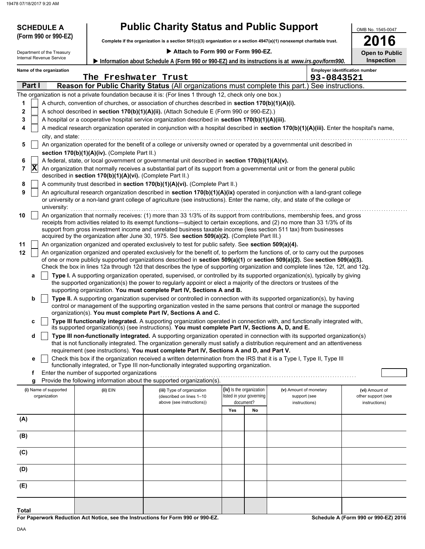### **SCHEDULE A Public Charity Status and Public Support**

**Complete if the organization is a section 501(c)(3) organization or a section 4947(a)(1) nonexempt charitable trust. (Form 990 or 990-EZ)**

| Π              | L<br>η, |          |    |
|----------------|---------|----------|----|
| n <sub>1</sub> | to i    | 'n<br>е. | ßЫ |

OMB No. 1545-0047

| Attach to Form 990 or Form 990-EZ.<br>Department of the Treasury |                |                          |  |                                                            |                                                                                                                                                                                                                                  | <b>Open to Public</b> |                                                      |                               |                                       |                                      |
|------------------------------------------------------------------|----------------|--------------------------|--|------------------------------------------------------------|----------------------------------------------------------------------------------------------------------------------------------------------------------------------------------------------------------------------------------|-----------------------|------------------------------------------------------|-------------------------------|---------------------------------------|--------------------------------------|
|                                                                  |                | Internal Revenue Service |  |                                                            | Information about Schedule A (Form 990 or 990-EZ) and its instructions is at www.irs.gov/form990.                                                                                                                                |                       |                                                      |                               |                                       | <b>Inspection</b>                    |
|                                                                  |                | Name of the organization |  |                                                            |                                                                                                                                                                                                                                  |                       |                                                      |                               | <b>Employer identification number</b> |                                      |
|                                                                  |                |                          |  | The Freshwater Trust                                       |                                                                                                                                                                                                                                  |                       |                                                      |                               | 93-0843521                            |                                      |
|                                                                  | Part I         |                          |  |                                                            | Reason for Public Charity Status (All organizations must complete this part.) See instructions.                                                                                                                                  |                       |                                                      |                               |                                       |                                      |
|                                                                  |                |                          |  |                                                            | The organization is not a private foundation because it is: (For lines 1 through 12, check only one box.)                                                                                                                        |                       |                                                      |                               |                                       |                                      |
| 1                                                                |                |                          |  |                                                            | A church, convention of churches, or association of churches described in section 170(b)(1)(A)(i).                                                                                                                               |                       |                                                      |                               |                                       |                                      |
| 2                                                                |                |                          |  |                                                            | A school described in section 170(b)(1)(A)(ii). (Attach Schedule E (Form 990 or 990-EZ).)                                                                                                                                        |                       |                                                      |                               |                                       |                                      |
| 3                                                                |                |                          |  |                                                            | A hospital or a cooperative hospital service organization described in section 170(b)(1)(A)(iii).                                                                                                                                |                       |                                                      |                               |                                       |                                      |
| 4                                                                |                |                          |  |                                                            | A medical research organization operated in conjunction with a hospital described in section 170(b)(1)(A)(iii). Enter the hospital's name,                                                                                       |                       |                                                      |                               |                                       |                                      |
|                                                                  |                | city, and state:         |  |                                                            |                                                                                                                                                                                                                                  |                       |                                                      |                               |                                       |                                      |
| 5                                                                |                |                          |  |                                                            | An organization operated for the benefit of a college or university owned or operated by a governmental unit described in                                                                                                        |                       |                                                      |                               |                                       |                                      |
|                                                                  |                |                          |  | section 170(b)(1)(A)(iv). (Complete Part II.)              |                                                                                                                                                                                                                                  |                       |                                                      |                               |                                       |                                      |
| 6                                                                |                |                          |  |                                                            | A federal, state, or local government or governmental unit described in section 170(b)(1)(A)(v).                                                                                                                                 |                       |                                                      |                               |                                       |                                      |
| 7                                                                | $ \mathbf{X} $ |                          |  | described in section 170(b)(1)(A)(vi). (Complete Part II.) | An organization that normally receives a substantial part of its support from a governmental unit or from the general public                                                                                                     |                       |                                                      |                               |                                       |                                      |
| 8                                                                |                |                          |  |                                                            | A community trust described in section 170(b)(1)(A)(vi). (Complete Part II.)                                                                                                                                                     |                       |                                                      |                               |                                       |                                      |
| 9                                                                |                |                          |  |                                                            | An agricultural research organization described in section 170(b)(1)(A)(ix) operated in conjunction with a land-grant college                                                                                                    |                       |                                                      |                               |                                       |                                      |
|                                                                  |                | university:              |  |                                                            | or university or a non-land grant college of agriculture (see instructions). Enter the name, city, and state of the college or                                                                                                   |                       |                                                      |                               |                                       |                                      |
| 10                                                               |                |                          |  |                                                            | An organization that normally receives: (1) more than 33 1/3% of its support from contributions, membership fees, and gross                                                                                                      |                       |                                                      |                               |                                       |                                      |
|                                                                  |                |                          |  |                                                            | receipts from activities related to its exempt functions—subject to certain exceptions, and (2) no more than 33 1/3% of its                                                                                                      |                       |                                                      |                               |                                       |                                      |
|                                                                  |                |                          |  |                                                            | support from gross investment income and unrelated business taxable income (less section 511 tax) from businesses<br>acquired by the organization after June 30, 1975. See section 509(a)(2). (Complete Part III.)               |                       |                                                      |                               |                                       |                                      |
| 11                                                               |                |                          |  |                                                            | An organization organized and operated exclusively to test for public safety. See section 509(a)(4).                                                                                                                             |                       |                                                      |                               |                                       |                                      |
| 12                                                               |                |                          |  |                                                            | An organization organized and operated exclusively for the benefit of, to perform the functions of, or to carry out the purposes                                                                                                 |                       |                                                      |                               |                                       |                                      |
|                                                                  |                |                          |  |                                                            | of one or more publicly supported organizations described in section 509(a)(1) or section 509(a)(2). See section 509(a)(3).                                                                                                      |                       |                                                      |                               |                                       |                                      |
|                                                                  |                |                          |  |                                                            | Check the box in lines 12a through 12d that describes the type of supporting organization and complete lines 12e, 12f, and 12g.                                                                                                  |                       |                                                      |                               |                                       |                                      |
|                                                                  | а              |                          |  |                                                            | Type I. A supporting organization operated, supervised, or controlled by its supported organization(s), typically by giving                                                                                                      |                       |                                                      |                               |                                       |                                      |
|                                                                  |                |                          |  |                                                            | the supported organization(s) the power to regularly appoint or elect a majority of the directors or trustees of the<br>supporting organization. You must complete Part IV, Sections A and B.                                    |                       |                                                      |                               |                                       |                                      |
|                                                                  | b              |                          |  |                                                            | Type II. A supporting organization supervised or controlled in connection with its supported organization(s), by having                                                                                                          |                       |                                                      |                               |                                       |                                      |
|                                                                  |                |                          |  |                                                            | control or management of the supporting organization vested in the same persons that control or manage the supported                                                                                                             |                       |                                                      |                               |                                       |                                      |
|                                                                  |                |                          |  |                                                            | organization(s). You must complete Part IV, Sections A and C.                                                                                                                                                                    |                       |                                                      |                               |                                       |                                      |
|                                                                  | c              |                          |  |                                                            | Type III functionally integrated. A supporting organization operated in connection with, and functionally integrated with,<br>its supported organization(s) (see instructions). You must complete Part IV, Sections A, D, and E. |                       |                                                      |                               |                                       |                                      |
|                                                                  | d              |                          |  |                                                            | Type III non-functionally integrated. A supporting organization operated in connection with its supported organization(s)                                                                                                        |                       |                                                      |                               |                                       |                                      |
|                                                                  |                |                          |  |                                                            | that is not functionally integrated. The organization generally must satisfy a distribution requirement and an attentiveness                                                                                                     |                       |                                                      |                               |                                       |                                      |
|                                                                  |                |                          |  |                                                            | requirement (see instructions). You must complete Part IV, Sections A and D, and Part V.                                                                                                                                         |                       |                                                      |                               |                                       |                                      |
|                                                                  |                |                          |  |                                                            | Check this box if the organization received a written determination from the IRS that it is a Type I, Type II, Type III<br>functionally integrated, or Type III non-functionally integrated supporting organization.             |                       |                                                      |                               |                                       |                                      |
|                                                                  | f              |                          |  | Enter the number of supported organizations                |                                                                                                                                                                                                                                  |                       |                                                      |                               |                                       |                                      |
|                                                                  | g              |                          |  |                                                            | Provide the following information about the supported organization(s).                                                                                                                                                           |                       |                                                      |                               |                                       |                                      |
|                                                                  |                | (i) Name of supported    |  | (ii) EIN                                                   | (iii) Type of organization                                                                                                                                                                                                       |                       | (iv) Is the organization<br>listed in your governing | (v) Amount of monetary        |                                       | (vi) Amount of<br>other support (see |
|                                                                  |                | organization             |  |                                                            | (described on lines 1-10<br>above (see instructions))                                                                                                                                                                            |                       | document?                                            | support (see<br>instructions) |                                       | instructions)                        |
|                                                                  |                |                          |  |                                                            |                                                                                                                                                                                                                                  | Yes                   | No                                                   |                               |                                       |                                      |
| (A)                                                              |                |                          |  |                                                            |                                                                                                                                                                                                                                  |                       |                                                      |                               |                                       |                                      |
|                                                                  |                |                          |  |                                                            |                                                                                                                                                                                                                                  |                       |                                                      |                               |                                       |                                      |
|                                                                  | (B)            |                          |  |                                                            |                                                                                                                                                                                                                                  |                       |                                                      |                               |                                       |                                      |
| (C)                                                              |                |                          |  |                                                            |                                                                                                                                                                                                                                  |                       |                                                      |                               |                                       |                                      |
|                                                                  |                |                          |  |                                                            |                                                                                                                                                                                                                                  |                       |                                                      |                               |                                       |                                      |
| (D)                                                              |                |                          |  |                                                            |                                                                                                                                                                                                                                  |                       |                                                      |                               |                                       |                                      |
| (E)                                                              |                |                          |  |                                                            |                                                                                                                                                                                                                                  |                       |                                                      |                               |                                       |                                      |

**For Paperwork Reduction Act Notice, see the Instructions for Form 990 or 990-EZ.**

**Schedule A (Form 990 or 990-EZ) 2016**

**Total**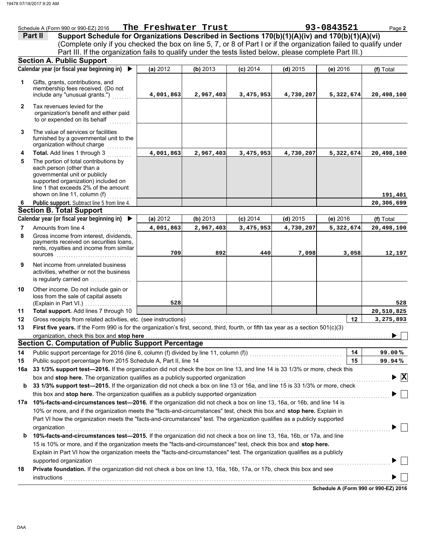|              | 93-0843521<br>The Freshwater Trust<br>Schedule A (Form 990 or 990-EZ) 2016<br>Page 2                                                                                                                              |           |           |            |            |           |                                    |  |  |
|--------------|-------------------------------------------------------------------------------------------------------------------------------------------------------------------------------------------------------------------|-----------|-----------|------------|------------|-----------|------------------------------------|--|--|
|              | Support Schedule for Organizations Described in Sections 170(b)(1)(A)(iv) and 170(b)(1)(A)(vi)<br>Part II                                                                                                         |           |           |            |            |           |                                    |  |  |
|              | (Complete only if you checked the box on line 5, 7, or 8 of Part I or if the organization failed to qualify under                                                                                                 |           |           |            |            |           |                                    |  |  |
|              | Part III. If the organization fails to qualify under the tests listed below, please complete Part III.)                                                                                                           |           |           |            |            |           |                                    |  |  |
|              | <b>Section A. Public Support</b>                                                                                                                                                                                  |           |           |            |            |           |                                    |  |  |
|              | Calendar year (or fiscal year beginning in)                                                                                                                                                                       | (a) 2012  | (b) 2013  | $(c)$ 2014 | $(d)$ 2015 | (e) 2016  | (f) Total                          |  |  |
| 1            | Gifts, grants, contributions, and                                                                                                                                                                                 |           |           |            |            |           |                                    |  |  |
|              | membership fees received. (Do not                                                                                                                                                                                 |           |           |            |            |           |                                    |  |  |
|              | include any "unusual grants.")                                                                                                                                                                                    | 4,001,863 | 2,967,403 | 3,475,953  | 4,730,207  | 5,322,674 | 20,498,100                         |  |  |
| $\mathbf{2}$ | Tax revenues levied for the                                                                                                                                                                                       |           |           |            |            |           |                                    |  |  |
|              | organization's benefit and either paid                                                                                                                                                                            |           |           |            |            |           |                                    |  |  |
|              | to or expended on its behalf                                                                                                                                                                                      |           |           |            |            |           |                                    |  |  |
| 3            | The value of services or facilities                                                                                                                                                                               |           |           |            |            |           |                                    |  |  |
|              | furnished by a governmental unit to the                                                                                                                                                                           |           |           |            |            |           |                                    |  |  |
|              | organization without charge                                                                                                                                                                                       |           |           |            |            |           |                                    |  |  |
| 4            | Total. Add lines 1 through 3                                                                                                                                                                                      | 4,001,863 | 2,967,403 | 3,475,953  | 4,730,207  | 5,322,674 | 20,498,100                         |  |  |
| 5            | The portion of total contributions by<br>each person (other than a                                                                                                                                                |           |           |            |            |           |                                    |  |  |
|              | governmental unit or publicly                                                                                                                                                                                     |           |           |            |            |           |                                    |  |  |
|              | supported organization) included on                                                                                                                                                                               |           |           |            |            |           |                                    |  |  |
|              | line 1 that exceeds 2% of the amount<br>shown on line 11, column (f)                                                                                                                                              |           |           |            |            |           |                                    |  |  |
| 6            | .<br>Public support. Subtract line 5 from line 4.                                                                                                                                                                 |           |           |            |            |           | 191,401<br>20,306,699              |  |  |
|              | <b>Section B. Total Support</b>                                                                                                                                                                                   |           |           |            |            |           |                                    |  |  |
|              | Calendar year (or fiscal year beginning in) ▶                                                                                                                                                                     | (a) 2012  | (b) 2013  | $(c)$ 2014 | $(d)$ 2015 | (e) 2016  | (f) Total                          |  |  |
| 7            | Amounts from line 4                                                                                                                                                                                               | 4,001,863 | 2,967,403 | 3,475,953  | 4,730,207  | 5,322,674 | 20,498,100                         |  |  |
| 8            | Gross income from interest, dividends,                                                                                                                                                                            |           |           |            |            |           |                                    |  |  |
|              | payments received on securities loans,                                                                                                                                                                            |           |           |            |            |           |                                    |  |  |
|              | rents, royalties and income from similar<br>sources                                                                                                                                                               | 709       | 892       | 440        | 7,098      | 3,058     | 12,197                             |  |  |
|              | Net income from unrelated business                                                                                                                                                                                |           |           |            |            |           |                                    |  |  |
| 9            | activities, whether or not the business                                                                                                                                                                           |           |           |            |            |           |                                    |  |  |
|              | is regularly carried on                                                                                                                                                                                           |           |           |            |            |           |                                    |  |  |
| 10           | Other income. Do not include gain or                                                                                                                                                                              |           |           |            |            |           |                                    |  |  |
|              | loss from the sale of capital assets                                                                                                                                                                              |           |           |            |            |           |                                    |  |  |
|              | (Explain in Part VI.)                                                                                                                                                                                             | 528       |           |            |            |           | 528                                |  |  |
| 11           | Total support. Add lines 7 through 10                                                                                                                                                                             |           |           |            |            |           | 20,510,825                         |  |  |
| 12           | Gross receipts from related activities, etc. (see instructions)                                                                                                                                                   |           |           |            |            | 12        | 3,275,893                          |  |  |
| 13           | First five years. If the Form 990 is for the organization's first, second, third, fourth, or fifth tax year as a section 501(c)(3)                                                                                |           |           |            |            |           | $\overline{\phantom{a}}$           |  |  |
|              | organization, check this box and stop here                                                                                                                                                                        |           |           |            |            |           |                                    |  |  |
|              | <b>Section C. Computation of Public Support Percentage</b>                                                                                                                                                        |           |           |            |            |           |                                    |  |  |
| 14           |                                                                                                                                                                                                                   |           |           |            |            | 14        | 99.00%                             |  |  |
| 15           | Public support percentage from 2015 Schedule A, Part II, line 14<br>33 1/3% support test-2016. If the organization did not check the box on line 13, and line 14 is 33 1/3% or more, check this                   |           |           |            |            | 15        | 99.94%                             |  |  |
| 16a          |                                                                                                                                                                                                                   |           |           |            |            |           | $\blacktriangleright \overline{X}$ |  |  |
| b            | box and stop here. The organization qualifies as a publicly supported organization<br>33 1/3% support test-2015. If the organization did not check a box on line 13 or 16a, and line 15 is 33 1/3% or more, check |           |           |            |            |           |                                    |  |  |
|              | this box and stop here. The organization qualifies as a publicly supported organization                                                                                                                           |           |           |            |            |           |                                    |  |  |
| 17а          | 10%-facts-and-circumstances test-2016. If the organization did not check a box on line 13, 16a, or 16b, and line 14 is                                                                                            |           |           |            |            |           |                                    |  |  |
|              | 10% or more, and if the organization meets the "facts-and-circumstances" test, check this box and stop here. Explain in                                                                                           |           |           |            |            |           |                                    |  |  |
|              | Part VI how the organization meets the "facts-and-circumstances" test. The organization qualifies as a publicly supported                                                                                         |           |           |            |            |           |                                    |  |  |
|              | organization                                                                                                                                                                                                      |           |           |            |            |           |                                    |  |  |
| b            | 10%-facts-and-circumstances test-2015. If the organization did not check a box on line 13, 16a, 16b, or 17a, and line                                                                                             |           |           |            |            |           |                                    |  |  |
|              | 15 is 10% or more, and if the organization meets the "facts-and-circumstances" test, check this box and stop here.                                                                                                |           |           |            |            |           |                                    |  |  |
|              | Explain in Part VI how the organization meets the "facts-and-circumstances" test. The organization qualifies as a publicly                                                                                        |           |           |            |            |           |                                    |  |  |
|              | supported organization                                                                                                                                                                                            |           |           |            |            |           |                                    |  |  |
| 18           | Private foundation. If the organization did not check a box on line 13, 16a, 16b, 17a, or 17b, check this box and see                                                                                             |           |           |            |            |           |                                    |  |  |
|              | instructions                                                                                                                                                                                                      |           |           |            |            |           |                                    |  |  |
|              |                                                                                                                                                                                                                   |           |           |            |            |           |                                    |  |  |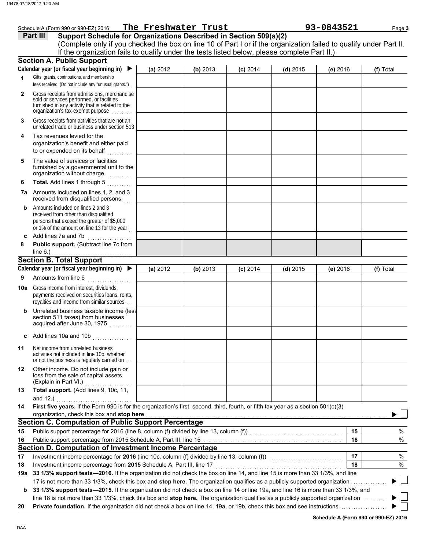| Schedule A (Form 990 or 990-EZ) 2016 | The Freshwater Trust |                                                                   | 93-0843521                                                                                                     | Page 3 |
|--------------------------------------|----------------------|-------------------------------------------------------------------|----------------------------------------------------------------------------------------------------------------|--------|
| Part III                             |                      | Support Schedule for Organizations Described in Section 509(a)(2) |                                                                                                                |        |
|                                      |                      |                                                                   | Complete only if you aboaled the how on line 10 of Dort Lar if the examination foiled to qualify under Dort II |        |

|     | (Complete only if you checked the box on line 10 of Part I or if the organization failed to qualify under Part II.<br>If the organization fails to qualify under the tests listed below, please complete Part II.)                                                   |          |          |            |            |          |           |
|-----|----------------------------------------------------------------------------------------------------------------------------------------------------------------------------------------------------------------------------------------------------------------------|----------|----------|------------|------------|----------|-----------|
|     | <b>Section A. Public Support</b>                                                                                                                                                                                                                                     |          |          |            |            |          |           |
|     | Calendar year (or fiscal year beginning in) $\blacktriangleright$                                                                                                                                                                                                    | (a) 2012 | (b) 2013 | $(c)$ 2014 | $(d)$ 2015 | (e) 2016 | (f) Total |
| 1   | Gifts, grants, contributions, and membership<br>fees received. (Do not include any "unusual grants.")                                                                                                                                                                |          |          |            |            |          |           |
| 2   | Gross receipts from admissions, merchandise<br>sold or services performed, or facilities<br>furnished in any activity that is related to the<br>organization's tax-exempt purpose                                                                                    |          |          |            |            |          |           |
| 3   | Gross receipts from activities that are not an<br>unrelated trade or business under section 513                                                                                                                                                                      |          |          |            |            |          |           |
| 4   | Tax revenues levied for the<br>organization's benefit and either paid<br>to or expended on its behalf<br><u>.</u>                                                                                                                                                    |          |          |            |            |          |           |
| 5   | The value of services or facilities<br>furnished by a governmental unit to the<br>organization without charge<br>.                                                                                                                                                   |          |          |            |            |          |           |
| 6   | Total. Add lines 1 through 5                                                                                                                                                                                                                                         |          |          |            |            |          |           |
|     | 7a Amounts included on lines 1, 2, and 3<br>received from disqualified persons                                                                                                                                                                                       |          |          |            |            |          |           |
| b   | Amounts included on lines 2 and 3<br>received from other than disqualified<br>persons that exceed the greater of \$5,000<br>or 1% of the amount on line 13 for the year                                                                                              |          |          |            |            |          |           |
| c   | Add lines 7a and 7b                                                                                                                                                                                                                                                  |          |          |            |            |          |           |
| 8   | Public support. (Subtract line 7c from<br>line $6.$ )                                                                                                                                                                                                                |          |          |            |            |          |           |
|     | <b>Section B. Total Support</b>                                                                                                                                                                                                                                      |          |          |            |            |          |           |
|     | Calendar year (or fiscal year beginning in) $\blacktriangleright$                                                                                                                                                                                                    | (a) 2012 | (b) 2013 | $(c)$ 2014 | $(d)$ 2015 | (e) 2016 | (f) Total |
| 9   | Amounts from line 6                                                                                                                                                                                                                                                  |          |          |            |            |          |           |
| 10a | Gross income from interest, dividends,<br>payments received on securities loans, rents,<br>royalties and income from similar sources                                                                                                                                 |          |          |            |            |          |           |
| b   | Unrelated business taxable income (less<br>section 511 taxes) from businesses<br>acquired after June 30, 1975<br>a sa sa salalar                                                                                                                                     |          |          |            |            |          |           |
| c   | Add lines 10a and 10b<br>.                                                                                                                                                                                                                                           |          |          |            |            |          |           |
| 11  | Net income from unrelated business<br>activities not included in line 10b, whether<br>or not the business is regularly carried on.                                                                                                                                   |          |          |            |            |          |           |
| 12  | Other income. Do not include gain or<br>loss from the sale of capital assets<br>(Explain in Part VI.)                                                                                                                                                                |          |          |            |            |          |           |
| 13  | Total support. (Add lines 9, 10c, 11,                                                                                                                                                                                                                                |          |          |            |            |          |           |
|     | and 12.)                                                                                                                                                                                                                                                             |          |          |            |            |          |           |
| 14  | First five years. If the Form 990 is for the organization's first, second, third, fourth, or fifth tax year as a section 501(c)(3)                                                                                                                                   |          |          |            |            |          |           |
|     | organization, check this box and stop here                                                                                                                                                                                                                           |          |          |            |            |          |           |
|     | <b>Section C. Computation of Public Support Percentage</b>                                                                                                                                                                                                           |          |          |            |            |          |           |
| 15  | Public support percentage for 2016 (line 8, column (f) divided by line 13, column (f)) [[[[[[[[[[[[[[[[[[[[[[                                                                                                                                                        |          |          |            |            | 15       | %         |
| 16  |                                                                                                                                                                                                                                                                      |          |          |            |            | 16       | $\%$      |
|     | Section D. Computation of Investment Income Percentage                                                                                                                                                                                                               |          |          |            |            |          |           |
| 17  | Investment income percentage for 2016 (line 10c, column (f) divided by line 13, column (f)) [[[[[[[[[[[[[[[[[                                                                                                                                                        |          |          |            |            | 17       | %         |
| 18  | Investment income percentage from 2015 Schedule A, Part III, line 17                                                                                                                                                                                                 |          |          |            |            | 18       | $\%$      |
| 19a | 33 1/3% support tests-2016. If the organization did not check the box on line 14, and line 15 is more than 33 1/3%, and line                                                                                                                                         |          |          |            |            |          |           |
|     | 17 is not more than 33 1/3%, check this box and stop here. The organization qualifies as a publicly supported organization                                                                                                                                           |          |          |            |            |          |           |
| b   | 33 1/3% support tests—2015. If the organization did not check a box on line 14 or line 19a, and line 16 is more than 33 1/3%, and<br>line 18 is not more than 33 1/3%, check this box and stop here. The organization qualifies as a publicly supported organization |          |          |            |            |          |           |
| 20  |                                                                                                                                                                                                                                                                      |          |          |            |            |          |           |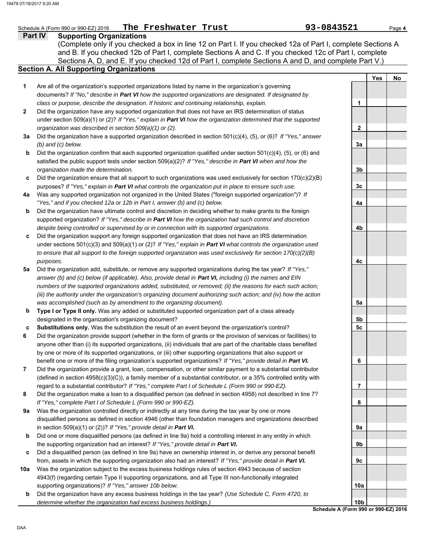|              | 93-0843521<br>The Freshwater Trust<br>Schedule A (Form 990 or 990-EZ) 2016                                                                                                                                                                                                                                                                                                         |                 |            | Page 4 |
|--------------|------------------------------------------------------------------------------------------------------------------------------------------------------------------------------------------------------------------------------------------------------------------------------------------------------------------------------------------------------------------------------------|-----------------|------------|--------|
|              | <b>Part IV</b><br><b>Supporting Organizations</b><br>(Complete only if you checked a box in line 12 on Part I. If you checked 12a of Part I, complete Sections A<br>and B. If you checked 12b of Part I, complete Sections A and C. If you checked 12c of Part I, complete<br>Sections A, D, and E. If you checked 12d of Part I, complete Sections A and D, and complete Part V.) |                 |            |        |
|              | <b>Section A. All Supporting Organizations</b>                                                                                                                                                                                                                                                                                                                                     |                 |            |        |
| 1            | Are all of the organization's supported organizations listed by name in the organization's governing                                                                                                                                                                                                                                                                               |                 | <b>Yes</b> | No     |
|              | documents? If "No," describe in Part VI how the supported organizations are designated. If designated by<br>class or purpose, describe the designation. If historic and continuing relationship, explain.                                                                                                                                                                          | 1               |            |        |
| $\mathbf{2}$ | Did the organization have any supported organization that does not have an IRS determination of status                                                                                                                                                                                                                                                                             |                 |            |        |
|              | under section 509(a)(1) or (2)? If "Yes," explain in Part VI how the organization determined that the supported                                                                                                                                                                                                                                                                    |                 |            |        |
|              | organization was described in section 509(a)(1) or (2).                                                                                                                                                                                                                                                                                                                            | 2               |            |        |
| За           | Did the organization have a supported organization described in section 501(c)(4), (5), or (6)? If "Yes," answer                                                                                                                                                                                                                                                                   |                 |            |        |
|              | $(b)$ and $(c)$ below.                                                                                                                                                                                                                                                                                                                                                             | За              |            |        |
| b            | Did the organization confirm that each supported organization qualified under section 501(c)(4), (5), or (6) and                                                                                                                                                                                                                                                                   |                 |            |        |
|              | satisfied the public support tests under section 509(a)(2)? If "Yes," describe in Part VI when and how the<br>organization made the determination.                                                                                                                                                                                                                                 | 3b              |            |        |
| C            | Did the organization ensure that all support to such organizations was used exclusively for section 170(c)(2)(B)                                                                                                                                                                                                                                                                   |                 |            |        |
|              | purposes? If "Yes," explain in Part VI what controls the organization put in place to ensure such use.                                                                                                                                                                                                                                                                             | 3 <sub>c</sub>  |            |        |
| 4a           | Was any supported organization not organized in the United States ("foreign supported organization")? If                                                                                                                                                                                                                                                                           |                 |            |        |
|              | "Yes," and if you checked 12a or 12b in Part I, answer (b) and (c) below.                                                                                                                                                                                                                                                                                                          | 4a              |            |        |
| b            | Did the organization have ultimate control and discretion in deciding whether to make grants to the foreign                                                                                                                                                                                                                                                                        |                 |            |        |
|              | supported organization? If "Yes," describe in Part VI how the organization had such control and discretion                                                                                                                                                                                                                                                                         |                 |            |        |
|              | despite being controlled or supervised by or in connection with its supported organizations.                                                                                                                                                                                                                                                                                       | 4b              |            |        |
| c            | Did the organization support any foreign supported organization that does not have an IRS determination                                                                                                                                                                                                                                                                            |                 |            |        |
|              | under sections $501(c)(3)$ and $509(a)(1)$ or (2)? If "Yes," explain in Part VI what controls the organization used                                                                                                                                                                                                                                                                |                 |            |        |
|              | to ensure that all support to the foreign supported organization was used exclusively for section $170(c)(2)(B)$<br>purposes.                                                                                                                                                                                                                                                      | 4c              |            |        |
| 5a           | Did the organization add, substitute, or remove any supported organizations during the tax year? If "Yes,"                                                                                                                                                                                                                                                                         |                 |            |        |
|              | answer (b) and (c) below (if applicable). Also, provide detail in Part VI, including (i) the names and EIN                                                                                                                                                                                                                                                                         |                 |            |        |
|              | numbers of the supported organizations added, substituted, or removed; (ii) the reasons for each such action;                                                                                                                                                                                                                                                                      |                 |            |        |
|              | (iii) the authority under the organization's organizing document authorizing such action; and (iv) how the action                                                                                                                                                                                                                                                                  |                 |            |        |
|              | was accomplished (such as by amendment to the organizing document).                                                                                                                                                                                                                                                                                                                | 5a              |            |        |
| b            | Type I or Type II only. Was any added or substituted supported organization part of a class already                                                                                                                                                                                                                                                                                |                 |            |        |
|              | designated in the organization's organizing document?                                                                                                                                                                                                                                                                                                                              | 5b              |            |        |
| C            | <b>Substitutions only.</b> Was the substitution the result of an event beyond the organization's control?                                                                                                                                                                                                                                                                          | 5 <sub>c</sub>  |            |        |
| 6            | Did the organization provide support (whether in the form of grants or the provision of services or facilities) to<br>anyone other than (i) its supported organizations, (ii) individuals that are part of the charitable class benefited                                                                                                                                          |                 |            |        |
|              | by one or more of its supported organizations, or (iii) other supporting organizations that also support or                                                                                                                                                                                                                                                                        |                 |            |        |
|              | benefit one or more of the filing organization's supported organizations? If "Yes," provide detail in Part VI.                                                                                                                                                                                                                                                                     | 6               |            |        |
| 7            | Did the organization provide a grant, loan, compensation, or other similar payment to a substantial contributor                                                                                                                                                                                                                                                                    |                 |            |        |
|              | (defined in section 4958(c)(3)(C)), a family member of a substantial contributor, or a 35% controlled entity with                                                                                                                                                                                                                                                                  |                 |            |        |
|              | regard to a substantial contributor? If "Yes," complete Part I of Schedule L (Form 990 or 990-EZ).                                                                                                                                                                                                                                                                                 | 7               |            |        |
| 8            | Did the organization make a loan to a disqualified person (as defined in section 4958) not described in line 7?                                                                                                                                                                                                                                                                    |                 |            |        |
|              | If "Yes," complete Part I of Schedule L (Form 990 or 990-EZ).                                                                                                                                                                                                                                                                                                                      | 8               |            |        |
| 9а           | Was the organization controlled directly or indirectly at any time during the tax year by one or more                                                                                                                                                                                                                                                                              |                 |            |        |
|              | disqualified persons as defined in section 4946 (other than foundation managers and organizations described<br>in section 509(a)(1) or (2))? If "Yes," provide detail in Part VI.                                                                                                                                                                                                  | 9а              |            |        |
| b            | Did one or more disqualified persons (as defined in line 9a) hold a controlling interest in any entity in which                                                                                                                                                                                                                                                                    |                 |            |        |
|              | the supporting organization had an interest? If "Yes," provide detail in Part VI.                                                                                                                                                                                                                                                                                                  | 9b              |            |        |
| c            | Did a disqualified person (as defined in line 9a) have an ownership interest in, or derive any personal benefit                                                                                                                                                                                                                                                                    |                 |            |        |
|              | from, assets in which the supporting organization also had an interest? If "Yes," provide detail in Part VI.                                                                                                                                                                                                                                                                       | 9с              |            |        |
| 10a          | Was the organization subject to the excess business holdings rules of section 4943 because of section                                                                                                                                                                                                                                                                              |                 |            |        |
|              | 4943(f) (regarding certain Type II supporting organizations, and all Type III non-functionally integrated                                                                                                                                                                                                                                                                          |                 |            |        |
|              | supporting organizations)? If "Yes," answer 10b below.                                                                                                                                                                                                                                                                                                                             | 10a             |            |        |
| b            | Did the organization have any excess business holdings in the tax year? (Use Schedule C, Form 4720, to                                                                                                                                                                                                                                                                             |                 |            |        |
|              | determine whether the organization had excess business holdings.)<br>Schedule A (Form 990 or 990-EZ) 2016                                                                                                                                                                                                                                                                          | 10 <sub>b</sub> |            |        |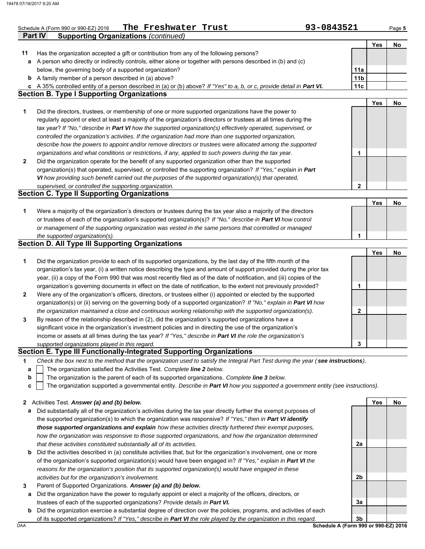|              | <b>Supporting Organizations (continued)</b><br>Part IV                                                                                                                                                                   |                 |            |    |
|--------------|--------------------------------------------------------------------------------------------------------------------------------------------------------------------------------------------------------------------------|-----------------|------------|----|
|              |                                                                                                                                                                                                                          |                 | <b>Yes</b> | No |
| 11           | Has the organization accepted a gift or contribution from any of the following persons?                                                                                                                                  |                 |            |    |
| а            | A person who directly or indirectly controls, either alone or together with persons described in (b) and (c)                                                                                                             |                 |            |    |
|              | below, the governing body of a supported organization?                                                                                                                                                                   | 11a             |            |    |
|              | <b>b</b> A family member of a person described in (a) above?                                                                                                                                                             | 11 <sub>b</sub> |            |    |
|              | c A 35% controlled entity of a person described in (a) or (b) above? If "Yes" to a, b, or c, provide detail in Part VI.                                                                                                  | 11c             |            |    |
|              | <b>Section B. Type I Supporting Organizations</b>                                                                                                                                                                        |                 |            |    |
|              |                                                                                                                                                                                                                          |                 | <b>Yes</b> | No |
| 1            | Did the directors, trustees, or membership of one or more supported organizations have the power to                                                                                                                      |                 |            |    |
|              | regularly appoint or elect at least a majority of the organization's directors or trustees at all times during the                                                                                                       |                 |            |    |
|              | tax year? If "No," describe in Part VI how the supported organization(s) effectively operated, supervised, or<br>controlled the organization's activities. If the organization had more than one supported organization, |                 |            |    |
|              | describe how the powers to appoint and/or remove directors or trustees were allocated among the supported                                                                                                                |                 |            |    |
|              | organizations and what conditions or restrictions, if any, applied to such powers during the tax year.                                                                                                                   | 1               |            |    |
| $\mathbf{2}$ | Did the organization operate for the benefit of any supported organization other than the supported                                                                                                                      |                 |            |    |
|              | organization(s) that operated, supervised, or controlled the supporting organization? If "Yes," explain in Part                                                                                                          |                 |            |    |
|              | VI how providing such benefit carried out the purposes of the supported organization(s) that operated,                                                                                                                   |                 |            |    |
|              | supervised, or controlled the supporting organization.                                                                                                                                                                   | $\mathbf 2$     |            |    |
|              | <b>Section C. Type II Supporting Organizations</b>                                                                                                                                                                       |                 |            |    |
|              |                                                                                                                                                                                                                          |                 | Yes        | No |
| 1            | Were a majority of the organization's directors or trustees during the tax year also a majority of the directors                                                                                                         |                 |            |    |
|              | or trustees of each of the organization's supported organization(s)? If "No," describe in Part VI how control                                                                                                            |                 |            |    |
|              | or management of the supporting organization was vested in the same persons that controlled or managed                                                                                                                   |                 |            |    |
|              | the supported organization(s).                                                                                                                                                                                           | 1               |            |    |
|              | <b>Section D. All Type III Supporting Organizations</b>                                                                                                                                                                  |                 |            |    |
|              |                                                                                                                                                                                                                          |                 | <b>Yes</b> | No |
| 1            | Did the organization provide to each of its supported organizations, by the last day of the fifth month of the                                                                                                           |                 |            |    |
|              | organization's tax year, (i) a written notice describing the type and amount of support provided during the prior tax                                                                                                    |                 |            |    |
|              | year, (ii) a copy of the Form 990 that was most recently filed as of the date of notification, and (iii) copies of the                                                                                                   |                 |            |    |
|              | organization's governing documents in effect on the date of notification, to the extent not previously provided?                                                                                                         | 1               |            |    |
| $\mathbf{2}$ | Were any of the organization's officers, directors, or trustees either (i) appointed or elected by the supported                                                                                                         |                 |            |    |
|              | organization(s) or (ii) serving on the governing body of a supported organization? If "No," explain in Part VI how                                                                                                       |                 |            |    |
|              | the organization maintained a close and continuous working relationship with the supported organization(s).                                                                                                              | 2               |            |    |
| 3            | By reason of the relationship described in (2), did the organization's supported organizations have a                                                                                                                    |                 |            |    |
|              | significant voice in the organization's investment policies and in directing the use of the organization's                                                                                                               |                 |            |    |
|              | income or assets at all times during the tax year? If "Yes," describe in Part VI the role the organization's                                                                                                             |                 |            |    |
|              | supported organizations played in this regard.                                                                                                                                                                           | 3               |            |    |
|              | Section E. Type III Functionally-Integrated Supporting Organizations<br>Check the box next to the method that the organization used to satisfy the Integral Part Test during the year (see instructions).                |                 |            |    |
| 1            | The organization satisfied the Activities Test. Complete line 2 below.                                                                                                                                                   |                 |            |    |
| а<br>b       | The organization is the parent of each of its supported organizations. Complete line 3 below.                                                                                                                            |                 |            |    |
| c            | The organization supported a governmental entity. Describe in Part VI how you supported a government entity (see instructions).                                                                                          |                 |            |    |
|              |                                                                                                                                                                                                                          |                 |            |    |
| 2            | Activities Test. Answer (a) and (b) below.                                                                                                                                                                               |                 | Yes        | No |
| а            | Did substantially all of the organization's activities during the tax year directly further the exempt purposes of                                                                                                       |                 |            |    |
|              | the supported organization(s) to which the organization was responsive? If "Yes," then in Part VI identify                                                                                                               |                 |            |    |
|              | those supported organizations and explain how these activities directly furthered their exempt purposes,                                                                                                                 |                 |            |    |
|              | how the organization was responsive to those supported organizations, and how the organization determined                                                                                                                |                 |            |    |
|              | that these activities constituted substantially all of its activities.                                                                                                                                                   | 2a              |            |    |
| b            | Did the activities described in (a) constitute activities that, but for the organization's involvement, one or more                                                                                                      |                 |            |    |
|              | of the organization's supported organization(s) would have been engaged in? If "Yes," explain in Part VI the                                                                                                             |                 |            |    |
|              | reasons for the organization's position that its supported organization(s) would have engaged in these                                                                                                                   |                 |            |    |
|              | activities but for the organization's involvement.                                                                                                                                                                       | 2b              |            |    |
| 3            | Parent of Supported Organizations. Answer (a) and (b) below.                                                                                                                                                             |                 |            |    |
| а            | Did the organization have the power to regularly appoint or elect a majority of the officers, directors, or                                                                                                              |                 |            |    |
|              | trustees of each of the supported organizations? Provide details in Part VI.                                                                                                                                             | За              |            |    |
| b            | Did the organization exercise a substantial degree of direction over the policies, programs, and activities of each                                                                                                      |                 |            |    |
|              | of its supported organizations? If "Yes," describe in Part VI the role played by the organization in this regard.<br>Schedule A (Form 990 or 990-EZ) 2016                                                                | 3b              |            |    |
| DAA          |                                                                                                                                                                                                                          |                 |            |    |

Schedule A (Form 990 or 990-EZ) 2016 **'l'ne F'reshwater 'l'rust 93-0843521** Page 5

**The Freshwater Trust 93-0843521**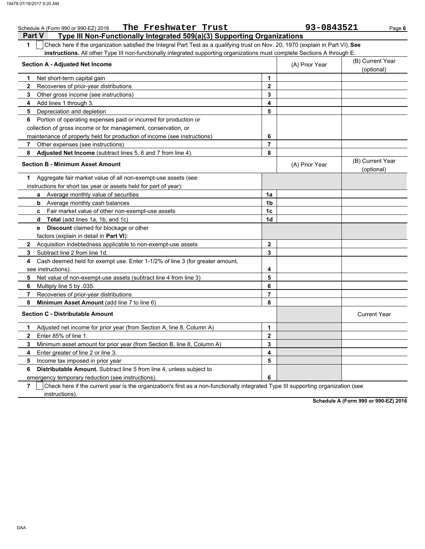| The Freshwater Trust<br>Schedule A (Form 990 or 990-EZ) 2016                                                                          |                | 93-0843521     | Page 6                         |
|---------------------------------------------------------------------------------------------------------------------------------------|----------------|----------------|--------------------------------|
| Type III Non-Functionally Integrated 509(a)(3) Supporting Organizations<br>Part V                                                     |                |                |                                |
| Check here if the organization satisfied the Integral Part Test as a qualifying trust on Nov. 20, 1970 (explain in Part VI). See<br>1 |                |                |                                |
| instructions. All other Type III non-functionally integrated supporting organizations must complete Sections A through E.             |                |                |                                |
| <b>Section A - Adjusted Net Income</b>                                                                                                |                | (A) Prior Year | (B) Current Year               |
|                                                                                                                                       |                |                | (optional)                     |
| Net short-term capital gain<br>1                                                                                                      | 1              |                |                                |
| 2<br>Recoveries of prior-year distributions                                                                                           | $\mathbf 2$    |                |                                |
| 3<br>Other gross income (see instructions)                                                                                            | 3              |                |                                |
| Add lines 1 through 3.<br>4                                                                                                           | 4              |                |                                |
| Depreciation and depletion<br>5                                                                                                       | 5              |                |                                |
| Portion of operating expenses paid or incurred for production or<br>6                                                                 |                |                |                                |
| collection of gross income or for management, conservation, or                                                                        |                |                |                                |
| maintenance of property held for production of income (see instructions)                                                              | 6              |                |                                |
| 7<br>Other expenses (see instructions)                                                                                                | 7              |                |                                |
| 8<br><b>Adjusted Net Income</b> (subtract lines 5, 6 and 7 from line 4).                                                              | 8              |                |                                |
| <b>Section B - Minimum Asset Amount</b>                                                                                               |                | (A) Prior Year | (B) Current Year<br>(optional) |
| Aggregate fair market value of all non-exempt-use assets (see<br>1                                                                    |                |                |                                |
| instructions for short tax year or assets held for part of year):                                                                     |                |                |                                |
| a Average monthly value of securities                                                                                                 | 1a             |                |                                |
| Average monthly cash balances<br>b                                                                                                    | 1b             |                |                                |
| Fair market value of other non-exempt-use assets<br>C                                                                                 | 1c             |                |                                |
| <b>Total</b> (add lines 1a, 1b, and 1c)<br>d                                                                                          | 1d             |                |                                |
| <b>Discount</b> claimed for blockage or other<br>е                                                                                    |                |                |                                |
| factors (explain in detail in Part VI):                                                                                               |                |                |                                |
| $\mathbf{2}$<br>Acquisition indebtedness applicable to non-exempt-use assets                                                          | $\mathbf{2}$   |                |                                |
| 3<br>Subtract line 2 from line 1d.                                                                                                    | 3              |                |                                |
| Cash deemed held for exempt use. Enter 1-1/2% of line 3 (for greater amount,<br>4                                                     |                |                |                                |
| see instructions)                                                                                                                     | 4              |                |                                |
| Net value of non-exempt-use assets (subtract line 4 from line 3)<br>5                                                                 | 5              |                |                                |
| Multiply line 5 by .035.<br>6                                                                                                         | 6              |                |                                |
| Recoveries of prior-year distributions<br>7                                                                                           | $\overline{7}$ |                |                                |
| 8<br>Minimum Asset Amount (add line 7 to line 6)                                                                                      | 8              |                |                                |
| <b>Section C - Distributable Amount</b>                                                                                               |                |                | <b>Current Year</b>            |
| Adjusted net income for prior year (from Section A, line 8, Column A)<br>1                                                            | 1              |                |                                |
| Enter 85% of line 1.<br>$\mathbf{2}$                                                                                                  | $\mathbf{2}$   |                |                                |
| Minimum asset amount for prior year (from Section B, line 8, Column A)<br>3                                                           | 3              |                |                                |
| Enter greater of line 2 or line 3.<br>4                                                                                               | 4              |                |                                |
| 5<br>Income tax imposed in prior year                                                                                                 | 5              |                |                                |
| <b>Distributable Amount.</b> Subtract line 5 from line 4, unless subject to<br>6                                                      |                |                |                                |
| emergency temporary reduction (see instructions).                                                                                     | 6              |                |                                |

**7**  $\,$   $\,$   $\,$   $\,$   $\,$   $\,$  Check here if the current year is the organization's first as a non-functionally integrated Type III supporting organization (see instructions).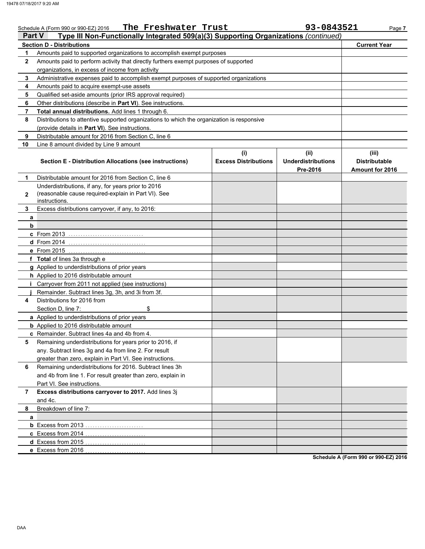|                                                                                                      | The Freshwater Trust<br>Schedule A (Form 990 or 990-EZ) 2016                                                                       |                             | 93-0843521                | Page 7                 |  |  |  |  |
|------------------------------------------------------------------------------------------------------|------------------------------------------------------------------------------------------------------------------------------------|-----------------------------|---------------------------|------------------------|--|--|--|--|
| Type III Non-Functionally Integrated 509(a)(3) Supporting Organizations (continued)<br><b>Part V</b> |                                                                                                                                    |                             |                           |                        |  |  |  |  |
|                                                                                                      | <b>Section D - Distributions</b>                                                                                                   |                             |                           | <b>Current Year</b>    |  |  |  |  |
| 1                                                                                                    | Amounts paid to supported organizations to accomplish exempt purposes                                                              |                             |                           |                        |  |  |  |  |
| $\mathbf{2}$                                                                                         | Amounts paid to perform activity that directly furthers exempt purposes of supported                                               |                             |                           |                        |  |  |  |  |
|                                                                                                      | organizations, in excess of income from activity                                                                                   |                             |                           |                        |  |  |  |  |
| 3<br>4                                                                                               | Administrative expenses paid to accomplish exempt purposes of supported organizations<br>Amounts paid to acquire exempt-use assets |                             |                           |                        |  |  |  |  |
| 5                                                                                                    | Qualified set-aside amounts (prior IRS approval required)                                                                          |                             |                           |                        |  |  |  |  |
| 6                                                                                                    | Other distributions (describe in Part VI). See instructions.                                                                       |                             |                           |                        |  |  |  |  |
| $\overline{7}$                                                                                       | Total annual distributions. Add lines 1 through 6.                                                                                 |                             |                           |                        |  |  |  |  |
| 8                                                                                                    | Distributions to attentive supported organizations to which the organization is responsive                                         |                             |                           |                        |  |  |  |  |
|                                                                                                      | (provide details in Part VI). See instructions.                                                                                    |                             |                           |                        |  |  |  |  |
| 9                                                                                                    | Distributable amount for 2016 from Section C, line 6                                                                               |                             |                           |                        |  |  |  |  |
| 10                                                                                                   | Line 8 amount divided by Line 9 amount                                                                                             |                             |                           |                        |  |  |  |  |
|                                                                                                      |                                                                                                                                    | (i)                         | (i)                       | (iii)                  |  |  |  |  |
|                                                                                                      | <b>Section E - Distribution Allocations (see instructions)</b>                                                                     | <b>Excess Distributions</b> | <b>Underdistributions</b> | <b>Distributable</b>   |  |  |  |  |
|                                                                                                      |                                                                                                                                    |                             | Pre-2016                  | <b>Amount for 2016</b> |  |  |  |  |
| 1                                                                                                    | Distributable amount for 2016 from Section C. line 6                                                                               |                             |                           |                        |  |  |  |  |
|                                                                                                      | Underdistributions, if any, for years prior to 2016                                                                                |                             |                           |                        |  |  |  |  |
| $\mathbf 2$                                                                                          | (reasonable cause required-explain in Part VI). See                                                                                |                             |                           |                        |  |  |  |  |
|                                                                                                      | instructions.                                                                                                                      |                             |                           |                        |  |  |  |  |
| 3                                                                                                    | Excess distributions carryover, if any, to 2016:                                                                                   |                             |                           |                        |  |  |  |  |
| a<br>b                                                                                               |                                                                                                                                    |                             |                           |                        |  |  |  |  |
|                                                                                                      | c From 2013                                                                                                                        |                             |                           |                        |  |  |  |  |
|                                                                                                      | $d$ From 2014                                                                                                                      |                             |                           |                        |  |  |  |  |
|                                                                                                      | e From 2015                                                                                                                        |                             |                           |                        |  |  |  |  |
|                                                                                                      | f Total of lines 3a through e                                                                                                      |                             |                           |                        |  |  |  |  |
|                                                                                                      | g Applied to underdistributions of prior years                                                                                     |                             |                           |                        |  |  |  |  |
|                                                                                                      | <b>h</b> Applied to 2016 distributable amount                                                                                      |                             |                           |                        |  |  |  |  |
|                                                                                                      | Carryover from 2011 not applied (see instructions)                                                                                 |                             |                           |                        |  |  |  |  |
|                                                                                                      | Remainder. Subtract lines 3g, 3h, and 3i from 3f.                                                                                  |                             |                           |                        |  |  |  |  |
| 4                                                                                                    | Distributions for 2016 from                                                                                                        |                             |                           |                        |  |  |  |  |
|                                                                                                      | \$<br>Section D, line 7:                                                                                                           |                             |                           |                        |  |  |  |  |
|                                                                                                      | a Applied to underdistributions of prior years                                                                                     |                             |                           |                        |  |  |  |  |
|                                                                                                      | <b>b</b> Applied to 2016 distributable amount                                                                                      |                             |                           |                        |  |  |  |  |
|                                                                                                      | c Remainder. Subtract lines 4a and 4b from 4.                                                                                      |                             |                           |                        |  |  |  |  |
| 5                                                                                                    | Remaining underdistributions for years prior to 2016, if                                                                           |                             |                           |                        |  |  |  |  |
|                                                                                                      | any. Subtract lines 3g and 4a from line 2. For result                                                                              |                             |                           |                        |  |  |  |  |
|                                                                                                      | greater than zero, explain in Part VI. See instructions.                                                                           |                             |                           |                        |  |  |  |  |
| 6                                                                                                    | Remaining underdistributions for 2016. Subtract lines 3h                                                                           |                             |                           |                        |  |  |  |  |
|                                                                                                      | and 4b from line 1. For result greater than zero, explain in                                                                       |                             |                           |                        |  |  |  |  |
|                                                                                                      | Part VI. See instructions.                                                                                                         |                             |                           |                        |  |  |  |  |
| 7                                                                                                    | Excess distributions carryover to 2017. Add lines 3j                                                                               |                             |                           |                        |  |  |  |  |
|                                                                                                      | and 4c.                                                                                                                            |                             |                           |                        |  |  |  |  |
| 8                                                                                                    | Breakdown of line 7:                                                                                                               |                             |                           |                        |  |  |  |  |
| a                                                                                                    |                                                                                                                                    |                             |                           |                        |  |  |  |  |
|                                                                                                      | c Excess from 2014                                                                                                                 |                             |                           |                        |  |  |  |  |
|                                                                                                      | d Excess from 2015                                                                                                                 |                             |                           |                        |  |  |  |  |
|                                                                                                      | e Excess from 2016                                                                                                                 |                             |                           |                        |  |  |  |  |
|                                                                                                      |                                                                                                                                    |                             |                           |                        |  |  |  |  |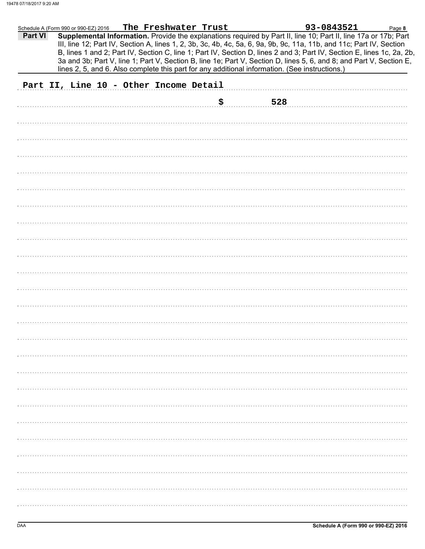|         | Schedule A (Form 990 or 990-EZ) 2016 |  | The Freshwater Trust                   |     |     | 93-0843521                                                                                                                                                                                                                                                                                                                                                        | Page 8 |
|---------|--------------------------------------|--|----------------------------------------|-----|-----|-------------------------------------------------------------------------------------------------------------------------------------------------------------------------------------------------------------------------------------------------------------------------------------------------------------------------------------------------------------------|--------|
| Part VI |                                      |  |                                        |     |     | Supplemental Information. Provide the explanations required by Part II, line 10; Part II, line 17a or 17b; Part<br>III, line 12; Part IV, Section A, lines 1, 2, 3b, 3c, 4b, 4c, 5a, 6, 9a, 9b, 9c, 11a, 11b, and 11c; Part IV, Section<br>B, lines 1 and 2; Part IV, Section C, line 1; Part IV, Section D, lines 2 and 3; Part IV, Section E, lines 1c, 2a, 2b, |        |
|         |                                      |  |                                        |     |     | 3a and 3b; Part V, line 1; Part V, Section B, line 1e; Part V, Section D, lines 5, 6, and 8; and Part V, Section E,<br>lines 2, 5, and 6. Also complete this part for any additional information. (See instructions.)                                                                                                                                             |        |
|         |                                      |  |                                        |     |     |                                                                                                                                                                                                                                                                                                                                                                   |        |
|         |                                      |  | Part II, Line 10 - Other Income Detail |     |     |                                                                                                                                                                                                                                                                                                                                                                   |        |
|         |                                      |  |                                        | \$. | 528 |                                                                                                                                                                                                                                                                                                                                                                   |        |
|         |                                      |  |                                        |     |     |                                                                                                                                                                                                                                                                                                                                                                   |        |
|         |                                      |  |                                        |     |     |                                                                                                                                                                                                                                                                                                                                                                   |        |
|         |                                      |  |                                        |     |     |                                                                                                                                                                                                                                                                                                                                                                   |        |
|         |                                      |  |                                        |     |     |                                                                                                                                                                                                                                                                                                                                                                   |        |
|         |                                      |  |                                        |     |     |                                                                                                                                                                                                                                                                                                                                                                   |        |
|         |                                      |  |                                        |     |     |                                                                                                                                                                                                                                                                                                                                                                   |        |
|         |                                      |  |                                        |     |     |                                                                                                                                                                                                                                                                                                                                                                   |        |
|         |                                      |  |                                        |     |     |                                                                                                                                                                                                                                                                                                                                                                   |        |
|         |                                      |  |                                        |     |     |                                                                                                                                                                                                                                                                                                                                                                   |        |
|         |                                      |  |                                        |     |     |                                                                                                                                                                                                                                                                                                                                                                   |        |
|         |                                      |  |                                        |     |     |                                                                                                                                                                                                                                                                                                                                                                   |        |
|         |                                      |  |                                        |     |     |                                                                                                                                                                                                                                                                                                                                                                   |        |
|         |                                      |  |                                        |     |     |                                                                                                                                                                                                                                                                                                                                                                   |        |
|         |                                      |  |                                        |     |     |                                                                                                                                                                                                                                                                                                                                                                   |        |
|         |                                      |  |                                        |     |     |                                                                                                                                                                                                                                                                                                                                                                   |        |
|         |                                      |  |                                        |     |     |                                                                                                                                                                                                                                                                                                                                                                   |        |
|         |                                      |  |                                        |     |     |                                                                                                                                                                                                                                                                                                                                                                   |        |
|         |                                      |  |                                        |     |     |                                                                                                                                                                                                                                                                                                                                                                   |        |
|         |                                      |  |                                        |     |     |                                                                                                                                                                                                                                                                                                                                                                   |        |
|         |                                      |  |                                        |     |     |                                                                                                                                                                                                                                                                                                                                                                   |        |
|         |                                      |  |                                        |     |     |                                                                                                                                                                                                                                                                                                                                                                   |        |
|         |                                      |  |                                        |     |     |                                                                                                                                                                                                                                                                                                                                                                   |        |
|         |                                      |  |                                        |     |     |                                                                                                                                                                                                                                                                                                                                                                   |        |
|         |                                      |  |                                        |     |     |                                                                                                                                                                                                                                                                                                                                                                   |        |
|         |                                      |  |                                        |     |     |                                                                                                                                                                                                                                                                                                                                                                   |        |
|         |                                      |  |                                        |     |     |                                                                                                                                                                                                                                                                                                                                                                   |        |
|         |                                      |  |                                        |     |     |                                                                                                                                                                                                                                                                                                                                                                   |        |
|         |                                      |  |                                        |     |     |                                                                                                                                                                                                                                                                                                                                                                   |        |
|         |                                      |  |                                        |     |     |                                                                                                                                                                                                                                                                                                                                                                   |        |
|         |                                      |  |                                        |     |     |                                                                                                                                                                                                                                                                                                                                                                   |        |
|         |                                      |  |                                        |     |     |                                                                                                                                                                                                                                                                                                                                                                   |        |
|         |                                      |  |                                        |     |     |                                                                                                                                                                                                                                                                                                                                                                   |        |
|         |                                      |  |                                        |     |     |                                                                                                                                                                                                                                                                                                                                                                   |        |
|         |                                      |  |                                        |     |     |                                                                                                                                                                                                                                                                                                                                                                   |        |
|         |                                      |  |                                        |     |     |                                                                                                                                                                                                                                                                                                                                                                   |        |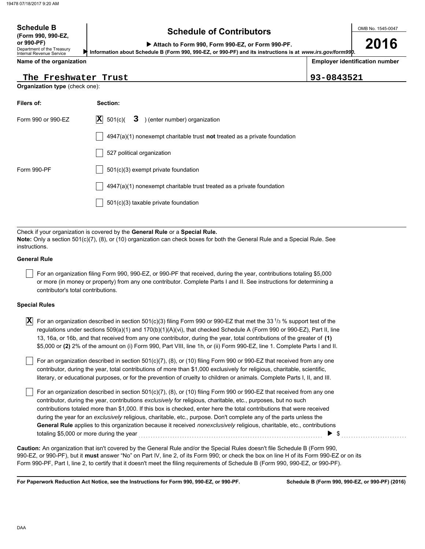### **Schedule of Contributors Schedule B**

OMB No. 1545-0047

**2016**

**Employer identification number**

**or 990-PF) Attach to Form 990, Form 990-EZ, or Form 990-PF.**

 **Information about Schedule B (Form 990, 990-EZ, or 990-PF) and its instructions is at** *www.irs.gov/form990.*

**Name of the organization**

Department of the Treasury Internal Revenue Service

**(Form 990, 990-EZ,**

**The Freshwater Trust 93-0843521**

**Organization type** (check one):

| Filers of:         | Section:                                                                           |
|--------------------|------------------------------------------------------------------------------------|
| Form 990 or 990-EZ | $ \mathbf{X} $ 501(c)(<br>$3$ ) (enter number) organization                        |
|                    | $4947(a)(1)$ nonexempt charitable trust <b>not</b> treated as a private foundation |
|                    | 527 political organization                                                         |
| Form 990-PF        | $501(c)(3)$ exempt private foundation                                              |
|                    | $4947(a)(1)$ nonexempt charitable trust treated as a private foundation            |
|                    | 501(c)(3) taxable private foundation                                               |

Check if your organization is covered by the **General Rule** or a **Special Rule. Note:** Only a section 501(c)(7), (8), or (10) organization can check boxes for both the General Rule and a Special Rule. See instructions.

### **General Rule**

For an organization filing Form 990, 990-EZ, or 990-PF that received, during the year, contributions totaling \$5,000 or more (in money or property) from any one contributor. Complete Parts I and II. See instructions for determining a contributor's total contributions.

### **Special Rules**

| <b>X</b> For an organization described in section 501(c)(3) filing Form 990 or 990-EZ that met the 33 $1/3$ % support test of the |
|-----------------------------------------------------------------------------------------------------------------------------------|
| regulations under sections 509(a)(1) and 170(b)(1)(A)(vi), that checked Schedule A (Form 990 or 990-EZ), Part II, line            |
| 13, 16a, or 16b, and that received from any one contributor, during the year, total contributions of the greater of (1)           |
| \$5,000 or (2) 2% of the amount on (i) Form 990, Part VIII, line 1h, or (ii) Form 990-EZ, line 1. Complete Parts I and II.        |

literary, or educational purposes, or for the prevention of cruelty to children or animals. Complete Parts I, II, and III. For an organization described in section 501(c)(7), (8), or (10) filing Form 990 or 990-EZ that received from any one contributor, during the year, total contributions of more than \$1,000 exclusively for religious, charitable, scientific,

For an organization described in section 501(c)(7), (8), or (10) filing Form 990 or 990-EZ that received from any one contributor, during the year, contributions *exclusively* for religious, charitable, etc., purposes, but no such contributions totaled more than \$1,000. If this box is checked, enter here the total contributions that were received during the year for an *exclusively* religious, charitable, etc., purpose. Don't complete any of the parts unless the **General Rule** applies to this organization because it received *nonexclusively* religious, charitable, etc., contributions totaling \$5,000 or more during the year . . . . . . . . . . . . . . . . . . . . . . . . . . . . . . . . . . . . . . . . . . . . . . . . . . . . . . . . . . . . . . . . . . . . . . . . . . . . \$ . . . . . . . . . . . . . . . . . . . . . . . . . . .

990-EZ, or 990-PF), but it **must** answer "No" on Part IV, line 2, of its Form 990; or check the box on line H of its Form 990-EZ or on its Form 990-PF, Part I, line 2, to certify that it doesn't meet the filing requirements of Schedule B (Form 990, 990-EZ, or 990-PF). **Caution:** An organization that isn't covered by the General Rule and/or the Special Rules doesn't file Schedule B (Form 990,

**For Paperwork Reduction Act Notice, see the Instructions for Form 990, 990-EZ, or 990-PF.**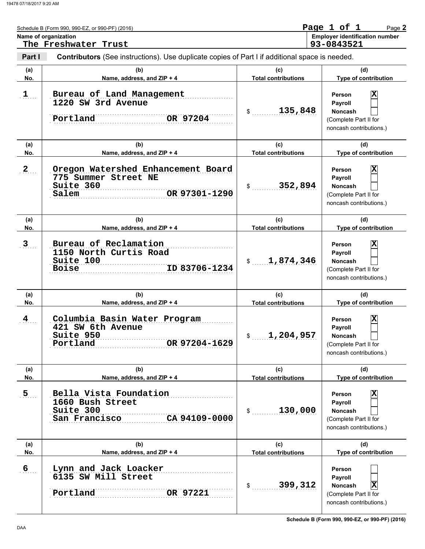|                | Schedule B (Form 990, 990-EZ, or 990-PF) (2016)<br>Name of organization<br>The Freshwater Trust       |                                   | Page 1 of 1<br>Page 2<br><b>Employer identification number</b><br>93-0843521                                       |
|----------------|-------------------------------------------------------------------------------------------------------|-----------------------------------|--------------------------------------------------------------------------------------------------------------------|
| Part I         | <b>Contributors</b> (See instructions). Use duplicate copies of Part I if additional space is needed. |                                   |                                                                                                                    |
| (a)<br>No.     | (b)<br>Name, address, and ZIP + 4                                                                     | (c)<br><b>Total contributions</b> | (d)<br>Type of contribution                                                                                        |
| $1$            | Bureau of Land Management<br>1220 SW 3rd Avenue<br>Portland<br>OR 97204                               | 135,848<br>$\mathbb{S}$           | $\overline{\mathbf{x}}$<br>Person<br>Payroll<br><b>Noncash</b><br>(Complete Part II for<br>noncash contributions.) |
| (a)<br>No.     | (b)<br>Name, address, and ZIP + 4                                                                     | (c)<br><b>Total contributions</b> | (d)<br>Type of contribution                                                                                        |
| $\mathbf{2}$   | Oregon Watershed Enhancement Board<br>775 Summer Street NE<br>Suite 360<br>OR 97301-1290<br>Salem     | 352,894<br>$\frac{1}{2}$          | $\overline{\mathbf{x}}$<br>Person<br>Payroll<br><b>Noncash</b><br>(Complete Part II for<br>noncash contributions.) |
| (a)<br>No.     | (b)<br>Name, address, and ZIP + 4                                                                     | (c)<br><b>Total contributions</b> | (d)<br>Type of contribution                                                                                        |
| 3 <sub>1</sub> | Bureau of Reclamation<br>1150 North Curtis Road<br>Suite 100<br>ID 83706-1234<br><b>Boise</b>         | 1,874,346<br>$\frac{1}{2}$        | $\overline{\textbf{x}}$<br>Person<br>Payroll<br><b>Noncash</b><br>(Complete Part II for<br>noncash contributions.) |
| (a)<br>No.     | (b)<br>Name, address, and ZIP + 4                                                                     | (c)<br><b>Total contributions</b> | (d)<br>Type of contribution                                                                                        |
| 4              | Columbia Basin Water Program<br>421 SW 6th Avenue<br>Suite 950<br>OR 97204-1629<br>Portland           | 1,204,957<br>\$                   | X<br>Person<br>Payroll<br>Noncash<br>(Complete Part II for<br>noncash contributions.)                              |
| (a)<br>No.     | (b)<br>Name, address, and ZIP + 4                                                                     | (c)<br><b>Total contributions</b> | (d)<br>Type of contribution                                                                                        |
| 5 <sub>1</sub> | Bella Vista Foundation<br>1660 Bush Street<br>Suite 300<br>CA 94109-0000<br>San Francisco             | 130,000<br>$\frac{1}{2}$          | X<br>Person<br>Payroll<br><b>Noncash</b><br>(Complete Part II for<br>noncash contributions.)                       |
| (a)<br>No.     | (b)<br>Name, address, and ZIP + 4                                                                     | (c)<br><b>Total contributions</b> | (d)<br>Type of contribution                                                                                        |
| 6 <sub>1</sub> | Lynn and Jack Loacker<br>6135 SW Mill Street<br>Portland<br>OR 97221                                  | 399,312<br>$\frac{1}{2}$          | Person<br>Payroll<br>$ \mathbf{X} $<br>Noncash<br>(Complete Part II for<br>noncash contributions.)                 |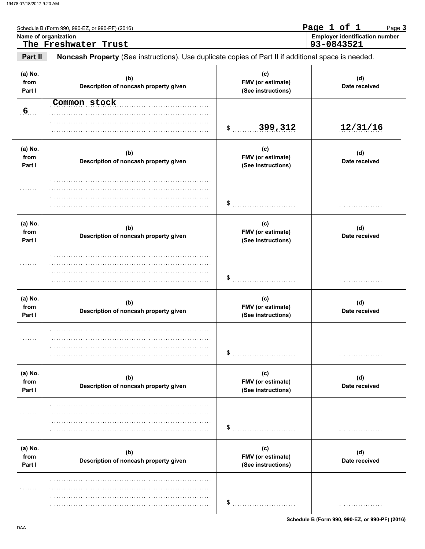|                           | Schedule B (Form 990, 990-EZ, or 990-PF) (2016)                                                     |                                                | Page 1 of 1<br>Page 3                               |
|---------------------------|-----------------------------------------------------------------------------------------------------|------------------------------------------------|-----------------------------------------------------|
|                           | Name of organization<br>The Freshwater Trust                                                        |                                                | <b>Employer identification number</b><br>93-0843521 |
| Part II                   | Noncash Property (See instructions). Use duplicate copies of Part II if additional space is needed. |                                                |                                                     |
| (a) No.<br>from<br>Part I | (b)<br>Description of noncash property given                                                        | (c)<br>FMV (or estimate)<br>(See instructions) | (d)<br>Date received                                |
| 6 <sub>1</sub>            | Common stock                                                                                        | 399,312<br>\$                                  | 12/31/16                                            |
| (a) No.<br>from<br>Part I | (b)<br>Description of noncash property given                                                        | (c)<br>FMV (or estimate)<br>(See instructions) | (d)<br>Date received                                |
| .                         |                                                                                                     | \$                                             |                                                     |
| (a) No.<br>from<br>Part I | (b)<br>Description of noncash property given                                                        | (c)<br>FMV (or estimate)<br>(See instructions) | (d)<br>Date received                                |
| .                         |                                                                                                     | \$                                             |                                                     |
| (a) No.<br>from<br>Part I | (b)<br>Description of noncash property given                                                        | (c)<br>FMV (or estimate)<br>(See instructions) | (d)<br>Date received                                |
| .                         |                                                                                                     | \$                                             | .                                                   |
| (a) No.<br>from<br>Part I | (b)<br>Description of noncash property given                                                        | (c)<br>FMV (or estimate)<br>(See instructions) | (d)<br>Date received                                |
| .                         |                                                                                                     | \$                                             | .                                                   |
| (a) No.<br>from<br>Part I | (b)<br>Description of noncash property given                                                        | (c)<br>FMV (or estimate)<br>(See instructions) | (d)<br>Date received                                |
| .                         |                                                                                                     | \$                                             | .                                                   |

Schedule B (Form 990, 990-EZ, or 990-PF) (2016)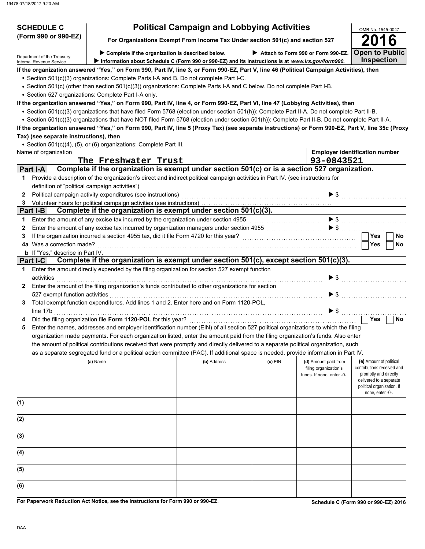| <b>SCHEDULE C</b>                              |                                                                                                                                                                                        | <b>Political Campaign and Lobbying Activities</b>                             |           |                                                     | OMB No. 1545-0047                                   |
|------------------------------------------------|----------------------------------------------------------------------------------------------------------------------------------------------------------------------------------------|-------------------------------------------------------------------------------|-----------|-----------------------------------------------------|-----------------------------------------------------|
| (Form 990 or 990-EZ)                           |                                                                                                                                                                                        | For Organizations Exempt From Income Tax Under section 501(c) and section 527 |           |                                                     |                                                     |
| Department of the Treasury                     | Complete if the organization is described below.                                                                                                                                       |                                                                               |           | Attach to Form 990 or Form 990-EZ.                  | <b>Open to Public</b>                               |
| Internal Revenue Service                       | Information about Schedule C (Form 990 or 990-EZ) and its instructions is at www.irs.gov/form990.                                                                                      |                                                                               |           |                                                     | <b>Inspection</b>                                   |
|                                                | If the organization answered "Yes," on Form 990, Part IV, line 3, or Form 990-EZ, Part V, line 46 (Political Campaign Activities), then                                                |                                                                               |           |                                                     |                                                     |
|                                                | • Section 501(c)(3) organizations: Complete Parts I-A and B. Do not complete Part I-C.                                                                                                 |                                                                               |           |                                                     |                                                     |
|                                                | • Section 501(c) (other than section 501(c)(3)) organizations: Complete Parts I-A and C below. Do not complete Part I-B.                                                               |                                                                               |           |                                                     |                                                     |
|                                                | • Section 527 organizations: Complete Part I-A only.<br>If the organization answered "Yes," on Form 990, Part IV, line 4, or Form 990-EZ, Part VI, line 47 (Lobbying Activities), then |                                                                               |           |                                                     |                                                     |
|                                                | • Section 501(c)(3) organizations that have filed Form 5768 (election under section 501(h)): Complete Part II-A. Do not complete Part II-B.                                            |                                                                               |           |                                                     |                                                     |
|                                                | • Section 501(c)(3) organizations that have NOT filed Form 5768 (election under section 501(h)): Complete Part II-B. Do not complete Part II-A.                                        |                                                                               |           |                                                     |                                                     |
|                                                | If the organization answered "Yes," on Form 990, Part IV, line 5 (Proxy Tax) (see separate instructions) or Form 990-EZ, Part V, line 35c (Proxy                                       |                                                                               |           |                                                     |                                                     |
| Tax) (see separate instructions), then         |                                                                                                                                                                                        |                                                                               |           |                                                     |                                                     |
|                                                | • Section 501(c)(4), (5), or (6) organizations: Complete Part III.                                                                                                                     |                                                                               |           |                                                     |                                                     |
| Name of organization                           |                                                                                                                                                                                        |                                                                               |           |                                                     | <b>Employer identification number</b>               |
|                                                | The Freshwater Trust                                                                                                                                                                   |                                                                               |           | 93-0843521                                          |                                                     |
| <b>Part I-A</b>                                | Complete if the organization is exempt under section 501(c) or is a section 527 organization.                                                                                          |                                                                               |           |                                                     |                                                     |
| $\mathbf 1$                                    | Provide a description of the organization's direct and indirect political campaign activities in Part IV. (see instructions for                                                        |                                                                               |           |                                                     |                                                     |
| definition of "political campaign activities") |                                                                                                                                                                                        |                                                                               |           |                                                     |                                                     |
| 2                                              |                                                                                                                                                                                        |                                                                               |           | $\blacktriangleright$ \$                            |                                                     |
|                                                |                                                                                                                                                                                        |                                                                               |           |                                                     |                                                     |
| Part I-B                                       | Complete if the organization is exempt under section 501(c)(3).                                                                                                                        |                                                                               |           |                                                     |                                                     |
| 1                                              | Enter the amount of any excise tax incurred by the organization under section 4955                                                                                                     |                                                                               |           | $\blacktriangleright$ \$                            |                                                     |
| 2                                              | Enter the amount of any excise tax incurred by organization managers under section 4955 [[[[[[[[[[[[[[[[[[[[[                                                                          |                                                                               |           | $\blacktriangleright$ \$                            | .<br><b>Yes</b>                                     |
| З<br>4a Was a correction made?                 |                                                                                                                                                                                        |                                                                               |           |                                                     | <b>No</b>                                           |
| <b>b</b> If "Yes," describe in Part IV.        |                                                                                                                                                                                        |                                                                               |           |                                                     | Yes<br>No.                                          |
| <b>Part I-C</b>                                | Complete if the organization is exempt under section 501(c), except section 501(c)(3).                                                                                                 |                                                                               |           |                                                     |                                                     |
| $\mathbf 1$                                    | Enter the amount directly expended by the filing organization for section 527 exempt function                                                                                          |                                                                               |           |                                                     |                                                     |
| activities                                     |                                                                                                                                                                                        |                                                                               |           | $\blacktriangleright$ s                             |                                                     |
| $\mathbf{2}$                                   | Enter the amount of the filing organization's funds contributed to other organizations for section                                                                                     |                                                                               |           |                                                     |                                                     |
| 527 exempt function activities                 |                                                                                                                                                                                        |                                                                               |           | $\blacktriangleright$ s                             |                                                     |
| 3                                              | Total exempt function expenditures. Add lines 1 and 2. Enter here and on Form 1120-POL,                                                                                                |                                                                               |           |                                                     |                                                     |
| line 17b                                       |                                                                                                                                                                                        |                                                                               |           | $\blacktriangleright$ \$                            |                                                     |
|                                                | Did the filing organization file Form 1120-POL for this year?                                                                                                                          |                                                                               |           |                                                     | Yes<br>No                                           |
| 5                                              | Enter the names, addresses and employer identification number (EIN) of all section 527 political organizations to which the filing                                                     |                                                                               |           |                                                     |                                                     |
|                                                | organization made payments. For each organization listed, enter the amount paid from the filing organization's funds. Also enter                                                       |                                                                               |           |                                                     |                                                     |
|                                                | the amount of political contributions received that were promptly and directly delivered to a separate political organization, such                                                    |                                                                               |           |                                                     |                                                     |
|                                                | as a separate segregated fund or a political action committee (PAC). If additional space is needed, provide information in Part IV.                                                    |                                                                               |           |                                                     |                                                     |
|                                                | (a) Name                                                                                                                                                                               | (b) Address                                                                   | $(c)$ EIN | (d) Amount paid from                                | (e) Amount of political                             |
|                                                |                                                                                                                                                                                        |                                                                               |           | filing organization's<br>funds. If none, enter -0-. | contributions received and<br>promptly and directly |
|                                                |                                                                                                                                                                                        |                                                                               |           |                                                     | delivered to a separate                             |
|                                                |                                                                                                                                                                                        |                                                                               |           |                                                     | political organization. If                          |
|                                                |                                                                                                                                                                                        |                                                                               |           |                                                     | none, enter -0-.                                    |
| (1)                                            |                                                                                                                                                                                        |                                                                               |           |                                                     |                                                     |
|                                                |                                                                                                                                                                                        |                                                                               |           |                                                     |                                                     |
| (2)                                            |                                                                                                                                                                                        |                                                                               |           |                                                     |                                                     |
| (3)                                            |                                                                                                                                                                                        |                                                                               |           |                                                     |                                                     |
|                                                |                                                                                                                                                                                        |                                                                               |           |                                                     |                                                     |
| (4)                                            |                                                                                                                                                                                        |                                                                               |           |                                                     |                                                     |
|                                                |                                                                                                                                                                                        |                                                                               |           |                                                     |                                                     |
| (5)                                            |                                                                                                                                                                                        |                                                                               |           |                                                     |                                                     |
|                                                |                                                                                                                                                                                        |                                                                               |           |                                                     |                                                     |
| (6)                                            |                                                                                                                                                                                        |                                                                               |           |                                                     |                                                     |
|                                                |                                                                                                                                                                                        |                                                                               |           |                                                     |                                                     |
|                                                | For Paperwork Reduction Act Notice, see the Instructions for Form 990 or 990-EZ.                                                                                                       |                                                                               |           |                                                     | Schedule C (Form 990 or 990-EZ) 2016                |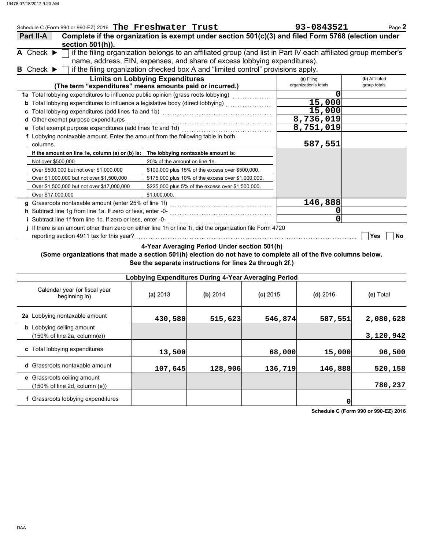|   | Schedule C (Form 990 or 990-EZ) 2016 The Freshwater Trust                       |                                                                                                               | 93-0843521            | Page 2            |
|---|---------------------------------------------------------------------------------|---------------------------------------------------------------------------------------------------------------|-----------------------|-------------------|
|   | Part II-A                                                                       | Complete if the organization is exempt under section 501(c)(3) and filed Form 5768 (election under            |                       |                   |
|   | section 501(h)).                                                                |                                                                                                               |                       |                   |
|   | A Check $\blacktriangleright$                                                   | if the filing organization belongs to an affiliated group (and list in Part IV each affiliated group member's |                       |                   |
|   |                                                                                 | name, address, EIN, expenses, and share of excess lobbying expenditures).                                     |                       |                   |
|   | <b>B</b> Check $\blacktriangleright$                                            | if the filing organization checked box A and "limited control" provisions apply.                              |                       |                   |
|   |                                                                                 | <b>Limits on Lobbying Expenditures</b>                                                                        | (a) Filing            | (b) Affiliated    |
|   |                                                                                 | (The term "expenditures" means amounts paid or incurred.)                                                     | organization's totals | group totals      |
|   |                                                                                 | 1a Total lobbying expenditures to influence public opinion (grass roots lobbying) [[[[[[[[[[[[[[[[[[[[[[[[[[[ | O                     |                   |
| b |                                                                                 | Total lobbying expenditures to influence a legislative body (direct lobbying)                                 | 15,000                |                   |
|   |                                                                                 |                                                                                                               | 15,000                |                   |
| d | Other exempt purpose expenditures                                               |                                                                                                               | 8,736,019             |                   |
|   | Total exempt purpose expenditures (add lines 1c and 1d)                         |                                                                                                               | 8,751,019             |                   |
|   | f Lobbying nontaxable amount. Enter the amount from the following table in both |                                                                                                               |                       |                   |
|   | columns.                                                                        |                                                                                                               | 587,551               |                   |
|   | If the amount on line 1e, column (a) or (b) is:                                 | The lobbying nontaxable amount is:                                                                            |                       |                   |
|   | Not over \$500,000                                                              | 20% of the amount on line 1e.                                                                                 |                       |                   |
|   | Over \$500,000 but not over \$1,000,000                                         | \$100,000 plus 15% of the excess over \$500,000.                                                              |                       |                   |
|   | Over \$1,000,000 but not over \$1,500,000                                       | \$175,000 plus 10% of the excess over \$1,000,000.                                                            |                       |                   |
|   | Over \$1,500,000 but not over \$17,000,000                                      | \$225,000 plus 5% of the excess over \$1,500,000.                                                             |                       |                   |
|   | Over \$17,000,000                                                               | \$1.000.000.                                                                                                  |                       |                   |
|   |                                                                                 |                                                                                                               | 146,888               |                   |
|   |                                                                                 |                                                                                                               |                       |                   |
|   |                                                                                 |                                                                                                               | 0                     |                   |
|   |                                                                                 | If there is an amount other than zero on either line 1h or line 1i, did the organization file Form 4720       |                       |                   |
|   | reporting section 4911 tax for this year?                                       |                                                                                                               |                       | <b>Yes</b><br>No. |

**4-Year Averaging Period Under section 501(h)**

**(Some organizations that made a section 501(h) election do not have to complete all of the five columns below. See the separate instructions for lines 2a through 2f.)**

|                                                                  | Lobbying Expenditures During 4-Year Averaging Period |          |            |            |           |  |  |  |  |
|------------------------------------------------------------------|------------------------------------------------------|----------|------------|------------|-----------|--|--|--|--|
| Calendar year (or fiscal year<br>beginning in)                   | (a) 2013                                             | (b) 2014 | $(c)$ 2015 | $(d)$ 2016 | (e) Total |  |  |  |  |
| 2a Lobbying nontaxable amount                                    | 430,580                                              | 515,623  | 546,874    | 587,551    | 2,080,628 |  |  |  |  |
| <b>b</b> Lobbying ceiling amount<br>(150% of line 2a, column(e)) |                                                      |          |            |            | 3,120,942 |  |  |  |  |
| c Total lobbying expenditures                                    | 13,500                                               |          | 68,000     | 15,000     | 96,500    |  |  |  |  |
| <b>d</b> Grassroots nontaxable amount                            | 107,645                                              | 128,906  | 136,719    | 146,888    | 520,158   |  |  |  |  |
| e Grassroots ceiling amount<br>(150% of line 2d, column (e))     |                                                      |          |            |            | 780,237   |  |  |  |  |
| f Grassroots lobbying expenditures                               |                                                      |          |            | 0          |           |  |  |  |  |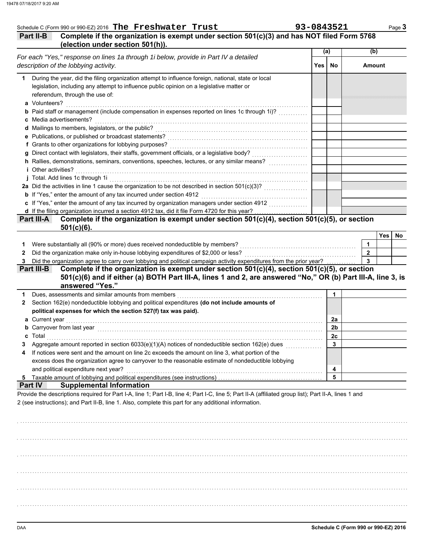| (election under section 501(h)).                                                                                                                                                         |                                                                                                                                                                                                                                                                                                                                                                                                                                                                                                                 |                                                                                                                                                                                                                                                                                                                                                                                                                                                                                                                                                                                                                                                                                                                                                                  | Complete if the organization is exempt under section 501(c)(3) and has NOT filed Form 5768                                                                                                                                                                                                                           |
|------------------------------------------------------------------------------------------------------------------------------------------------------------------------------------------|-----------------------------------------------------------------------------------------------------------------------------------------------------------------------------------------------------------------------------------------------------------------------------------------------------------------------------------------------------------------------------------------------------------------------------------------------------------------------------------------------------------------|------------------------------------------------------------------------------------------------------------------------------------------------------------------------------------------------------------------------------------------------------------------------------------------------------------------------------------------------------------------------------------------------------------------------------------------------------------------------------------------------------------------------------------------------------------------------------------------------------------------------------------------------------------------------------------------------------------------------------------------------------------------|----------------------------------------------------------------------------------------------------------------------------------------------------------------------------------------------------------------------------------------------------------------------------------------------------------------------|
|                                                                                                                                                                                          |                                                                                                                                                                                                                                                                                                                                                                                                                                                                                                                 | (a)                                                                                                                                                                                                                                                                                                                                                                                                                                                                                                                                                                                                                                                                                                                                                              | (b)                                                                                                                                                                                                                                                                                                                  |
| For each "Yes," response on lines 1a through 1i below, provide in Part IV a detailed                                                                                                     |                                                                                                                                                                                                                                                                                                                                                                                                                                                                                                                 |                                                                                                                                                                                                                                                                                                                                                                                                                                                                                                                                                                                                                                                                                                                                                                  |                                                                                                                                                                                                                                                                                                                      |
| description of the lobbying activity.                                                                                                                                                    | Yes                                                                                                                                                                                                                                                                                                                                                                                                                                                                                                             | No                                                                                                                                                                                                                                                                                                                                                                                                                                                                                                                                                                                                                                                                                                                                                               | <b>Amount</b>                                                                                                                                                                                                                                                                                                        |
| During the year, did the filing organization attempt to influence foreign, national, state or local                                                                                      |                                                                                                                                                                                                                                                                                                                                                                                                                                                                                                                 |                                                                                                                                                                                                                                                                                                                                                                                                                                                                                                                                                                                                                                                                                                                                                                  |                                                                                                                                                                                                                                                                                                                      |
|                                                                                                                                                                                          |                                                                                                                                                                                                                                                                                                                                                                                                                                                                                                                 |                                                                                                                                                                                                                                                                                                                                                                                                                                                                                                                                                                                                                                                                                                                                                                  |                                                                                                                                                                                                                                                                                                                      |
|                                                                                                                                                                                          |                                                                                                                                                                                                                                                                                                                                                                                                                                                                                                                 |                                                                                                                                                                                                                                                                                                                                                                                                                                                                                                                                                                                                                                                                                                                                                                  |                                                                                                                                                                                                                                                                                                                      |
| a Volunteers?                                                                                                                                                                            |                                                                                                                                                                                                                                                                                                                                                                                                                                                                                                                 |                                                                                                                                                                                                                                                                                                                                                                                                                                                                                                                                                                                                                                                                                                                                                                  |                                                                                                                                                                                                                                                                                                                      |
|                                                                                                                                                                                          |                                                                                                                                                                                                                                                                                                                                                                                                                                                                                                                 |                                                                                                                                                                                                                                                                                                                                                                                                                                                                                                                                                                                                                                                                                                                                                                  |                                                                                                                                                                                                                                                                                                                      |
|                                                                                                                                                                                          |                                                                                                                                                                                                                                                                                                                                                                                                                                                                                                                 |                                                                                                                                                                                                                                                                                                                                                                                                                                                                                                                                                                                                                                                                                                                                                                  |                                                                                                                                                                                                                                                                                                                      |
|                                                                                                                                                                                          |                                                                                                                                                                                                                                                                                                                                                                                                                                                                                                                 |                                                                                                                                                                                                                                                                                                                                                                                                                                                                                                                                                                                                                                                                                                                                                                  |                                                                                                                                                                                                                                                                                                                      |
|                                                                                                                                                                                          |                                                                                                                                                                                                                                                                                                                                                                                                                                                                                                                 |                                                                                                                                                                                                                                                                                                                                                                                                                                                                                                                                                                                                                                                                                                                                                                  |                                                                                                                                                                                                                                                                                                                      |
|                                                                                                                                                                                          |                                                                                                                                                                                                                                                                                                                                                                                                                                                                                                                 |                                                                                                                                                                                                                                                                                                                                                                                                                                                                                                                                                                                                                                                                                                                                                                  |                                                                                                                                                                                                                                                                                                                      |
|                                                                                                                                                                                          |                                                                                                                                                                                                                                                                                                                                                                                                                                                                                                                 |                                                                                                                                                                                                                                                                                                                                                                                                                                                                                                                                                                                                                                                                                                                                                                  |                                                                                                                                                                                                                                                                                                                      |
|                                                                                                                                                                                          |                                                                                                                                                                                                                                                                                                                                                                                                                                                                                                                 |                                                                                                                                                                                                                                                                                                                                                                                                                                                                                                                                                                                                                                                                                                                                                                  |                                                                                                                                                                                                                                                                                                                      |
|                                                                                                                                                                                          |                                                                                                                                                                                                                                                                                                                                                                                                                                                                                                                 |                                                                                                                                                                                                                                                                                                                                                                                                                                                                                                                                                                                                                                                                                                                                                                  |                                                                                                                                                                                                                                                                                                                      |
|                                                                                                                                                                                          |                                                                                                                                                                                                                                                                                                                                                                                                                                                                                                                 |                                                                                                                                                                                                                                                                                                                                                                                                                                                                                                                                                                                                                                                                                                                                                                  |                                                                                                                                                                                                                                                                                                                      |
|                                                                                                                                                                                          |                                                                                                                                                                                                                                                                                                                                                                                                                                                                                                                 |                                                                                                                                                                                                                                                                                                                                                                                                                                                                                                                                                                                                                                                                                                                                                                  |                                                                                                                                                                                                                                                                                                                      |
|                                                                                                                                                                                          |                                                                                                                                                                                                                                                                                                                                                                                                                                                                                                                 |                                                                                                                                                                                                                                                                                                                                                                                                                                                                                                                                                                                                                                                                                                                                                                  |                                                                                                                                                                                                                                                                                                                      |
|                                                                                                                                                                                          |                                                                                                                                                                                                                                                                                                                                                                                                                                                                                                                 |                                                                                                                                                                                                                                                                                                                                                                                                                                                                                                                                                                                                                                                                                                                                                                  |                                                                                                                                                                                                                                                                                                                      |
|                                                                                                                                                                                          |                                                                                                                                                                                                                                                                                                                                                                                                                                                                                                                 |                                                                                                                                                                                                                                                                                                                                                                                                                                                                                                                                                                                                                                                                                                                                                                  |                                                                                                                                                                                                                                                                                                                      |
| $501(c)(6)$ .                                                                                                                                                                            |                                                                                                                                                                                                                                                                                                                                                                                                                                                                                                                 |                                                                                                                                                                                                                                                                                                                                                                                                                                                                                                                                                                                                                                                                                                                                                                  |                                                                                                                                                                                                                                                                                                                      |
|                                                                                                                                                                                          |                                                                                                                                                                                                                                                                                                                                                                                                                                                                                                                 |                                                                                                                                                                                                                                                                                                                                                                                                                                                                                                                                                                                                                                                                                                                                                                  | Yes                                                                                                                                                                                                                                                                                                                  |
|                                                                                                                                                                                          |                                                                                                                                                                                                                                                                                                                                                                                                                                                                                                                 |                                                                                                                                                                                                                                                                                                                                                                                                                                                                                                                                                                                                                                                                                                                                                                  | 1                                                                                                                                                                                                                                                                                                                    |
|                                                                                                                                                                                          |                                                                                                                                                                                                                                                                                                                                                                                                                                                                                                                 |                                                                                                                                                                                                                                                                                                                                                                                                                                                                                                                                                                                                                                                                                                                                                                  | $\overline{2}$                                                                                                                                                                                                                                                                                                       |
|                                                                                                                                                                                          |                                                                                                                                                                                                                                                                                                                                                                                                                                                                                                                 |                                                                                                                                                                                                                                                                                                                                                                                                                                                                                                                                                                                                                                                                                                                                                                  | $\overline{\mathbf{3}}$                                                                                                                                                                                                                                                                                              |
|                                                                                                                                                                                          |                                                                                                                                                                                                                                                                                                                                                                                                                                                                                                                 |                                                                                                                                                                                                                                                                                                                                                                                                                                                                                                                                                                                                                                                                                                                                                                  |                                                                                                                                                                                                                                                                                                                      |
|                                                                                                                                                                                          |                                                                                                                                                                                                                                                                                                                                                                                                                                                                                                                 | $\mathbf{1}$                                                                                                                                                                                                                                                                                                                                                                                                                                                                                                                                                                                                                                                                                                                                                     |                                                                                                                                                                                                                                                                                                                      |
| Section 162(e) nondeductible lobbying and political expenditures (do not include amounts of                                                                                              |                                                                                                                                                                                                                                                                                                                                                                                                                                                                                                                 |                                                                                                                                                                                                                                                                                                                                                                                                                                                                                                                                                                                                                                                                                                                                                                  |                                                                                                                                                                                                                                                                                                                      |
| political expenses for which the section 527(f) tax was paid).                                                                                                                           |                                                                                                                                                                                                                                                                                                                                                                                                                                                                                                                 |                                                                                                                                                                                                                                                                                                                                                                                                                                                                                                                                                                                                                                                                                                                                                                  |                                                                                                                                                                                                                                                                                                                      |
| a Current year                                                                                                                                                                           |                                                                                                                                                                                                                                                                                                                                                                                                                                                                                                                 | 2a                                                                                                                                                                                                                                                                                                                                                                                                                                                                                                                                                                                                                                                                                                                                                               |                                                                                                                                                                                                                                                                                                                      |
| <b>b</b> Carryover from last year                                                                                                                                                        |                                                                                                                                                                                                                                                                                                                                                                                                                                                                                                                 | 2b                                                                                                                                                                                                                                                                                                                                                                                                                                                                                                                                                                                                                                                                                                                                                               |                                                                                                                                                                                                                                                                                                                      |
|                                                                                                                                                                                          |                                                                                                                                                                                                                                                                                                                                                                                                                                                                                                                 | 2c                                                                                                                                                                                                                                                                                                                                                                                                                                                                                                                                                                                                                                                                                                                                                               |                                                                                                                                                                                                                                                                                                                      |
|                                                                                                                                                                                          |                                                                                                                                                                                                                                                                                                                                                                                                                                                                                                                 | 3                                                                                                                                                                                                                                                                                                                                                                                                                                                                                                                                                                                                                                                                                                                                                                |                                                                                                                                                                                                                                                                                                                      |
| If notices were sent and the amount on line 2c exceeds the amount on line 3, what portion of the                                                                                         |                                                                                                                                                                                                                                                                                                                                                                                                                                                                                                                 |                                                                                                                                                                                                                                                                                                                                                                                                                                                                                                                                                                                                                                                                                                                                                                  |                                                                                                                                                                                                                                                                                                                      |
|                                                                                                                                                                                          |                                                                                                                                                                                                                                                                                                                                                                                                                                                                                                                 |                                                                                                                                                                                                                                                                                                                                                                                                                                                                                                                                                                                                                                                                                                                                                                  |                                                                                                                                                                                                                                                                                                                      |
|                                                                                                                                                                                          |                                                                                                                                                                                                                                                                                                                                                                                                                                                                                                                 | 4                                                                                                                                                                                                                                                                                                                                                                                                                                                                                                                                                                                                                                                                                                                                                                |                                                                                                                                                                                                                                                                                                                      |
|                                                                                                                                                                                          |                                                                                                                                                                                                                                                                                                                                                                                                                                                                                                                 | 5                                                                                                                                                                                                                                                                                                                                                                                                                                                                                                                                                                                                                                                                                                                                                                |                                                                                                                                                                                                                                                                                                                      |
|                                                                                                                                                                                          |                                                                                                                                                                                                                                                                                                                                                                                                                                                                                                                 |                                                                                                                                                                                                                                                                                                                                                                                                                                                                                                                                                                                                                                                                                                                                                                  |                                                                                                                                                                                                                                                                                                                      |
| <b>Supplemental Information</b><br>Provide the descriptions required for Part I-A, line 1; Part I-B, line 4; Part I-C, line 5; Part II-A (affiliated group list); Part II-A, lines 1 and |                                                                                                                                                                                                                                                                                                                                                                                                                                                                                                                 |                                                                                                                                                                                                                                                                                                                                                                                                                                                                                                                                                                                                                                                                                                                                                                  |                                                                                                                                                                                                                                                                                                                      |
|                                                                                                                                                                                          | legislation, including any attempt to influence public opinion on a legislative matter or<br>referendum, through the use of:<br>c Media advertisements?<br><i>i</i> Other activities?<br>b If "Yes," enter the amount of any tax incurred under section 4912<br>Were substantially all (90% or more) dues received nondeductible by members?<br>answered "Yes."<br>excess does the organization agree to carryover to the reasonable estimate of nondeductible lobbying<br>and political expenditure next year? | <b>b</b> Paid staff or management (include compensation in expenses reported on lines 1c through 1i)?<br>h Rallies, demonstrations, seminars, conventions, speeches, lectures, or any similar means?<br>c If "Yes," enter the amount of any tax incurred by organization managers under section 4912<br>Did the organization agree to carry over lobbying and political campaign activity expenditures from the prior year?<br>Dues, assessments and similar amounts from members [11] with an intervention of the system of the system of the system of the system of the system of the system of the system of the system of the system of the system of th<br>Aggregate amount reported in section 6033(e)(1)(A) notices of nondeductible section 162(e) dues | Complete if the organization is exempt under section 501(c)(4), section 501(c)(5), or section<br>Complete if the organization is exempt under section $501(c)(4)$ , section $501(c)(5)$ , or section<br>501(c)(6) and if either (a) BOTH Part III-A, lines 1 and 2, are answered "No," OR (b) Part III-A, line 3, is |

. . . . . . . . . . . . . . . . . . . . . . . . . . . . . . . . . . . . . . . . . . . . . . . . . . . . . . . . . . . . . . . . . . . . . . . . . . . . . . . . . . . . . . . . . . . . . . . . . . . . . . . . . . . . . . . . . . . . . . . . . . . . . . . . . . . . . . . . . . . . . . . . . . . . . . . . . . . . . . . . .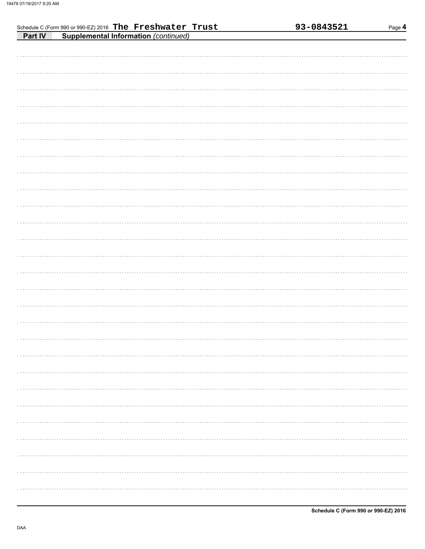| Schedule C (Form 990 or 990-EZ) 2016 The Freshwater Trust | 93-0843521<br>Page 4 |
|-----------------------------------------------------------|----------------------|
| <b>Supplemental Information (continued)</b><br>Part IV    |                      |
|                                                           |                      |
|                                                           |                      |
|                                                           |                      |
|                                                           |                      |
|                                                           |                      |
|                                                           |                      |
|                                                           |                      |
|                                                           |                      |
|                                                           |                      |
|                                                           |                      |
|                                                           |                      |
|                                                           |                      |
|                                                           |                      |
|                                                           |                      |
|                                                           |                      |
|                                                           |                      |
|                                                           |                      |
|                                                           |                      |
|                                                           |                      |
|                                                           |                      |
|                                                           |                      |
|                                                           |                      |
|                                                           |                      |
|                                                           |                      |
|                                                           |                      |
|                                                           |                      |
|                                                           |                      |
|                                                           |                      |
|                                                           |                      |
|                                                           |                      |
|                                                           |                      |
|                                                           |                      |
|                                                           |                      |
|                                                           |                      |
|                                                           |                      |
|                                                           |                      |
|                                                           |                      |
|                                                           |                      |
|                                                           |                      |
|                                                           |                      |
|                                                           |                      |
|                                                           |                      |
|                                                           |                      |
|                                                           |                      |
|                                                           |                      |
|                                                           |                      |
|                                                           |                      |
|                                                           |                      |
|                                                           |                      |
|                                                           |                      |
|                                                           |                      |
|                                                           |                      |
|                                                           |                      |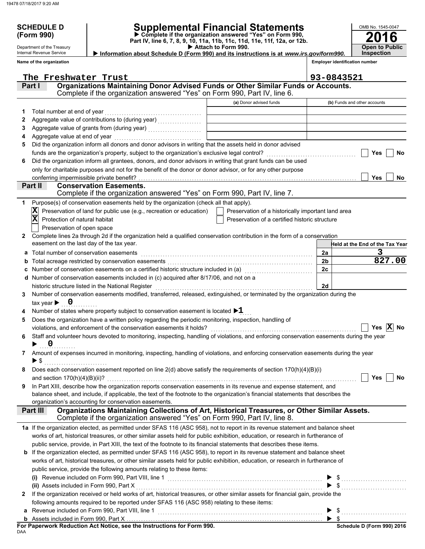Department of the Treasury Internal Revenue Service

### **SCHEDULE D Supplemental Financial Statements**

 **Attach to Form 990. (Form 990) Part IV, line 6, 7, 8, 9, 10, 11a, 11b, 11c, 11d, 11e, 11f, 12a, or 12b. Complete if the organization answered "Yes" on Form 990,**

 **Information about Schedule D (Form 990) and its instructions is at** *www.irs.gov/form990.*

**Inspection**

**2016**

**Open to Public**

OMB No. 1545-0047

|              | Name of the organization                                                                                                                                          |                                                    | <b>Employer identification number</b> |
|--------------|-------------------------------------------------------------------------------------------------------------------------------------------------------------------|----------------------------------------------------|---------------------------------------|
|              | The Freshwater Trust                                                                                                                                              |                                                    |                                       |
|              | Organizations Maintaining Donor Advised Funds or Other Similar Funds or Accounts.<br>Part I                                                                       |                                                    | 93-0843521                            |
|              | Complete if the organization answered "Yes" on Form 990, Part IV, line 6.                                                                                         |                                                    |                                       |
|              |                                                                                                                                                                   | (a) Donor advised funds                            | (b) Funds and other accounts          |
| 1            | Total number at end of year                                                                                                                                       |                                                    |                                       |
| 2            |                                                                                                                                                                   |                                                    |                                       |
| 3            |                                                                                                                                                                   |                                                    |                                       |
| 4            | Aggregate value at end of year                                                                                                                                    |                                                    |                                       |
| 5            | Did the organization inform all donors and donor advisors in writing that the assets held in donor advised                                                        |                                                    |                                       |
|              |                                                                                                                                                                   |                                                    | Yes<br>No                             |
| 6            | Did the organization inform all grantees, donors, and donor advisors in writing that grant funds can be used                                                      |                                                    |                                       |
|              | only for charitable purposes and not for the benefit of the donor or donor advisor, or for any other purpose                                                      |                                                    |                                       |
|              | conferring impermissible private benefit?                                                                                                                         |                                                    | <b>Yes</b><br>No                      |
|              | Part II<br><b>Conservation Easements.</b>                                                                                                                         |                                                    |                                       |
|              | Complete if the organization answered "Yes" on Form 990, Part IV, line 7.                                                                                         |                                                    |                                       |
| 1            | Purpose(s) of conservation easements held by the organization (check all that apply).                                                                             |                                                    |                                       |
|              | Preservation of land for public use (e.g., recreation or education)                                                                                               | Preservation of a historically important land area |                                       |
|              | $\overline{\mathbf{x}}$<br>Protection of natural habitat                                                                                                          | Preservation of a certified historic structure     |                                       |
|              | Preservation of open space                                                                                                                                        |                                                    |                                       |
| $\mathbf{2}$ | Complete lines 2a through 2d if the organization held a qualified conservation contribution in the form of a conservation                                         |                                                    |                                       |
|              | easement on the last day of the tax year.                                                                                                                         |                                                    | -leld at the End of the Tax Year      |
| а            | Total number of conservation easements                                                                                                                            |                                                    | 3<br>2a                               |
| b            |                                                                                                                                                                   |                                                    | 827.00<br>2 <sub>b</sub>              |
| c            | Number of conservation easements on a certified historic structure included in (a) [11] Number of conservation                                                    |                                                    | 2c                                    |
| d            | Number of conservation easements included in (c) acquired after 8/17/06, and not on a                                                                             |                                                    |                                       |
|              | historic structure listed in the National Register                                                                                                                |                                                    | 2d                                    |
| 3            | Number of conservation easements modified, transferred, released, extinguished, or terminated by the organization during the                                      |                                                    |                                       |
|              | tax year $\blacktriangleright$ 0                                                                                                                                  |                                                    |                                       |
|              | Number of states where property subject to conservation easement is located $\blacktriangleright 1$                                                               |                                                    |                                       |
| 5            | Does the organization have a written policy regarding the periodic monitoring, inspection, handling of                                                            |                                                    |                                       |
|              | violations, and enforcement of the conservation easements it holds?                                                                                               |                                                    | Yes $ X $ No                          |
| 6            | Staff and volunteer hours devoted to monitoring, inspecting, handling of violations, and enforcing conservation easements during the year                         |                                                    |                                       |
|              | $\overline{\mathbf{0}}$                                                                                                                                           |                                                    |                                       |
|              | 7 Amount of expenses incurred in monitoring, inspecting, handling of violations, and enforcing conservation easements during the year<br>$\blacktriangleright$ \$ |                                                    |                                       |
|              |                                                                                                                                                                   |                                                    |                                       |
|              | Does each conservation easement reported on line 2(d) above satisfy the requirements of section 170(h)(4)(B)(i)                                                   |                                                    | Yes<br>No                             |
| 9            | In Part XIII, describe how the organization reports conservation easements in its revenue and expense statement, and                                              |                                                    |                                       |
|              | balance sheet, and include, if applicable, the text of the footnote to the organization's financial statements that describes the                                 |                                                    |                                       |
|              | organization's accounting for conservation easements.                                                                                                             |                                                    |                                       |
|              | Organizations Maintaining Collections of Art, Historical Treasures, or Other Similar Assets.<br>Part III                                                          |                                                    |                                       |
|              | Complete if the organization answered "Yes" on Form 990, Part IV, line 8.                                                                                         |                                                    |                                       |
|              | 1a If the organization elected, as permitted under SFAS 116 (ASC 958), not to report in its revenue statement and balance sheet                                   |                                                    |                                       |
|              | works of art, historical treasures, or other similar assets held for public exhibition, education, or research in furtherance of                                  |                                                    |                                       |
|              | public service, provide, in Part XIII, the text of the footnote to its financial statements that describes these items.                                           |                                                    |                                       |
|              | <b>b</b> If the organization elected, as permitted under SFAS 116 (ASC 958), to report in its revenue statement and balance sheet                                 |                                                    |                                       |
|              | works of art, historical treasures, or other similar assets held for public exhibition, education, or research in furtherance of                                  |                                                    |                                       |
|              | public service, provide the following amounts relating to these items:                                                                                            |                                                    |                                       |
|              |                                                                                                                                                                   |                                                    |                                       |
|              | (ii) Assets included in Form 990, Part X                                                                                                                          |                                                    |                                       |
| 2            | If the organization received or held works of art, historical treasures, or other similar assets for financial gain, provide the                                  |                                                    |                                       |
|              | following amounts required to be reported under SFAS 116 (ASC 958) relating to these items:                                                                       |                                                    |                                       |
|              |                                                                                                                                                                   |                                                    |                                       |
|              |                                                                                                                                                                   |                                                    | $\blacktriangleright$ s               |

DAA **For Paperwork Reduction Act Notice, see the Instructions for Form 990.**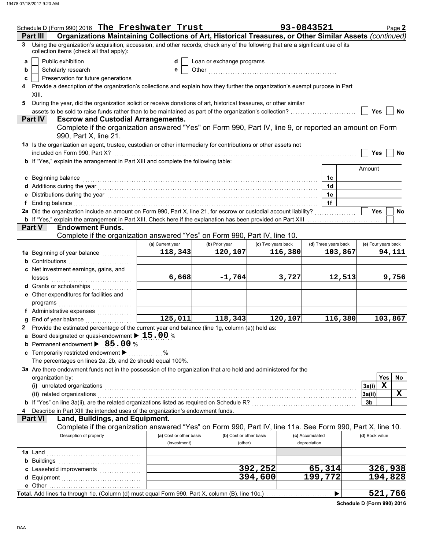|   | Schedule D (Form 990) 2016 The Freshwater Trust                                                                                                                                                                                |                         |                           |                    | 93-0843521           | Page 2                   |  |  |
|---|--------------------------------------------------------------------------------------------------------------------------------------------------------------------------------------------------------------------------------|-------------------------|---------------------------|--------------------|----------------------|--------------------------|--|--|
|   | Organizations Maintaining Collections of Art, Historical Treasures, or Other Similar Assets (continued)<br>Part II                                                                                                             |                         |                           |                    |                      |                          |  |  |
| 3 | Using the organization's acquisition, accession, and other records, check any of the following that are a significant use of its<br>collection items (check all that apply):                                                   |                         |                           |                    |                      |                          |  |  |
| a | Public exhibition                                                                                                                                                                                                              | d                       | Loan or exchange programs |                    |                      |                          |  |  |
| b | Scholarly research                                                                                                                                                                                                             | е                       |                           |                    |                      |                          |  |  |
| c | Preservation for future generations                                                                                                                                                                                            |                         |                           |                    |                      |                          |  |  |
| 4 | Provide a description of the organization's collections and explain how they further the organization's exempt purpose in Part                                                                                                 |                         |                           |                    |                      |                          |  |  |
|   | XIII.                                                                                                                                                                                                                          |                         |                           |                    |                      |                          |  |  |
| 5 | During the year, did the organization solicit or receive donations of art, historical treasures, or other similar                                                                                                              |                         |                           |                    |                      |                          |  |  |
|   | assets to be sold to raise funds rather than to be maintained as part of the organization's collection?                                                                                                                        |                         |                           |                    |                      | <b>Yes</b><br>No.        |  |  |
|   | <b>Escrow and Custodial Arrangements.</b><br><b>Part IV</b>                                                                                                                                                                    |                         |                           |                    |                      |                          |  |  |
|   | Complete if the organization answered "Yes" on Form 990, Part IV, line 9, or reported an amount on Form                                                                                                                        |                         |                           |                    |                      |                          |  |  |
|   | 990, Part X, line 21.                                                                                                                                                                                                          |                         |                           |                    |                      |                          |  |  |
|   | 1a Is the organization an agent, trustee, custodian or other intermediary for contributions or other assets not                                                                                                                |                         |                           |                    |                      |                          |  |  |
|   | included on Form 990, Part X?                                                                                                                                                                                                  |                         |                           |                    |                      | <b>Yes</b><br>No         |  |  |
|   | b If "Yes," explain the arrangement in Part XIII and complete the following table:                                                                                                                                             |                         |                           |                    |                      |                          |  |  |
|   |                                                                                                                                                                                                                                |                         |                           |                    |                      | Amount                   |  |  |
|   | c Beginning balance                                                                                                                                                                                                            |                         |                           |                    | 1c                   |                          |  |  |
|   | d Additions during the year manufactured and contact the year of Additions during the year.                                                                                                                                    |                         |                           |                    | 1d                   |                          |  |  |
|   | e Distributions during the year [1, 1, 2001] The Distribution of the United States of Tables and Tables and Distributions of the United States and Distributions of the United States and Distributions of Distributions and D |                         |                           |                    | 1e                   |                          |  |  |
|   | f Ending balance with a control of the control of the control of the control of the control of the control of the control of the control of the control of the control of the control of the control of the control of the con |                         |                           |                    | 1f                   |                          |  |  |
|   | 2a Did the organization include an amount on Form 990, Part X, line 21, for escrow or custodial account liability?                                                                                                             |                         |                           |                    |                      | Yes<br>No                |  |  |
|   | b If "Yes," explain the arrangement in Part XIII. Check here if the explanation has been provided on Part XIII                                                                                                                 |                         |                           |                    | .                    |                          |  |  |
|   | <b>Endowment Funds.</b><br><b>Part V</b>                                                                                                                                                                                       |                         |                           |                    |                      |                          |  |  |
|   | Complete if the organization answered "Yes" on Form 990, Part IV, line 10.                                                                                                                                                     |                         |                           |                    |                      |                          |  |  |
|   |                                                                                                                                                                                                                                | (a) Current year        | (b) Prior year            | (c) Two years back | (d) Three years back | (e) Four years back      |  |  |
|   | 1a Beginning of year balance                                                                                                                                                                                                   | 118,343                 | 120,107                   | 116,380            | 103,867              | 94,111                   |  |  |
|   | <b>b</b> Contributions <b>contributions</b>                                                                                                                                                                                    |                         |                           |                    |                      |                          |  |  |
|   | c Net investment earnings, gains, and                                                                                                                                                                                          |                         |                           |                    |                      |                          |  |  |
|   |                                                                                                                                                                                                                                | 6,668                   | $-1,764$                  | 3,727              | 12,513               | 9,756                    |  |  |
|   | d Grants or scholarships                                                                                                                                                                                                       |                         |                           |                    |                      |                          |  |  |
|   | e Other expenditures for facilities and                                                                                                                                                                                        |                         |                           |                    |                      |                          |  |  |
|   | programs with the continuum of the continuum of the continuum of the continuum of the continuum of the continuum of the continuum of the continuum of the continuum of the continuum of the continuum of the continuum of the  |                         |                           |                    |                      |                          |  |  |
|   | f Administrative expenses                                                                                                                                                                                                      |                         |                           |                    |                      |                          |  |  |
| g |                                                                                                                                                                                                                                | $\overline{125}$ , 011  | 118,343                   | 120,107            | 116,380              | 103,867                  |  |  |
|   | 2 Provide the estimated percentage of the current year end balance (line 1g, column (a)) held as:                                                                                                                              |                         |                           |                    |                      |                          |  |  |
|   | a Board designated or quasi-endowment $\blacktriangleright$ 15.00 %                                                                                                                                                            |                         |                           |                    |                      |                          |  |  |
|   | <b>b</b> Permanent endowment > 85.00 %                                                                                                                                                                                         |                         |                           |                    |                      |                          |  |  |
|   | c Temporarily restricted endowment >                                                                                                                                                                                           | %                       |                           |                    |                      |                          |  |  |
|   |                                                                                                                                                                                                                                |                         |                           |                    |                      |                          |  |  |
|   | The percentages on lines 2a, 2b, and 2c should equal 100%.                                                                                                                                                                     |                         |                           |                    |                      |                          |  |  |
|   | 3a Are there endowment funds not in the possession of the organization that are held and administered for the                                                                                                                  |                         |                           |                    |                      |                          |  |  |
|   | organization by:                                                                                                                                                                                                               |                         |                           |                    |                      | Yes<br>No<br>$\mathbf X$ |  |  |
|   | (i) unrelated organizations entertainment and all the contract of the contract of the contract of the contract or the contract of the contract of the contract of the contract of the contract of the contract of the contract |                         |                           |                    |                      | 3a(i)                    |  |  |
|   | (ii) related organizations                                                                                                                                                                                                     |                         |                           |                    |                      | X<br>3a(ii)              |  |  |
|   |                                                                                                                                                                                                                                |                         |                           |                    |                      | 3b                       |  |  |
| 4 | Describe in Part XIII the intended uses of the organization's endowment funds.                                                                                                                                                 |                         |                           |                    |                      |                          |  |  |
|   | <b>Part VI</b><br>Land, Buildings, and Equipment.                                                                                                                                                                              |                         |                           |                    |                      |                          |  |  |
|   | Complete if the organization answered "Yes" on Form 990, Part IV, line 11a. See Form 990, Part X, line 10.                                                                                                                     |                         |                           |                    |                      |                          |  |  |
|   | Description of property                                                                                                                                                                                                        | (a) Cost or other basis | (b) Cost or other basis   |                    | (c) Accumulated      | (d) Book value           |  |  |
|   |                                                                                                                                                                                                                                | (investment)            | (other)                   |                    | depreciation         |                          |  |  |
|   |                                                                                                                                                                                                                                |                         |                           |                    |                      |                          |  |  |
|   | <b>b</b> Buildings <b>Manual</b> Buildings <b>D</b>                                                                                                                                                                            |                         |                           |                    |                      |                          |  |  |
|   | c Leasehold improvements                                                                                                                                                                                                       |                         |                           | 392,252            | 65,314               | 326,938                  |  |  |
|   | d Equipment                                                                                                                                                                                                                    |                         |                           | 394,600            | 199,772              | 194,828                  |  |  |
|   |                                                                                                                                                                                                                                |                         |                           |                    |                      |                          |  |  |
|   | Total. Add lines 1a through 1e. (Column (d) must equal Form 990, Part X, column (B), line 10c.)                                                                                                                                |                         |                           |                    |                      | 521,766                  |  |  |
|   |                                                                                                                                                                                                                                |                         |                           |                    |                      |                          |  |  |

**Schedule D (Form 990) 2016**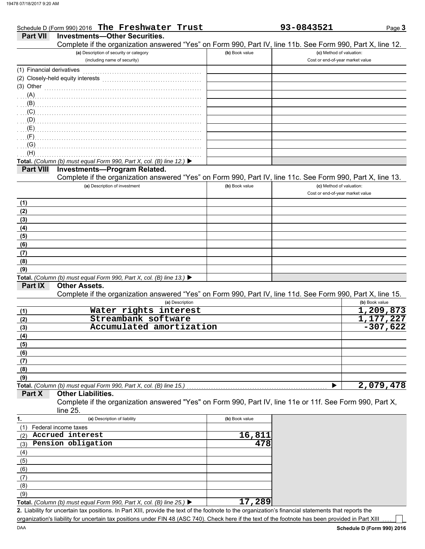|                           | Schedule D (Form 990) 2016 The Freshwater Trust                                                                                                      |                | 93-0843521                       | Page 3         |
|---------------------------|------------------------------------------------------------------------------------------------------------------------------------------------------|----------------|----------------------------------|----------------|
| <b>Part VII</b>           | <b>Investments-Other Securities.</b>                                                                                                                 |                |                                  |                |
|                           | Complete if the organization answered "Yes" on Form 990, Part IV, line 11b. See Form 990, Part X, line 12.                                           |                |                                  |                |
|                           | (a) Description of security or category                                                                                                              | (b) Book value | (c) Method of valuation:         |                |
|                           | (including name of security)                                                                                                                         |                | Cost or end-of-year market value |                |
| (1) Financial derivatives |                                                                                                                                                      |                |                                  |                |
|                           | (2) Closely-held equity interests                                                                                                                    |                |                                  |                |
| $(3)$ Other               |                                                                                                                                                      |                |                                  |                |
| (A)                       |                                                                                                                                                      |                |                                  |                |
| (B)                       |                                                                                                                                                      |                |                                  |                |
| (C)                       |                                                                                                                                                      |                |                                  |                |
|                           |                                                                                                                                                      |                |                                  |                |
| (D)                       |                                                                                                                                                      |                |                                  |                |
| (E)                       |                                                                                                                                                      |                |                                  |                |
| (F)                       |                                                                                                                                                      |                |                                  |                |
| (G)                       |                                                                                                                                                      |                |                                  |                |
| (H)                       |                                                                                                                                                      |                |                                  |                |
|                           | Total. (Column (b) must equal Form 990, Part X, col. (B) line 12.) ▶                                                                                 |                |                                  |                |
| <b>Part VIII</b>          | <b>Investments-Program Related.</b>                                                                                                                  |                |                                  |                |
|                           | Complete if the organization answered "Yes" on Form 990, Part IV, line 11c. See Form 990, Part X, line 13.                                           |                |                                  |                |
|                           | (a) Description of investment                                                                                                                        | (b) Book value | (c) Method of valuation:         |                |
|                           |                                                                                                                                                      |                | Cost or end-of-year market value |                |
| (1)                       |                                                                                                                                                      |                |                                  |                |
| (2)                       |                                                                                                                                                      |                |                                  |                |
| (3)                       |                                                                                                                                                      |                |                                  |                |
| (4)                       |                                                                                                                                                      |                |                                  |                |
| (5)                       |                                                                                                                                                      |                |                                  |                |
| (6)                       |                                                                                                                                                      |                |                                  |                |
|                           |                                                                                                                                                      |                |                                  |                |
| (7)                       |                                                                                                                                                      |                |                                  |                |
| (8)                       |                                                                                                                                                      |                |                                  |                |
| (9)                       |                                                                                                                                                      |                |                                  |                |
|                           | Total. (Column (b) must equal Form 990, Part X, col. (B) line 13.) ▶                                                                                 |                |                                  |                |
| Part IX                   | <b>Other Assets.</b>                                                                                                                                 |                |                                  |                |
|                           | Complete if the organization answered "Yes" on Form 990, Part IV, line 11d. See Form 990, Part X, line 15.                                           |                |                                  |                |
|                           | (a) Description                                                                                                                                      |                |                                  | (b) Book value |
| (1)                       | Water rights interest                                                                                                                                |                |                                  | 1,209,873      |
| (2)                       | Streambank software                                                                                                                                  |                |                                  | 1,177,227      |
| (3)                       | Accumulated amortization                                                                                                                             |                |                                  | $-307,622$     |
| (4)                       |                                                                                                                                                      |                |                                  |                |
| (5)                       |                                                                                                                                                      |                |                                  |                |
| (6)                       |                                                                                                                                                      |                |                                  |                |
| (7)                       |                                                                                                                                                      |                |                                  |                |
| (8)                       |                                                                                                                                                      |                |                                  |                |
| (9)                       |                                                                                                                                                      |                |                                  |                |
|                           | Total. (Column (b) must equal Form 990, Part X, col. (B) line 15.)                                                                                   |                |                                  | 2,079,478      |
| Part X                    | <b>Other Liabilities.</b>                                                                                                                            |                |                                  |                |
|                           | Complete if the organization answered "Yes" on Form 990, Part IV, line 11e or 11f. See Form 990, Part X,                                             |                |                                  |                |
|                           | line 25.                                                                                                                                             |                |                                  |                |
| 1.                        | (a) Description of liability                                                                                                                         | (b) Book value |                                  |                |
|                           | Federal income taxes                                                                                                                                 |                |                                  |                |
| (1)                       | Accrued interest                                                                                                                                     | 16,811         |                                  |                |
| (2)                       |                                                                                                                                                      | 478            |                                  |                |
| (3)                       | Pension obligation                                                                                                                                   |                |                                  |                |
| (4)                       |                                                                                                                                                      |                |                                  |                |
| (5)                       |                                                                                                                                                      |                |                                  |                |
| (6)                       |                                                                                                                                                      |                |                                  |                |
| (7)                       |                                                                                                                                                      |                |                                  |                |
| (8)                       |                                                                                                                                                      |                |                                  |                |
| (9)                       |                                                                                                                                                      |                |                                  |                |
|                           | Total. (Column (b) must equal Form 990, Part X, col. (B) line 25.) $\blacktriangleright$                                                             | 17,289         |                                  |                |
|                           | 2. Lipbility for uncertain tax positions. In Part VIII, provide the text of the feetpate to the ergenization's financial etatements that reports the |                |                                  |                |

Liability for uncertain tax positions. In Part XIII, provide the text of the footnote to the organization's financial statements that reports the **2.** organization's liability for uncertain tax positions under FIN 48 (ASC 740). Check here if the text of the footnote has been provided in Part XIII

 $\overline{\phantom{a}}$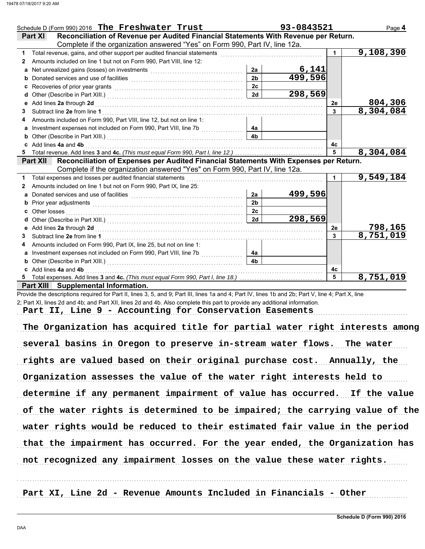|                 | Schedule D (Form 990) 2016 The Freshwater Trust                                                                                                                                                                                     |                 | 93-0843521              |                 | Page 4             |
|-----------------|-------------------------------------------------------------------------------------------------------------------------------------------------------------------------------------------------------------------------------------|-----------------|-------------------------|-----------------|--------------------|
| <b>Part XI</b>  | Reconciliation of Revenue per Audited Financial Statements With Revenue per Return.                                                                                                                                                 |                 |                         |                 |                    |
|                 | Complete if the organization answered "Yes" on Form 990, Part IV, line 12a.                                                                                                                                                         |                 |                         |                 |                    |
| 1               | Total revenue, gains, and other support per audited financial statements [111] [11] [11] Total revenue, gains, and other support per audited financial statements [11] [11] $\sigma$                                                |                 |                         | $\mathbf 1$     | 9,108,390          |
| 2               | Amounts included on line 1 but not on Form 990, Part VIII, line 12:                                                                                                                                                                 |                 |                         |                 |                    |
| a               |                                                                                                                                                                                                                                     | 2a              |                         |                 |                    |
|                 | Donated services and use of facilities <b>constructs</b> and the service of the service of the service of the service of the service of the service of the service of the service of the service of the service of the service of t | $\overline{2b}$ | $\frac{6,141}{499,596}$ |                 |                    |
| c               |                                                                                                                                                                                                                                     | 2c              |                         |                 |                    |
| d               |                                                                                                                                                                                                                                     | 2d              | 298,569                 |                 |                    |
| е               | Add lines 2a through 2d [[[[[[[[[[[[[[[[[[[[[[[[]]]]]]]]]] Add lines 2a through 2d                                                                                                                                                  |                 |                         | 2e              | 804,306            |
| 3               |                                                                                                                                                                                                                                     |                 |                         | $\overline{3}$  | $\sqrt{8,304,084}$ |
|                 | Amounts included on Form 990, Part VIII, line 12, but not on line 1:                                                                                                                                                                |                 |                         |                 |                    |
| a               | Investment expenses not included on Form 990, Part VIII, line 7b                                                                                                                                                                    | 4а              |                         |                 |                    |
| b               |                                                                                                                                                                                                                                     | 4 <sub>b</sub>  |                         |                 |                    |
| c               | Add lines 4a and 4b                                                                                                                                                                                                                 |                 |                         | 4c              |                    |
| 5               |                                                                                                                                                                                                                                     |                 |                         | $5\overline{5}$ | 8,304,084          |
| <b>Part XII</b> | Reconciliation of Expenses per Audited Financial Statements With Expenses per Return.                                                                                                                                               |                 |                         |                 |                    |
|                 | Complete if the organization answered "Yes" on Form 990, Part IV, line 12a.                                                                                                                                                         |                 |                         |                 |                    |
|                 | Total expenses and losses per audited financial statements                                                                                                                                                                          |                 |                         | $\mathbf 1$     | 9,549,184          |
| 2               | Amounts included on line 1 but not on Form 990, Part IX, line 25:                                                                                                                                                                   |                 |                         |                 |                    |
| a               |                                                                                                                                                                                                                                     | 2a              | 499,596                 |                 |                    |
| b               |                                                                                                                                                                                                                                     | 2 <sub>b</sub>  |                         |                 |                    |
| C               | Other losses                                                                                                                                                                                                                        | 2 <sub>c</sub>  |                         |                 |                    |
| d               |                                                                                                                                                                                                                                     | 2d              | 298,569                 |                 |                    |
| е               | Add lines 2a through 2d [[[[[[[[[[[[[[[[[[[[[[[[]]]]]]]]] Add lines 2a through 2d                                                                                                                                                   |                 |                         | 2е              | 798,165            |
| 3               |                                                                                                                                                                                                                                     |                 |                         | 3               | 8,751,019          |
| 4               | Amounts included on Form 990, Part IX, line 25, but not on line 1:                                                                                                                                                                  |                 |                         |                 |                    |
| a               |                                                                                                                                                                                                                                     | 4a              |                         |                 |                    |
|                 |                                                                                                                                                                                                                                     | 4 <b>b</b>      |                         |                 |                    |
|                 | c Add lines 4a and 4b                                                                                                                                                                                                               |                 |                         | 4c              |                    |
|                 |                                                                                                                                                                                                                                     |                 |                         | 5               | 8,751,019          |
|                 | Part XIII Supplemental Information.                                                                                                                                                                                                 |                 |                         |                 |                    |

Provide the descriptions required for Part II, lines 3, 5, and 9; Part III, lines 1a and 4; Part IV, lines 1b and 2b; Part V, line 4; Part X, line 2; Part XI, lines 2d and 4b; and Part XII, lines 2d and 4b. Also complete this part to provide any additional information.

Part II, Line 9 - Accounting for Conservation Easements

The Organization has acquired title for partial water right interests among several basins in Oregon to preserve in-stream water flows. The water rights are valued based on their original purchase cost. Annually, the Organization assesses the value of the water right interests held to determine if any permanent impairment of value has occurred. If the value of the water rights is determined to be impaired; the carrying value of the not recognized any impairment losses on the value these water rights. water rights would be reduced to their estimated fair value in the period that the impairment has occurred. For the year ended, the Organization has

. . . . . . . . . . . . . . . . . . . . . . . . . . . . . . . . . . . . . . . . . . . . . . . . . . . . . . . . . . . . . . . . . . . . . . . . . . . . . . . . . . . . . . . . . . . . . . . . . . . . . . . . . . . . . . . . . . . . . . . . . . . . . . . . . . . . . . . . . . . . . . . . . . . . . . . . . . . . . . . . . Part XI, Line 2d - Revenue Amounts Included in Financials - Other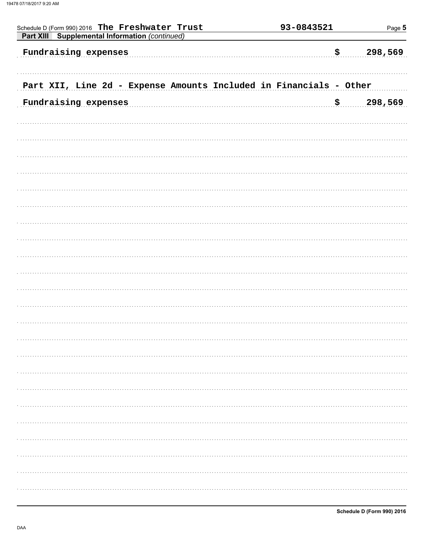| Schedule D (Form 990) 2016 The Freshwater Trust<br>Part XIII Supplemental Information (continued) | 93-0843521 | Page 5         |
|---------------------------------------------------------------------------------------------------|------------|----------------|
| Fundraising expenses                                                                              |            | 298,569<br>\$  |
| Part XII, Line 2d - Expense Amounts Included in Financials - Other                                |            |                |
| Fundraising expenses                                                                              |            | 298,569<br>\$. |
|                                                                                                   |            |                |
|                                                                                                   |            |                |
|                                                                                                   |            |                |
|                                                                                                   |            |                |
|                                                                                                   |            |                |
|                                                                                                   |            |                |
|                                                                                                   |            |                |
|                                                                                                   |            |                |
|                                                                                                   |            |                |
|                                                                                                   |            |                |
|                                                                                                   |            |                |
|                                                                                                   |            |                |
|                                                                                                   |            |                |
|                                                                                                   |            |                |
|                                                                                                   |            |                |
|                                                                                                   |            |                |
|                                                                                                   |            |                |
|                                                                                                   |            |                |
|                                                                                                   |            |                |
|                                                                                                   |            |                |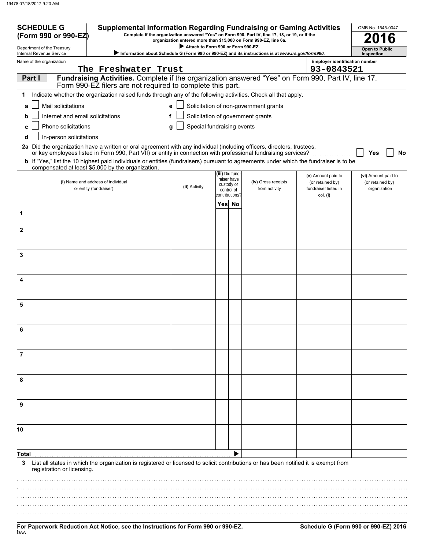| <b>SCHEDULE G</b><br>(Form 990 or 990-EZ)              | <b>Supplemental Information Regarding Fundraising or Gaming Activities</b>                                                                                                                                                               |                                    |                 |                                             | Complete if the organization answered "Yes" on Form 990, Part IV, line 17, 18, or 19, or if the<br>organization entered more than \$15,000 on Form 990-EZ, line 6a. |                                                      | OMB No. 1545-0047<br>6              |
|--------------------------------------------------------|------------------------------------------------------------------------------------------------------------------------------------------------------------------------------------------------------------------------------------------|------------------------------------|-----------------|---------------------------------------------|---------------------------------------------------------------------------------------------------------------------------------------------------------------------|------------------------------------------------------|-------------------------------------|
| Department of the Treasury<br>Internal Revenue Service |                                                                                                                                                                                                                                          | Attach to Form 990 or Form 990-EZ. |                 |                                             | > Information about Schedule G (Form 990 or 990-EZ) and its instructions is at www.irs.gov/form990.                                                                 |                                                      | <b>Open to Public</b><br>Inspection |
| Name of the organization                               |                                                                                                                                                                                                                                          |                                    |                 |                                             |                                                                                                                                                                     | <b>Employer identification number</b>                |                                     |
|                                                        | The Freshwater Trust                                                                                                                                                                                                                     |                                    |                 |                                             |                                                                                                                                                                     | 93-0843521                                           |                                     |
| Part I                                                 | Fundraising Activities. Complete if the organization answered "Yes" on Form 990, Part IV, line 17.<br>Form 990-EZ filers are not required to complete this part.                                                                         |                                    |                 |                                             |                                                                                                                                                                     |                                                      |                                     |
| 1                                                      | Indicate whether the organization raised funds through any of the following activities. Check all that apply.                                                                                                                            |                                    |                 |                                             |                                                                                                                                                                     |                                                      |                                     |
| Mail solicitations<br>a                                |                                                                                                                                                                                                                                          | e                                  |                 |                                             | Solicitation of non-government grants                                                                                                                               |                                                      |                                     |
| Internet and email solicitations<br>b                  | f                                                                                                                                                                                                                                        |                                    |                 |                                             | Solicitation of government grants                                                                                                                                   |                                                      |                                     |
| Phone solicitations<br>c                               |                                                                                                                                                                                                                                          | Special fundraising events<br>g    |                 |                                             |                                                                                                                                                                     |                                                      |                                     |
| In-person solicitations<br>d                           |                                                                                                                                                                                                                                          |                                    |                 |                                             |                                                                                                                                                                     |                                                      |                                     |
|                                                        | 2a Did the organization have a written or oral agreement with any individual (including officers, directors, trustees,<br>or key employees listed in Form 990, Part VII) or entity in connection with professional fundraising services? |                                    |                 |                                             |                                                                                                                                                                     |                                                      | Yes<br><b>No</b>                    |
|                                                        | b If "Yes," list the 10 highest paid individuals or entities (fundraisers) pursuant to agreements under which the fundraiser is to be<br>compensated at least \$5,000 by the organization.                                               |                                    |                 |                                             |                                                                                                                                                                     |                                                      |                                     |
|                                                        |                                                                                                                                                                                                                                          |                                    | (iii) Did fund- |                                             |                                                                                                                                                                     | (v) Amount paid to                                   | (vi) Amount paid to                 |
|                                                        | (i) Name and address of individual<br>or entity (fundraiser)                                                                                                                                                                             | (ii) Activity                      | custody or      | raiser have<br>control of<br>contributions? | (iv) Gross receipts<br>from activity                                                                                                                                | (or retained by)<br>fundraiser listed in<br>col. (i) | (or retained by)<br>organization    |
|                                                        |                                                                                                                                                                                                                                          |                                    | Yes No          |                                             |                                                                                                                                                                     |                                                      |                                     |
| 1                                                      |                                                                                                                                                                                                                                          |                                    |                 |                                             |                                                                                                                                                                     |                                                      |                                     |
| $\mathbf{2}$                                           |                                                                                                                                                                                                                                          |                                    |                 |                                             |                                                                                                                                                                     |                                                      |                                     |
| 3                                                      |                                                                                                                                                                                                                                          |                                    |                 |                                             |                                                                                                                                                                     |                                                      |                                     |
|                                                        |                                                                                                                                                                                                                                          |                                    |                 |                                             |                                                                                                                                                                     |                                                      |                                     |
| 4                                                      |                                                                                                                                                                                                                                          |                                    |                 |                                             |                                                                                                                                                                     |                                                      |                                     |
| 5                                                      |                                                                                                                                                                                                                                          |                                    |                 |                                             |                                                                                                                                                                     |                                                      |                                     |
| 6                                                      |                                                                                                                                                                                                                                          |                                    |                 |                                             |                                                                                                                                                                     |                                                      |                                     |
|                                                        |                                                                                                                                                                                                                                          |                                    |                 |                                             |                                                                                                                                                                     |                                                      |                                     |
| 7                                                      |                                                                                                                                                                                                                                          |                                    |                 |                                             |                                                                                                                                                                     |                                                      |                                     |
| 8                                                      |                                                                                                                                                                                                                                          |                                    |                 |                                             |                                                                                                                                                                     |                                                      |                                     |
| 9                                                      |                                                                                                                                                                                                                                          |                                    |                 |                                             |                                                                                                                                                                     |                                                      |                                     |
|                                                        |                                                                                                                                                                                                                                          |                                    |                 |                                             |                                                                                                                                                                     |                                                      |                                     |
| 10                                                     |                                                                                                                                                                                                                                          |                                    |                 |                                             |                                                                                                                                                                     |                                                      |                                     |
| Total                                                  |                                                                                                                                                                                                                                          |                                    |                 |                                             |                                                                                                                                                                     |                                                      |                                     |
| 3.<br>registration or licensing.                       | List all states in which the organization is registered or licensed to solicit contributions or has been notified it is exempt from                                                                                                      |                                    |                 |                                             |                                                                                                                                                                     |                                                      |                                     |
|                                                        |                                                                                                                                                                                                                                          |                                    |                 |                                             |                                                                                                                                                                     |                                                      |                                     |
|                                                        |                                                                                                                                                                                                                                          |                                    |                 |                                             |                                                                                                                                                                     |                                                      |                                     |
|                                                        |                                                                                                                                                                                                                                          |                                    |                 |                                             |                                                                                                                                                                     |                                                      |                                     |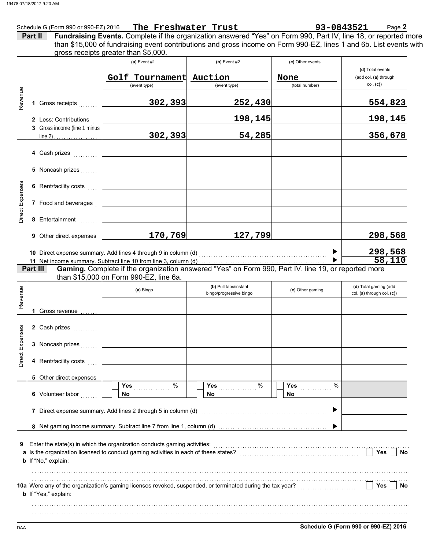| Schedule G (Form 990 or 990-EZ) 2016 | The Freshwater Trust | 93-0843521<br>-<br>Page <b>2</b> |
|--------------------------------------|----------------------|----------------------------------|
|                                      |                      |                                  |

| Part II | Fundraising Events. Complete if the organization answered "Yes" on Form 990, Part IV, line 18, or reported more    |  |  |
|---------|--------------------------------------------------------------------------------------------------------------------|--|--|
|         | than \$15,000 of fundraising event contributions and gross income on Form 990-EZ, lines 1 and 6b. List events with |  |  |
|         | gross receipts greater than \$5,000.                                                                               |  |  |
|         |                                                                                                                    |  |  |

|                 |          |                                | (a) Event $#1$                                                                       | $(b)$ Event #2                                                                                                     | (c) Other events       |                                   |
|-----------------|----------|--------------------------------|--------------------------------------------------------------------------------------|--------------------------------------------------------------------------------------------------------------------|------------------------|-----------------------------------|
|                 |          |                                |                                                                                      |                                                                                                                    |                        | (d) Total events                  |
|                 |          |                                | Golf Tournament Auction<br>(event type)                                              | (event type)                                                                                                       | None<br>(total number) | (add col. (a) through<br>col. (c) |
|                 |          |                                |                                                                                      |                                                                                                                    |                        |                                   |
| Revenue         |          | 1 Gross receipts               | 302,393                                                                              | 252,430                                                                                                            |                        | 554,823                           |
|                 |          | 2 Less: Contributions          |                                                                                      | 198,145                                                                                                            |                        | 198,145                           |
|                 |          | 3 Gross income (line 1 minus   |                                                                                      |                                                                                                                    |                        |                                   |
|                 |          |                                | 302,393                                                                              | 54,285                                                                                                             |                        | 356,678                           |
|                 |          |                                |                                                                                      |                                                                                                                    |                        |                                   |
|                 |          | 4 Cash prizes                  |                                                                                      |                                                                                                                    |                        |                                   |
|                 |          | 5 Noncash prizes               |                                                                                      |                                                                                                                    |                        |                                   |
|                 |          | 6 Rent/facility costs          |                                                                                      |                                                                                                                    |                        |                                   |
| Direct Expenses |          | 7 Food and beverages           |                                                                                      |                                                                                                                    |                        |                                   |
|                 |          | 8 Entertainment                |                                                                                      |                                                                                                                    |                        |                                   |
|                 |          | <b>9</b> Other direct expenses | 170,769                                                                              | 127,799                                                                                                            |                        | 298,568                           |
|                 |          |                                |                                                                                      |                                                                                                                    |                        | 298,568                           |
|                 |          |                                |                                                                                      | 10 Direct expense summary. Add lines 4 through 9 in column (d) [11] content to content the content of the summary. | $\blacktriangleright$  | 58,110                            |
|                 | Part III |                                |                                                                                      | Gaming. Complete if the organization answered "Yes" on Form 990, Part IV, line 19, or reported more                |                        |                                   |
|                 |          |                                | than \$15,000 on Form 990-EZ, line 6a.                                               |                                                                                                                    |                        |                                   |
|                 |          |                                | (a) Bingo                                                                            | (b) Pull tabs/instant                                                                                              | (c) Other gaming       | (d) Total gaming (add             |
| Revenue         |          |                                |                                                                                      | bingo/progressive bingo                                                                                            |                        | col. (a) through col. (c))        |
|                 |          | 1 Gross revenue                |                                                                                      |                                                                                                                    |                        |                                   |
|                 |          |                                |                                                                                      |                                                                                                                    |                        |                                   |
|                 |          | 2 Cash prizes                  |                                                                                      |                                                                                                                    |                        |                                   |
|                 |          |                                |                                                                                      |                                                                                                                    |                        |                                   |
| Direct Expenses |          | 3 Noncash prizes               |                                                                                      |                                                                                                                    |                        |                                   |
|                 |          |                                |                                                                                      |                                                                                                                    |                        |                                   |
|                 |          | 5 Other direct expenses        |                                                                                      |                                                                                                                    |                        |                                   |
|                 |          |                                | Yes<br>%                                                                             | %<br>Yes                                                                                                           | $\%$<br>Yes            |                                   |
|                 |          | 6 Volunteer labor              | <b>No</b>                                                                            | <b>No</b>                                                                                                          | No                     |                                   |
|                 |          |                                | 7 Direct expense summary. Add lines 2 through 5 in column (d)                        |                                                                                                                    | ▶                      |                                   |
|                 |          |                                |                                                                                      |                                                                                                                    |                        |                                   |
|                 |          |                                |                                                                                      |                                                                                                                    |                        |                                   |
| 9               |          |                                | Enter the state(s) in which the organization conducts gaming activities:             |                                                                                                                    |                        |                                   |
|                 |          |                                | a Is the organization licensed to conduct gaming activities in each of these states? |                                                                                                                    |                        | Yes<br><b>No</b>                  |
|                 |          | b If "No," explain:            |                                                                                      |                                                                                                                    |                        |                                   |
|                 |          |                                |                                                                                      |                                                                                                                    |                        |                                   |
|                 |          |                                |                                                                                      | 10a Were any of the organization's gaming licenses revoked, suspended, or terminated during the tax year?          |                        | Yes<br>No                         |
|                 |          | b If "Yes," explain:           |                                                                                      |                                                                                                                    |                        |                                   |
|                 |          |                                |                                                                                      |                                                                                                                    |                        |                                   |
|                 |          |                                |                                                                                      |                                                                                                                    |                        |                                   |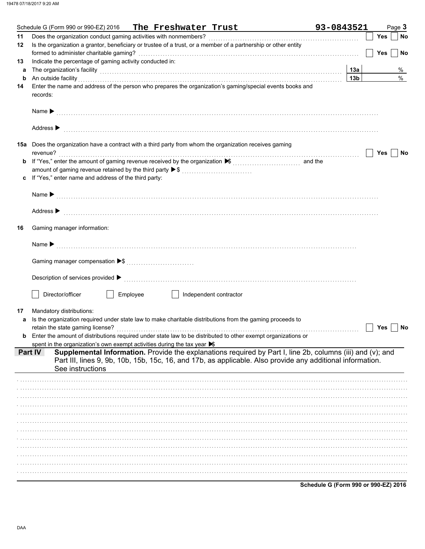|             | Schedule G (Form 990 or 990-EZ) 2016 The Freshwater Trust                                                                                                                                                                      | 93-0843521      |            | Page 3 |           |
|-------------|--------------------------------------------------------------------------------------------------------------------------------------------------------------------------------------------------------------------------------|-----------------|------------|--------|-----------|
| 11          |                                                                                                                                                                                                                                |                 | Yes        |        | <b>No</b> |
| 12          | Is the organization a grantor, beneficiary or trustee of a trust, or a member of a partnership or other entity                                                                                                                 |                 |            |        |           |
|             |                                                                                                                                                                                                                                |                 | <b>Yes</b> |        | No        |
| 13          | Indicate the percentage of gaming activity conducted in:                                                                                                                                                                       |                 |            |        |           |
| а           | The organization's facility [13a] 13a [135] The organization's state of the state of the state or the contract the contract of the state of the state of the state of the state of the state of the state of the state of the  |                 |            |        | %         |
| $\mathbf b$ | An outside facility <b>contained a set of a set of a set of a set of a set of a set of a set of a set of a set of a</b>                                                                                                        | 13 <sub>b</sub> |            |        | %         |
| 14          | Enter the name and address of the person who prepares the organization's gaming/special events books and                                                                                                                       |                 |            |        |           |
|             | records:                                                                                                                                                                                                                       |                 |            |        |           |
|             |                                                                                                                                                                                                                                |                 |            |        |           |
|             |                                                                                                                                                                                                                                |                 |            |        |           |
|             |                                                                                                                                                                                                                                |                 |            |        |           |
|             |                                                                                                                                                                                                                                |                 |            |        |           |
|             | Address > the communication of the contract of the contract of the contract of the contract of the contract of the contract of the contract of the contract of the contract of the contract of the contract of the contract of |                 |            |        |           |
|             | <b>15a</b> Does the organization have a contract with a third party from whom the organization receives gaming                                                                                                                 |                 |            |        |           |
|             | revenue?                                                                                                                                                                                                                       |                 | Yes        |        |           |
|             |                                                                                                                                                                                                                                |                 |            |        | No        |
| b           | If "Yes," enter the amount of gaming revenue received by the organization ▶ (\\times\) \\times," enter the amount of gaming revenue received by the organization ▶ (\\times\)                                                  |                 |            |        |           |
|             | amount of gaming revenue retained by the third party ▶ \$                                                                                                                                                                      |                 |            |        |           |
| c           | If "Yes," enter name and address of the third party:                                                                                                                                                                           |                 |            |        |           |
|             |                                                                                                                                                                                                                                |                 |            |        |           |
|             |                                                                                                                                                                                                                                |                 |            |        |           |
|             |                                                                                                                                                                                                                                |                 |            |        |           |
|             | Address > the communication of the contract of the contract of the contract of the contract of the contract of the contract of the contract of the contract of the contract of the contract of the contract of the contract of |                 |            |        |           |
|             |                                                                                                                                                                                                                                |                 |            |        |           |
| 16          | Gaming manager information:                                                                                                                                                                                                    |                 |            |        |           |
|             |                                                                                                                                                                                                                                |                 |            |        |           |
|             |                                                                                                                                                                                                                                |                 |            |        |           |
|             |                                                                                                                                                                                                                                |                 |            |        |           |
|             |                                                                                                                                                                                                                                |                 |            |        |           |
|             |                                                                                                                                                                                                                                |                 |            |        |           |
|             |                                                                                                                                                                                                                                |                 |            |        |           |
|             | Director/officer<br>Employee<br>Independent contractor                                                                                                                                                                         |                 |            |        |           |
|             |                                                                                                                                                                                                                                |                 |            |        |           |
| 17          | Mandatory distributions:                                                                                                                                                                                                       |                 |            |        |           |
| a           | Is the organization required under state law to make charitable distributions from the gaming proceeds to                                                                                                                      |                 |            |        |           |
|             |                                                                                                                                                                                                                                |                 | Yes        |        | No        |
| b           | Enter the amount of distributions required under state law to be distributed to other exempt organizations or                                                                                                                  |                 |            |        |           |
|             | spent in the organization's own exempt activities during the tax year $\blacktriangleright$                                                                                                                                    |                 |            |        |           |
|             | Supplemental Information. Provide the explanations required by Part I, line 2b, columns (iii) and (v); and<br>Part IV                                                                                                          |                 |            |        |           |
|             | Part III, lines 9, 9b, 10b, 15b, 15c, 16, and 17b, as applicable. Also provide any additional information.                                                                                                                     |                 |            |        |           |
|             | See instructions                                                                                                                                                                                                               |                 |            |        |           |
|             |                                                                                                                                                                                                                                |                 |            |        |           |
|             |                                                                                                                                                                                                                                |                 |            |        |           |
|             |                                                                                                                                                                                                                                |                 |            |        |           |
|             |                                                                                                                                                                                                                                |                 |            |        |           |
|             |                                                                                                                                                                                                                                |                 |            |        |           |
|             |                                                                                                                                                                                                                                |                 |            |        |           |
|             |                                                                                                                                                                                                                                |                 |            |        |           |
|             |                                                                                                                                                                                                                                |                 |            |        |           |
|             |                                                                                                                                                                                                                                |                 |            |        |           |
|             |                                                                                                                                                                                                                                |                 |            |        |           |
|             |                                                                                                                                                                                                                                |                 |            |        |           |
|             |                                                                                                                                                                                                                                |                 |            |        |           |
|             |                                                                                                                                                                                                                                |                 |            |        |           |
|             |                                                                                                                                                                                                                                |                 |            |        |           |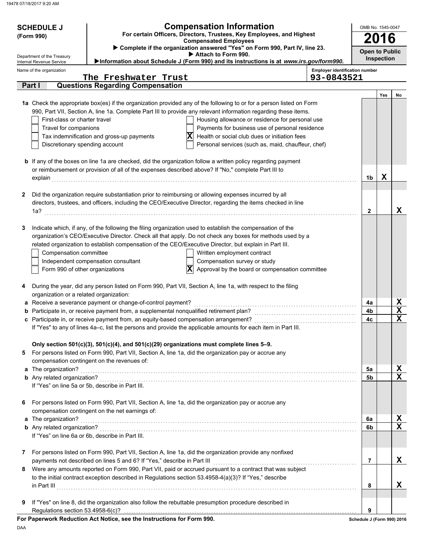|              | <b>Compensation Information</b><br><b>SCHEDULE J</b><br>For certain Officers, Directors, Trustees, Key Employees, and Highest<br>(Form 990)<br><b>Compensated Employees</b><br>Complete if the organization answered "Yes" on Form 990, Part IV, line 23. |                                                                                         |                                                                                                                                                                                                                         |                                       | OMB No. 1545-0047<br>16    |            |                                 |  |
|--------------|-----------------------------------------------------------------------------------------------------------------------------------------------------------------------------------------------------------------------------------------------------------|-----------------------------------------------------------------------------------------|-------------------------------------------------------------------------------------------------------------------------------------------------------------------------------------------------------------------------|---------------------------------------|----------------------------|------------|---------------------------------|--|
|              |                                                                                                                                                                                                                                                           |                                                                                         |                                                                                                                                                                                                                         |                                       | <b>Open to Public</b>      |            |                                 |  |
|              | Department of the Treasury<br>Internal Revenue Service                                                                                                                                                                                                    |                                                                                         | Attach to Form 990.<br>Information about Schedule J (Form 990) and its instructions is at www.irs.gov/form990.                                                                                                          |                                       |                            | Inspection |                                 |  |
|              | Name of the organization                                                                                                                                                                                                                                  |                                                                                         |                                                                                                                                                                                                                         | <b>Employer identification number</b> |                            |            |                                 |  |
|              | Part I                                                                                                                                                                                                                                                    | The Freshwater Trust<br><b>Questions Regarding Compensation</b>                         |                                                                                                                                                                                                                         | 93-0843521                            |                            |            |                                 |  |
|              |                                                                                                                                                                                                                                                           |                                                                                         |                                                                                                                                                                                                                         |                                       |                            | Yes        | No                              |  |
|              |                                                                                                                                                                                                                                                           |                                                                                         | 1a Check the appropriate box(es) if the organization provided any of the following to or for a person listed on Form                                                                                                    |                                       |                            |            |                                 |  |
|              |                                                                                                                                                                                                                                                           |                                                                                         | 990, Part VII, Section A, line 1a. Complete Part III to provide any relevant information regarding these items.                                                                                                         |                                       |                            |            |                                 |  |
|              | First-class or charter travel                                                                                                                                                                                                                             |                                                                                         | Housing allowance or residence for personal use                                                                                                                                                                         |                                       |                            |            |                                 |  |
|              | Travel for companions                                                                                                                                                                                                                                     | Tax indemnification and gross-up payments                                               | Payments for business use of personal residence<br>x<br>Health or social club dues or initiation fees                                                                                                                   |                                       |                            |            |                                 |  |
|              | Discretionary spending account                                                                                                                                                                                                                            |                                                                                         | Personal services (such as, maid, chauffeur, chef)                                                                                                                                                                      |                                       |                            |            |                                 |  |
|              |                                                                                                                                                                                                                                                           |                                                                                         |                                                                                                                                                                                                                         |                                       |                            |            |                                 |  |
|              |                                                                                                                                                                                                                                                           |                                                                                         | <b>b</b> If any of the boxes on line 1a are checked, did the organization follow a written policy regarding payment                                                                                                     |                                       |                            |            |                                 |  |
|              |                                                                                                                                                                                                                                                           |                                                                                         | or reimbursement or provision of all of the expenses described above? If "No," complete Part III to                                                                                                                     |                                       |                            |            |                                 |  |
|              | explain                                                                                                                                                                                                                                                   |                                                                                         |                                                                                                                                                                                                                         |                                       | 1b                         | X          |                                 |  |
| $\mathbf{2}$ |                                                                                                                                                                                                                                                           |                                                                                         | Did the organization require substantiation prior to reimbursing or allowing expenses incurred by all                                                                                                                   |                                       |                            |            |                                 |  |
|              |                                                                                                                                                                                                                                                           |                                                                                         | directors, trustees, and officers, including the CEO/Executive Director, regarding the items checked in line                                                                                                            |                                       |                            |            |                                 |  |
|              | $1a$ ?                                                                                                                                                                                                                                                    |                                                                                         |                                                                                                                                                                                                                         |                                       | $\mathbf{2}$               |            | X                               |  |
|              |                                                                                                                                                                                                                                                           |                                                                                         |                                                                                                                                                                                                                         |                                       |                            |            |                                 |  |
| 3            |                                                                                                                                                                                                                                                           |                                                                                         | Indicate which, if any, of the following the filing organization used to establish the compensation of the<br>organization's CEO/Executive Director. Check all that apply. Do not check any boxes for methods used by a |                                       |                            |            |                                 |  |
|              |                                                                                                                                                                                                                                                           |                                                                                         | related organization to establish compensation of the CEO/Executive Director, but explain in Part III.                                                                                                                  |                                       |                            |            |                                 |  |
|              | Compensation committee                                                                                                                                                                                                                                    |                                                                                         | Written employment contract                                                                                                                                                                                             |                                       |                            |            |                                 |  |
|              |                                                                                                                                                                                                                                                           | Independent compensation consultant                                                     | Compensation survey or study                                                                                                                                                                                            |                                       |                            |            |                                 |  |
|              | Form 990 of other organizations                                                                                                                                                                                                                           |                                                                                         | $ \mathbf{x} $<br>Approval by the board or compensation committee                                                                                                                                                       |                                       |                            |            |                                 |  |
|              |                                                                                                                                                                                                                                                           |                                                                                         |                                                                                                                                                                                                                         |                                       |                            |            |                                 |  |
| 4            | organization or a related organization:                                                                                                                                                                                                                   |                                                                                         | During the year, did any person listed on Form 990, Part VII, Section A, line 1a, with respect to the filing                                                                                                            |                                       |                            |            |                                 |  |
|              |                                                                                                                                                                                                                                                           | a Receive a severance payment or change-of-control payment?                             |                                                                                                                                                                                                                         |                                       | 4a                         |            |                                 |  |
|              |                                                                                                                                                                                                                                                           | b Participate in, or receive payment from, a supplemental nonqualified retirement plan? |                                                                                                                                                                                                                         |                                       | 4b                         |            | $rac{X}{X}$                     |  |
|              |                                                                                                                                                                                                                                                           | c Participate in, or receive payment from, an equity-based compensation arrangement?    |                                                                                                                                                                                                                         |                                       | 4c                         |            |                                 |  |
|              |                                                                                                                                                                                                                                                           |                                                                                         | If "Yes" to any of lines 4a-c, list the persons and provide the applicable amounts for each item in Part III.                                                                                                           |                                       |                            |            |                                 |  |
|              |                                                                                                                                                                                                                                                           |                                                                                         | Only section 501(c)(3), 501(c)(4), and 501(c)(29) organizations must complete lines 5-9.                                                                                                                                |                                       |                            |            |                                 |  |
| 5            |                                                                                                                                                                                                                                                           |                                                                                         | For persons listed on Form 990, Part VII, Section A, line 1a, did the organization pay or accrue any                                                                                                                    |                                       |                            |            |                                 |  |
|              |                                                                                                                                                                                                                                                           | compensation contingent on the revenues of:                                             |                                                                                                                                                                                                                         |                                       |                            |            |                                 |  |
|              | a The organization?                                                                                                                                                                                                                                       |                                                                                         |                                                                                                                                                                                                                         |                                       | 5a                         |            | $\frac{\mathbf{x}}{\mathbf{x}}$ |  |
|              | <b>b</b> Any related organization?                                                                                                                                                                                                                        |                                                                                         |                                                                                                                                                                                                                         |                                       | 5 <sub>b</sub>             |            |                                 |  |
|              |                                                                                                                                                                                                                                                           | If "Yes" on line 5a or 5b, describe in Part III.                                        |                                                                                                                                                                                                                         |                                       |                            |            |                                 |  |
| 6            |                                                                                                                                                                                                                                                           |                                                                                         | For persons listed on Form 990, Part VII, Section A, line 1a, did the organization pay or accrue any                                                                                                                    |                                       |                            |            |                                 |  |
|              |                                                                                                                                                                                                                                                           | compensation contingent on the net earnings of:                                         |                                                                                                                                                                                                                         |                                       |                            |            |                                 |  |
|              | a The organization?                                                                                                                                                                                                                                       |                                                                                         |                                                                                                                                                                                                                         |                                       | 6a                         |            | $\frac{\mathbf{x}}{\mathbf{x}}$ |  |
|              |                                                                                                                                                                                                                                                           |                                                                                         |                                                                                                                                                                                                                         |                                       | 6b                         |            |                                 |  |
|              |                                                                                                                                                                                                                                                           | If "Yes" on line 6a or 6b, describe in Part III.                                        |                                                                                                                                                                                                                         |                                       |                            |            |                                 |  |
| 7            |                                                                                                                                                                                                                                                           |                                                                                         | For persons listed on Form 990, Part VII, Section A, line 1a, did the organization provide any nonfixed                                                                                                                 |                                       |                            |            |                                 |  |
|              |                                                                                                                                                                                                                                                           | payments not described on lines 5 and 6? If "Yes," describe in Part III                 |                                                                                                                                                                                                                         |                                       | $\overline{7}$             |            | X                               |  |
| 8            |                                                                                                                                                                                                                                                           |                                                                                         | Were any amounts reported on Form 990, Part VII, paid or accrued pursuant to a contract that was subject                                                                                                                |                                       |                            |            |                                 |  |
|              |                                                                                                                                                                                                                                                           |                                                                                         | to the initial contract exception described in Regulations section 53.4958-4(a)(3)? If "Yes," describe                                                                                                                  |                                       |                            |            |                                 |  |
|              |                                                                                                                                                                                                                                                           |                                                                                         |                                                                                                                                                                                                                         |                                       | 8                          |            | X                               |  |
| 9            |                                                                                                                                                                                                                                                           |                                                                                         | If "Yes" on line 8, did the organization also follow the rebuttable presumption procedure described in                                                                                                                  |                                       |                            |            |                                 |  |
|              | Regulations section 53.4958-6(c)?                                                                                                                                                                                                                         |                                                                                         |                                                                                                                                                                                                                         |                                       | 9                          |            |                                 |  |
|              |                                                                                                                                                                                                                                                           | For Paperwork Reduction Act Notice, see the Instructions for Form 990.                  |                                                                                                                                                                                                                         |                                       | Schedule J (Form 990) 2016 |            |                                 |  |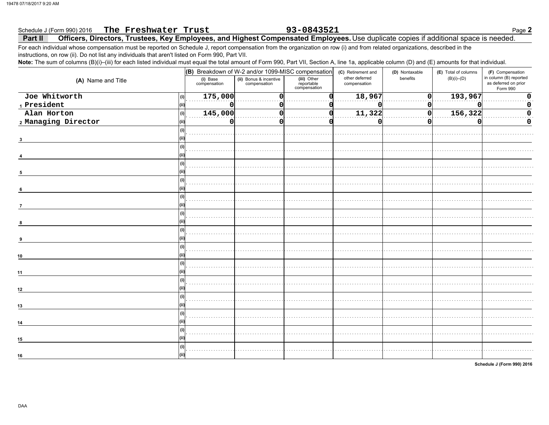### The Freshwater Trust 93-0843521 Page 2 Schedule J (Form 990) 2016 Officers, Directors, Trustees, Key Employees, and Highest Compensated Employees. Use duplicate copies if additional space is needed. Part II

For each individual whose compensation must be reported on Schedule J, report compensation from the organization on row (i) and from related organizations, described in the instructions, on row (ii). Do not list any individuals that aren't listed on Form 990, Part VII.

Note: The sum of columns (B)(i)-(iii) for each listed individual must equal the total amount of Form 990, Part VII, Section A, line 1a, applicable column (D) and (E) amounts for that individual.

|                       | (B) Breakdown of W-2 and/or 1099-MISC compensation |                                        |                                           | (C) Retirement and             | (D) Nontaxable | (E) Total of columns | (F) Compensation                                           |
|-----------------------|----------------------------------------------------|----------------------------------------|-------------------------------------------|--------------------------------|----------------|----------------------|------------------------------------------------------------|
| (A) Name and Title    | (i) Base<br>compensation                           | (ii) Bonus & incentive<br>compensation | (iii) Other<br>reportable<br>compensation | other deferred<br>compensation | benefits       | $(B)(i)$ - $(D)$     | in column (B) reported<br>as deferred on prior<br>Form 990 |
| Joe Whitworth<br>(i)  | 175,000                                            | $\Omega$                               |                                           | 18,967                         | ი              | 193,967              | $\mathbf 0$                                                |
| 1 President           | O                                                  | 0                                      |                                           |                                | 0              |                      | 0                                                          |
| Alan Horton<br>(i)    | 145,000                                            | $\Omega$                               |                                           | 11,322                         | 0              | 156,322              | $\mathbf 0$                                                |
| 2 Managing Director   | n                                                  | n                                      |                                           |                                | ŋ              |                      | 0                                                          |
|                       |                                                    |                                        |                                           |                                |                |                      |                                                            |
|                       |                                                    |                                        |                                           |                                |                |                      |                                                            |
| (1)                   |                                                    |                                        |                                           |                                |                |                      |                                                            |
|                       |                                                    |                                        |                                           |                                |                |                      |                                                            |
| (i)<br>6              |                                                    |                                        |                                           |                                |                |                      |                                                            |
| (i)<br>$\overline{7}$ |                                                    |                                        |                                           |                                |                |                      |                                                            |
|                       |                                                    |                                        |                                           |                                |                |                      |                                                            |
| 8                     |                                                    |                                        |                                           |                                |                |                      |                                                            |
|                       |                                                    |                                        |                                           |                                |                |                      |                                                            |
| 10                    |                                                    |                                        |                                           |                                |                |                      |                                                            |
| 11                    |                                                    |                                        |                                           |                                |                |                      |                                                            |
|                       |                                                    |                                        |                                           |                                |                |                      |                                                            |
| 12                    |                                                    |                                        |                                           |                                |                |                      |                                                            |
| 13                    |                                                    |                                        |                                           |                                |                |                      |                                                            |
| 14                    |                                                    |                                        |                                           |                                |                |                      |                                                            |
| 15                    |                                                    |                                        |                                           |                                |                |                      |                                                            |
| (i)<br>16             |                                                    |                                        |                                           |                                |                |                      |                                                            |
|                       |                                                    |                                        |                                           |                                |                |                      |                                                            |

Schedule J (Form 990) 2016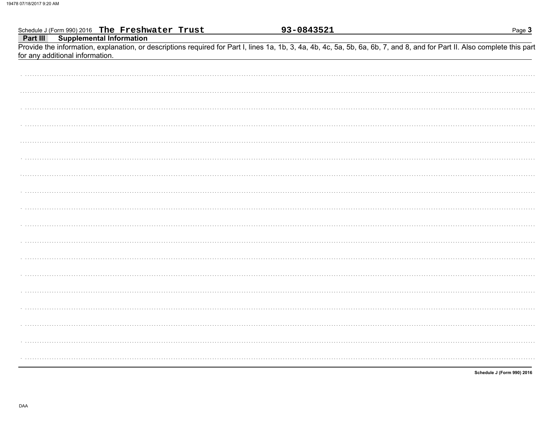|                                 | Schedule J (Form 990) 2016 The Freshwater Trust<br>Part III Supplemental Information | 93-0843521 | Page 3                                                                                                                                                                     |
|---------------------------------|--------------------------------------------------------------------------------------|------------|----------------------------------------------------------------------------------------------------------------------------------------------------------------------------|
|                                 |                                                                                      |            |                                                                                                                                                                            |
|                                 |                                                                                      |            | Provide the information, explanation, or descriptions required for Part I, lines 1a, 1b, 3, 4a, 4b, 4c, 5a, 5b, 6a, 6b, 7, and 8, and for Part II. Also complete this part |
| for any additional information. |                                                                                      |            |                                                                                                                                                                            |
|                                 |                                                                                      |            |                                                                                                                                                                            |
|                                 |                                                                                      |            |                                                                                                                                                                            |
|                                 |                                                                                      |            |                                                                                                                                                                            |
|                                 |                                                                                      |            |                                                                                                                                                                            |
|                                 |                                                                                      |            |                                                                                                                                                                            |
|                                 |                                                                                      |            |                                                                                                                                                                            |
|                                 |                                                                                      |            |                                                                                                                                                                            |
|                                 |                                                                                      |            |                                                                                                                                                                            |
|                                 |                                                                                      |            |                                                                                                                                                                            |
|                                 |                                                                                      |            |                                                                                                                                                                            |
|                                 |                                                                                      |            |                                                                                                                                                                            |
|                                 |                                                                                      |            |                                                                                                                                                                            |
|                                 |                                                                                      |            |                                                                                                                                                                            |
|                                 |                                                                                      |            |                                                                                                                                                                            |
|                                 |                                                                                      |            |                                                                                                                                                                            |
|                                 |                                                                                      |            |                                                                                                                                                                            |
|                                 |                                                                                      |            |                                                                                                                                                                            |
|                                 |                                                                                      |            |                                                                                                                                                                            |
|                                 |                                                                                      |            |                                                                                                                                                                            |
|                                 |                                                                                      |            |                                                                                                                                                                            |
|                                 |                                                                                      |            |                                                                                                                                                                            |
|                                 |                                                                                      |            |                                                                                                                                                                            |
|                                 |                                                                                      |            |                                                                                                                                                                            |
|                                 |                                                                                      |            |                                                                                                                                                                            |
|                                 |                                                                                      |            |                                                                                                                                                                            |
|                                 |                                                                                      |            |                                                                                                                                                                            |
|                                 |                                                                                      |            |                                                                                                                                                                            |
|                                 |                                                                                      |            |                                                                                                                                                                            |
|                                 |                                                                                      |            |                                                                                                                                                                            |
|                                 |                                                                                      |            |                                                                                                                                                                            |
|                                 |                                                                                      |            |                                                                                                                                                                            |
|                                 |                                                                                      |            |                                                                                                                                                                            |
|                                 |                                                                                      |            |                                                                                                                                                                            |
|                                 |                                                                                      |            |                                                                                                                                                                            |

Schedule J (Form 990) 2016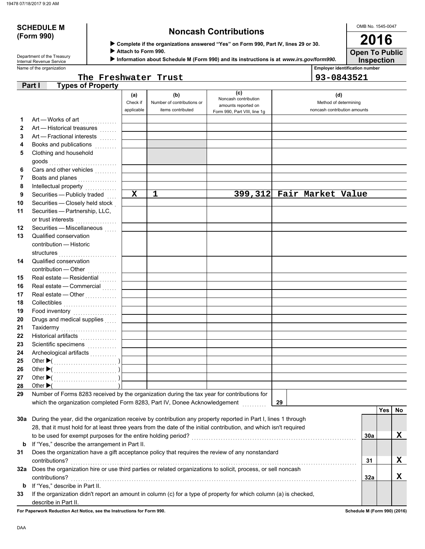# **(Form 990)**

### **SCHEDULE M Noncash Contributions**

OMB No. 1545-0047 **2016**

**Open To Public**

|  | וטטט וווט ון |  |
|--|--------------|--|
|  |              |  |
|  |              |  |

 **Complete if the organizations answered "Yes" on Form 990, Part IV, lines 29 or 30.**

 **Attach to Form 990.**

 **Information about Schedule M (Form 990) and its instructions is at** *www.irs.gov/form990.*

**Inspection**

| Department of the Treasury      |
|---------------------------------|
| <b>Internal Revenue Service</b> |
| Name of the organization        |

### Name of the organization **Employer identification number The Freshwater Trust 93-0843521**

|              | <b>Types of Property</b><br>Part I                                                                                 |             |                            |                                             |                              |     |     |    |
|--------------|--------------------------------------------------------------------------------------------------------------------|-------------|----------------------------|---------------------------------------------|------------------------------|-----|-----|----|
|              |                                                                                                                    | (a)         | (b)                        | (c)                                         | (d)                          |     |     |    |
|              |                                                                                                                    | Check if    | Number of contributions or | Noncash contribution<br>amounts reported on | Method of determining        |     |     |    |
|              |                                                                                                                    | applicable  | items contributed          | Form 990, Part VIII, line 1g                | noncash contribution amounts |     |     |    |
| 1            |                                                                                                                    |             |                            |                                             |                              |     |     |    |
| $\mathbf{2}$ | Art - Historical treasures                                                                                         |             |                            |                                             |                              |     |     |    |
| 3            | Art - Fractional interests                                                                                         |             |                            |                                             |                              |     |     |    |
| 4            | Books and publications [1] [1]                                                                                     |             |                            |                                             |                              |     |     |    |
| 5            | Clothing and household                                                                                             |             |                            |                                             |                              |     |     |    |
|              |                                                                                                                    |             |                            |                                             |                              |     |     |    |
| 6            | Cars and other vehicles <b>Cars</b>                                                                                |             |                            |                                             |                              |     |     |    |
| 7            | Boats and planes                                                                                                   |             |                            |                                             |                              |     |     |    |
| 8            | Intellectual property                                                                                              |             |                            |                                             |                              |     |     |    |
| 9            | Securities - Publicly traded                                                                                       | $\mathbf x$ | 1                          |                                             | 399,312 Fair Market Value    |     |     |    |
| 10           | Securities - Closely held stock                                                                                    |             |                            |                                             |                              |     |     |    |
| 11           | Securities - Partnership, LLC,                                                                                     |             |                            |                                             |                              |     |     |    |
|              | or trust interests                                                                                                 |             |                            |                                             |                              |     |     |    |
| 12           | Securities - Miscellaneous                                                                                         |             |                            |                                             |                              |     |     |    |
| 13           | Qualified conservation                                                                                             |             |                            |                                             |                              |     |     |    |
|              | contribution - Historic                                                                                            |             |                            |                                             |                              |     |     |    |
|              | structures                                                                                                         |             |                            |                                             |                              |     |     |    |
| 14           | Qualified conservation                                                                                             |             |                            |                                             |                              |     |     |    |
|              | contribution - Other                                                                                               |             |                            |                                             |                              |     |     |    |
| 15           | Real estate - Residential                                                                                          |             |                            |                                             |                              |     |     |    |
| 16           | Real estate - Commercial                                                                                           |             |                            |                                             |                              |     |     |    |
| 17           | Real estate - Other                                                                                                |             |                            |                                             |                              |     |     |    |
| 18           |                                                                                                                    |             |                            |                                             |                              |     |     |    |
| 19           | Food inventory                                                                                                     |             |                            |                                             |                              |     |     |    |
| 20           | Drugs and medical supplies                                                                                         |             |                            |                                             |                              |     |     |    |
| 21           | Taxidermy                                                                                                          |             |                            |                                             |                              |     |     |    |
| 22           | Historical artifacts [11] [11] Historical artifacts                                                                |             |                            |                                             |                              |     |     |    |
| 23           | Scientific specimens<br>                                                                                           |             |                            |                                             |                              |     |     |    |
| 24           |                                                                                                                    |             |                            |                                             |                              |     |     |    |
| 25           |                                                                                                                    |             |                            |                                             |                              |     |     |    |
| 26           |                                                                                                                    |             |                            |                                             |                              |     |     |    |
| 27           | Other $\blacktriangleright$ (                                                                                      |             |                            |                                             |                              |     |     |    |
| 28           | Other $\blacktriangleright$ (                                                                                      |             |                            |                                             |                              |     |     |    |
| 29           | Number of Forms 8283 received by the organization during the tax year for contributions for                        |             |                            |                                             |                              |     |     |    |
|              | which the organization completed Form 8283, Part IV, Donee Acknowledgement                                         |             |                            |                                             | 29                           |     |     |    |
|              |                                                                                                                    |             |                            |                                             |                              |     | Yes | No |
| 30a          | During the year, did the organization receive by contribution any property reported in Part I, lines 1 through     |             |                            |                                             |                              |     |     |    |
|              | 28, that it must hold for at least three years from the date of the initial contribution, and which isn't required |             |                            |                                             |                              |     |     |    |
|              |                                                                                                                    |             |                            |                                             |                              | 30a |     | X  |
| b            | If "Yes," describe the arrangement in Part II.                                                                     |             |                            |                                             |                              |     |     |    |
| 31           | Does the organization have a gift acceptance policy that requires the review of any nonstandard                    |             |                            |                                             |                              |     |     |    |
|              | contributions?                                                                                                     |             |                            |                                             |                              | 31  |     | X  |
| 32a          | Does the organization hire or use third parties or related organizations to solicit, process, or sell noncash      |             |                            |                                             |                              |     |     |    |
|              | contributions?                                                                                                     |             |                            |                                             |                              | 32a |     | X  |
| b            | If "Yes," describe in Part II.                                                                                     |             |                            |                                             |                              |     |     |    |
| 33           | If the organization didn't report an amount in column (c) for a type of property for which column (a) is checked,  |             |                            |                                             |                              |     |     |    |
|              | describe in Part II.                                                                                               |             |                            |                                             |                              |     |     |    |

**For Paperwork Reduction Act Notice, see the Instructions for Form 990. Schedule M (Form 990) (2016)**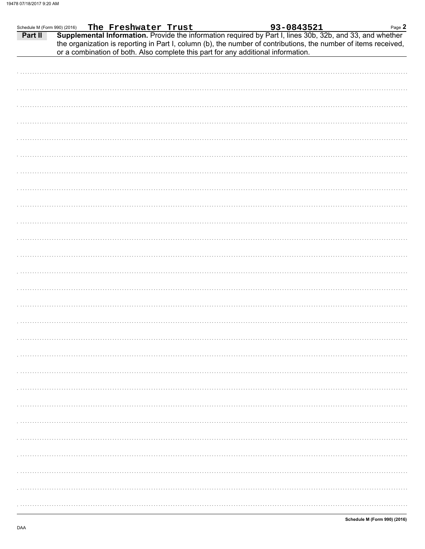| 93-0843521<br>The Freshwater Trust<br>Supplemental Information. Provide the information required by Part I, lines 30b, 32b, and 33, and whether<br>Part II<br>the organization is reporting in Part I, column (b), the number of contributions, the number of items received,<br>or a combination of both. Also complete this part for any additional information. | Page $2$ |
|--------------------------------------------------------------------------------------------------------------------------------------------------------------------------------------------------------------------------------------------------------------------------------------------------------------------------------------------------------------------|----------|
|                                                                                                                                                                                                                                                                                                                                                                    |          |
|                                                                                                                                                                                                                                                                                                                                                                    |          |
|                                                                                                                                                                                                                                                                                                                                                                    |          |
|                                                                                                                                                                                                                                                                                                                                                                    |          |
|                                                                                                                                                                                                                                                                                                                                                                    |          |
|                                                                                                                                                                                                                                                                                                                                                                    |          |
|                                                                                                                                                                                                                                                                                                                                                                    |          |
|                                                                                                                                                                                                                                                                                                                                                                    |          |
|                                                                                                                                                                                                                                                                                                                                                                    |          |
|                                                                                                                                                                                                                                                                                                                                                                    |          |
|                                                                                                                                                                                                                                                                                                                                                                    |          |
|                                                                                                                                                                                                                                                                                                                                                                    |          |
|                                                                                                                                                                                                                                                                                                                                                                    |          |
|                                                                                                                                                                                                                                                                                                                                                                    |          |
|                                                                                                                                                                                                                                                                                                                                                                    |          |
|                                                                                                                                                                                                                                                                                                                                                                    |          |
|                                                                                                                                                                                                                                                                                                                                                                    |          |
|                                                                                                                                                                                                                                                                                                                                                                    |          |
|                                                                                                                                                                                                                                                                                                                                                                    |          |
|                                                                                                                                                                                                                                                                                                                                                                    |          |
|                                                                                                                                                                                                                                                                                                                                                                    |          |
|                                                                                                                                                                                                                                                                                                                                                                    |          |
|                                                                                                                                                                                                                                                                                                                                                                    |          |
|                                                                                                                                                                                                                                                                                                                                                                    |          |
|                                                                                                                                                                                                                                                                                                                                                                    |          |
|                                                                                                                                                                                                                                                                                                                                                                    |          |
|                                                                                                                                                                                                                                                                                                                                                                    |          |
|                                                                                                                                                                                                                                                                                                                                                                    |          |
|                                                                                                                                                                                                                                                                                                                                                                    |          |
|                                                                                                                                                                                                                                                                                                                                                                    |          |
|                                                                                                                                                                                                                                                                                                                                                                    |          |
|                                                                                                                                                                                                                                                                                                                                                                    |          |
|                                                                                                                                                                                                                                                                                                                                                                    |          |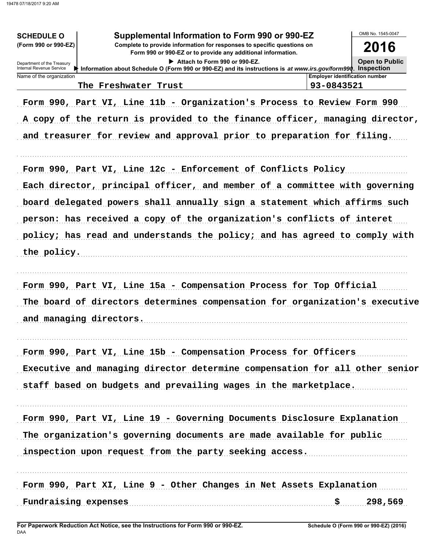| Supplemental Information to Form 990 or 990-EZ<br><b>SCHEDULE O</b><br>(Form 990 or 990-EZ)<br>Complete to provide information for responses to specific questions on<br>Form 990 or 990-EZ or to provide any additional information.<br>Attach to Form 990 or 990-EZ.<br>Department of the Treasury<br>Internal Revenue Service<br>Information about Schedule O (Form 990 or 990-EZ) and its instructions is at www.irs.gov/form990. Inspection<br>Name of the organization<br>The Freshwater Trust | <b>Emplover identification number</b><br>93-0843521 | OMB No. 1545-0047<br>2016<br><b>Open to Public</b> |
|------------------------------------------------------------------------------------------------------------------------------------------------------------------------------------------------------------------------------------------------------------------------------------------------------------------------------------------------------------------------------------------------------------------------------------------------------------------------------------------------------|-----------------------------------------------------|----------------------------------------------------|
|                                                                                                                                                                                                                                                                                                                                                                                                                                                                                                      |                                                     |                                                    |
| Form 990, Part VI, Line 11b - Organization's Process to Review Form 990<br>A copy of the return is provided to the finance officer, managing director,<br>and treasurer for review and approval prior to preparation for filing.                                                                                                                                                                                                                                                                     |                                                     |                                                    |
| Form 990, Part VI, Line 12c - Enforcement of Conflicts Policy                                                                                                                                                                                                                                                                                                                                                                                                                                        |                                                     |                                                    |
| Each director, principal officer, and member of a committee with governing                                                                                                                                                                                                                                                                                                                                                                                                                           |                                                     |                                                    |
|                                                                                                                                                                                                                                                                                                                                                                                                                                                                                                      |                                                     |                                                    |
| board delegated powers shall annually sign a statement which affirms such                                                                                                                                                                                                                                                                                                                                                                                                                            |                                                     |                                                    |
| person: has received a copy of the organization's conflicts of interet                                                                                                                                                                                                                                                                                                                                                                                                                               |                                                     |                                                    |
| policy; has read and understands the policy; and has agreed to comply with                                                                                                                                                                                                                                                                                                                                                                                                                           |                                                     |                                                    |
| the policy.                                                                                                                                                                                                                                                                                                                                                                                                                                                                                          |                                                     |                                                    |
| Form 990, Part VI, Line 15a - Compensation Process for Top Official                                                                                                                                                                                                                                                                                                                                                                                                                                  |                                                     |                                                    |
| The board of directors determines compensation for organization's executive                                                                                                                                                                                                                                                                                                                                                                                                                          |                                                     |                                                    |
| and managing directors.                                                                                                                                                                                                                                                                                                                                                                                                                                                                              |                                                     |                                                    |
| Form 990, Part VI, Line 15b - Compensation Process for Officers                                                                                                                                                                                                                                                                                                                                                                                                                                      |                                                     |                                                    |
| Executive and managing director determine compensation for all other senior                                                                                                                                                                                                                                                                                                                                                                                                                          |                                                     |                                                    |
| staff based on budgets and prevailing wages in the marketplace.                                                                                                                                                                                                                                                                                                                                                                                                                                      |                                                     |                                                    |
| Form 990, Part VI, Line 19 - Governing Documents Disclosure Explanation                                                                                                                                                                                                                                                                                                                                                                                                                              |                                                     |                                                    |
| The organization's governing documents are made available for public                                                                                                                                                                                                                                                                                                                                                                                                                                 |                                                     |                                                    |
| inspection upon request from the party seeking access.                                                                                                                                                                                                                                                                                                                                                                                                                                               |                                                     |                                                    |
| Form 990, Part XI, Line 9 - Other Changes in Net Assets Explanation                                                                                                                                                                                                                                                                                                                                                                                                                                  |                                                     |                                                    |
| Fundraising expenses                                                                                                                                                                                                                                                                                                                                                                                                                                                                                 | \$                                                  | 298,569                                            |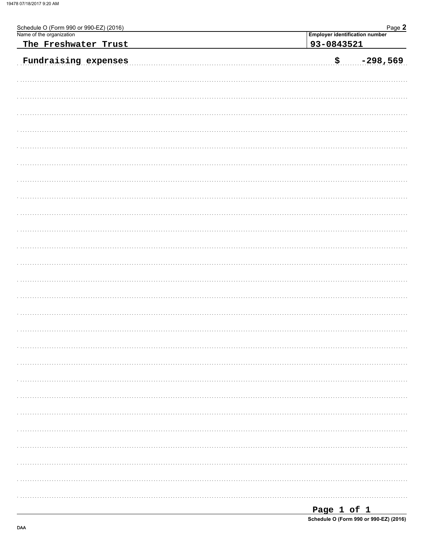| Schedule O (Form 990 or 990-EZ) (2016)<br>Name of the organization |                                       | Page 2     |  |  |  |  |
|--------------------------------------------------------------------|---------------------------------------|------------|--|--|--|--|
|                                                                    | <b>Employer identification number</b> |            |  |  |  |  |
| The Freshwater Trust                                               | 93-0843521                            |            |  |  |  |  |
| Fundraising expenses                                               | $\boldsymbol{\mathsf{S}}$ .           | $-298,569$ |  |  |  |  |
|                                                                    |                                       |            |  |  |  |  |
|                                                                    |                                       |            |  |  |  |  |
|                                                                    |                                       |            |  |  |  |  |
|                                                                    |                                       |            |  |  |  |  |
|                                                                    |                                       |            |  |  |  |  |
|                                                                    |                                       |            |  |  |  |  |
|                                                                    |                                       |            |  |  |  |  |
|                                                                    |                                       |            |  |  |  |  |
|                                                                    |                                       |            |  |  |  |  |
|                                                                    |                                       |            |  |  |  |  |
|                                                                    |                                       |            |  |  |  |  |
|                                                                    |                                       |            |  |  |  |  |
|                                                                    |                                       |            |  |  |  |  |
|                                                                    |                                       |            |  |  |  |  |
|                                                                    |                                       |            |  |  |  |  |
|                                                                    |                                       |            |  |  |  |  |
|                                                                    |                                       |            |  |  |  |  |
|                                                                    |                                       |            |  |  |  |  |
|                                                                    |                                       |            |  |  |  |  |
|                                                                    |                                       |            |  |  |  |  |
|                                                                    |                                       |            |  |  |  |  |
|                                                                    |                                       |            |  |  |  |  |
|                                                                    |                                       |            |  |  |  |  |
|                                                                    |                                       |            |  |  |  |  |
|                                                                    |                                       |            |  |  |  |  |
|                                                                    |                                       |            |  |  |  |  |

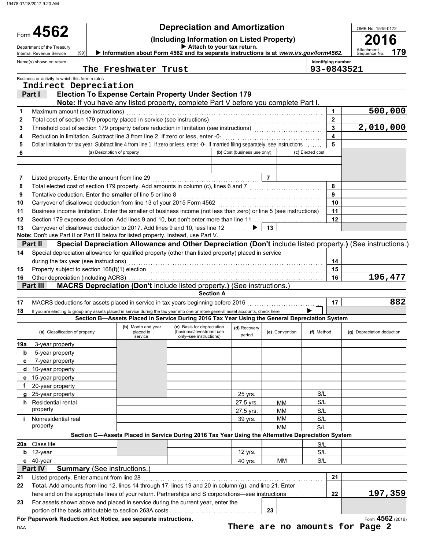Name(s) shown on return

(99)

Form 4562

### **Depreciation and Amortization**

**(Including Information on Listed Property) <sup>2016</sup> <sup>4562</sup> Attach to your tax return.**

**179**

OMB No. 1545-0172

Department of the Treasury (99) **Department of the Treasury Department of the Information about Form 4562 and its separate instructions is at www.irs.gov/form4562. Attachment Attachment Christens and its separate instruct** 

**Identifying number**<br>Q 3 - 0 8 4 3 5 2 1

|  | The Freshwater Trust |
|--|----------------------|
|  |                      |

|          |                                                                                                                                         | The Freshwater Trust        |                                                                                                   |                              |                | 93-0843521       |                                                                                                            |
|----------|-----------------------------------------------------------------------------------------------------------------------------------------|-----------------------------|---------------------------------------------------------------------------------------------------|------------------------------|----------------|------------------|------------------------------------------------------------------------------------------------------------|
|          | Business or activity to which this form relates                                                                                         |                             |                                                                                                   |                              |                |                  |                                                                                                            |
|          | Indirect Depreciation<br>Part I                                                                                                         |                             | <b>Election To Expense Certain Property Under Section 179</b>                                     |                              |                |                  |                                                                                                            |
|          |                                                                                                                                         |                             | Note: If you have any listed property, complete Part V before you complete Part I.                |                              |                |                  |                                                                                                            |
| 1        | Maximum amount (see instructions)                                                                                                       |                             |                                                                                                   |                              |                | 1                | 500,000                                                                                                    |
| 2        | Total cost of section 179 property placed in service (see instructions)                                                                 |                             |                                                                                                   |                              |                | $\overline{2}$   |                                                                                                            |
| 3        | Threshold cost of section 179 property before reduction in limitation (see instructions)                                                |                             |                                                                                                   |                              |                | 3                | 2,010,000                                                                                                  |
| 4        | Reduction in limitation. Subtract line 3 from line 2. If zero or less, enter -0-                                                        |                             |                                                                                                   |                              |                | 4                |                                                                                                            |
| 5        | Dollar limitation for tax year. Subtract line 4 from line 1. If zero or less, enter -0-. If married filing separately, see instructions |                             |                                                                                                   |                              |                | 5                |                                                                                                            |
| 6        |                                                                                                                                         | (a) Description of property |                                                                                                   | (b) Cost (business use only) |                | (c) Elected cost |                                                                                                            |
|          |                                                                                                                                         |                             |                                                                                                   |                              |                |                  |                                                                                                            |
|          |                                                                                                                                         |                             |                                                                                                   |                              |                |                  |                                                                                                            |
| 7        | Listed property. Enter the amount from line 29                                                                                          |                             |                                                                                                   |                              | $\overline{7}$ |                  |                                                                                                            |
| 8        | Total elected cost of section 179 property. Add amounts in column (c), lines 6 and 7                                                    |                             |                                                                                                   |                              |                | 8                |                                                                                                            |
| 9        | Tentative deduction. Enter the smaller of line 5 or line 8                                                                              |                             |                                                                                                   |                              |                | 9                |                                                                                                            |
| 10       | Carryover of disallowed deduction from line 13 of your 2015 Form 4562                                                                   |                             |                                                                                                   |                              |                | 10               |                                                                                                            |
| 11       | Business income limitation. Enter the smaller of business income (not less than zero) or line 5 (see instructions)                      |                             |                                                                                                   |                              |                | 11               |                                                                                                            |
| 12       | Section 179 expense deduction. Add lines 9 and 10, but don't enter more than line 11                                                    |                             |                                                                                                   |                              |                | 12               |                                                                                                            |
| 13       | Carryover of disallowed deduction to 2017. Add lines 9 and 10, less line 12                                                             |                             |                                                                                                   |                              | 13             |                  |                                                                                                            |
|          | Note: Don't use Part II or Part III below for listed property. Instead, use Part V.                                                     |                             |                                                                                                   |                              |                |                  |                                                                                                            |
|          | Part II                                                                                                                                 |                             |                                                                                                   |                              |                |                  | Special Depreciation Allowance and Other Depreciation (Don't include listed property.) (See instructions.) |
| 14       | Special depreciation allowance for qualified property (other than listed property) placed in service                                    |                             |                                                                                                   |                              |                |                  |                                                                                                            |
|          | during the tax year (see instructions)                                                                                                  |                             |                                                                                                   |                              |                | 14               |                                                                                                            |
| 15       | Property subject to section 168(f)(1) election                                                                                          |                             |                                                                                                   |                              |                | 15               |                                                                                                            |
| 16       | Other depreciation (including ACRS)                                                                                                     |                             |                                                                                                   |                              |                | 16               | 196,477                                                                                                    |
|          | Part III                                                                                                                                |                             | MACRS Depreciation (Don't include listed property.) (See instructions.                            |                              |                |                  |                                                                                                            |
|          |                                                                                                                                         |                             | <b>Section A</b>                                                                                  |                              |                |                  | 882                                                                                                        |
| 17       | MACRS deductions for assets placed in service in tax years beginning before 2016                                                        |                             |                                                                                                   |                              |                | 17               |                                                                                                            |
| 18       | If you are electing to group any assets placed in service during the tax year into one or more general asset accounts, check here       |                             | Section B—Assets Placed in Service During 2016 Tax Year Using the General Depreciation System     |                              |                |                  |                                                                                                            |
|          |                                                                                                                                         | (b) Month and year          | (c) Basis for depreciation                                                                        |                              |                |                  |                                                                                                            |
|          | (a) Classification of property                                                                                                          | placed in<br>service        | (business/investment use<br>only-see instructions)                                                | (d) Recovery<br>period       | (e) Convention | (f) Method       | (g) Depreciation deduction                                                                                 |
| 19a      | 3-year property                                                                                                                         |                             |                                                                                                   |                              |                |                  |                                                                                                            |
| b        | 5-year property                                                                                                                         |                             |                                                                                                   |                              |                |                  |                                                                                                            |
| c        | 7-year property                                                                                                                         |                             |                                                                                                   |                              |                |                  |                                                                                                            |
|          | <b>d</b> 10-year property                                                                                                               |                             |                                                                                                   |                              |                |                  |                                                                                                            |
|          | 15-year property                                                                                                                        |                             |                                                                                                   |                              |                |                  |                                                                                                            |
|          | 20-year property                                                                                                                        |                             |                                                                                                   |                              |                |                  |                                                                                                            |
|          | 25-year property                                                                                                                        |                             |                                                                                                   | 25 yrs.                      |                | S/L              |                                                                                                            |
| h.       | Residential rental                                                                                                                      |                             |                                                                                                   | 27.5 yrs.                    | <b>MM</b>      | S/L              |                                                                                                            |
|          | property                                                                                                                                |                             |                                                                                                   | 27.5 yrs.                    | <b>MM</b>      | S/L              |                                                                                                            |
| i.       | Nonresidential real<br>property                                                                                                         |                             |                                                                                                   | 39 yrs.                      | MМ             | S/L              |                                                                                                            |
|          |                                                                                                                                         |                             |                                                                                                   |                              | MM             | S/L              |                                                                                                            |
|          |                                                                                                                                         |                             | Section C-Assets Placed in Service During 2016 Tax Year Using the Alternative Depreciation System |                              |                |                  |                                                                                                            |
| 20a      | Class life                                                                                                                              |                             |                                                                                                   |                              |                | S/L              |                                                                                                            |
| b        | 12-year                                                                                                                                 |                             |                                                                                                   | 12 yrs.                      |                | S/L              |                                                                                                            |
|          | c 40-year<br>Part IV<br><b>Summary (See instructions.)</b>                                                                              |                             |                                                                                                   | 40 yrs.                      | MM             | S/L              |                                                                                                            |
|          | Listed property. Enter amount from line 28                                                                                              |                             |                                                                                                   |                              |                | 21               |                                                                                                            |
| 21<br>22 | Total. Add amounts from line 12, lines 14 through 17, lines 19 and 20 in column (g), and line 21. Enter                                 |                             |                                                                                                   |                              |                |                  |                                                                                                            |
|          | here and on the appropriate lines of your return. Partnerships and S corporations—see instructions                                      |                             |                                                                                                   |                              |                | 22               | 197,359                                                                                                    |
| 23       | For assets shown above and placed in service during the current year, enter the                                                         |                             |                                                                                                   |                              |                |                  |                                                                                                            |
|          | portion of the basis attributable to section 263A costs                                                                                 |                             |                                                                                                   |                              | 23             |                  |                                                                                                            |

**For Paperwork Reduction Act Notice, see separate instructions.**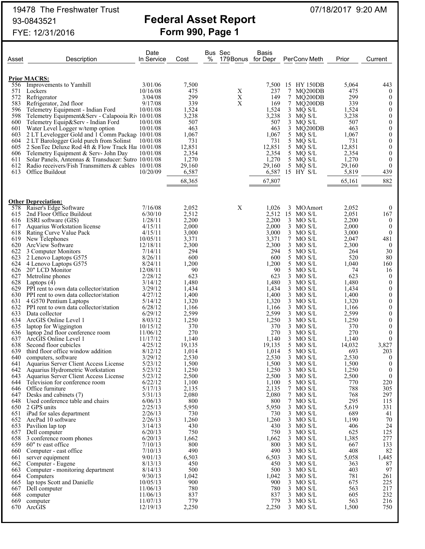$60"$  tv east office

|            | 19478 The Freshwater Trust<br>93-0843521                                                |                      |                | <b>Federal Asset Report</b>        |                |                              | 07/18/2017 9:20 AM |                              |
|------------|-----------------------------------------------------------------------------------------|----------------------|----------------|------------------------------------|----------------|------------------------------|--------------------|------------------------------|
|            | FYE: 12/31/2016                                                                         |                      |                | <b>Form 990, Page 1</b>            |                |                              |                    |                              |
| Asset      | Description                                                                             | Date<br>In Service   | Cost           | Bus Sec<br>%<br>179 Bonus for Depr | Basis          | PerConv Meth                 | Prior              | Current                      |
|            | <b>Prior MACRS:</b>                                                                     |                      |                |                                    |                |                              |                    |                              |
| 556        | Improvements to Yamhill                                                                 | 3/01/06              | 7,500          |                                    | 7,500          | 15 HY 150DB                  | 5,064              | 443                          |
| 571        | Lockers                                                                                 | 10/16/08             | 475            | X                                  | 237            | $7\phantom{.0}$<br>MQ200DB   | 475                | $\bf{0}$                     |
| 572        | Refrigerator                                                                            | 3/04/08              | 299            | $\mathbf X$                        | 149            | 7<br>MQ200DB                 | 299                | $\theta$                     |
| 583        | Refrigerator, 2nd floor                                                                 | 9/17/08              | 339            | X                                  | 169            | 7 MQ200DB                    | 339                | $\theta$                     |
| 596<br>598 | Telemetry Equipment - Indian Ford                                                       | 10/01/08             | 1,524          |                                    | 1,524<br>3,238 | 3<br>MQ S/L<br>3 MQ S/L      | 1,524              | $\theta$<br>$\theta$         |
| 600        | Telemetry Equipment&Serv - Calapooia Riv 10/01/08<br>Telemetry Equip&Serv - Indian Ford | 10/01/08             | 3,238<br>507   |                                    | 507            | 3<br>MQ S/L                  | 3,238<br>507       | $\theta$                     |
| 601        | Water Level Logger w/temp option                                                        | 10/01/08             | 463            |                                    | 463            | 3 MQ200DB                    | 463                | $\theta$                     |
| 603        | 2 LT Levelogger Gold and 1 Comm Package 10/01/08                                        |                      | 1,067          |                                    | 1,067          | 5<br>MQ S/L                  | 1,067              | $\theta$                     |
| 604        | 2 LT Barologger Gold purch from Solinst                                                 | 10/01/08             | 731            |                                    | 731            | 5 MQ S/L                     | 731                | $\theta$                     |
| 605        | 2 SonTec Deluxe Rod 4ft & Flow Track Hai 10/01/08                                       |                      | 12,851         |                                    | 12,851         | 5<br>MQ S/L                  | 12,851             | $\theta$                     |
| 606        | Telemetry Equipment & Serv- John Day                                                    | 10/01/08             | 2,354          |                                    | 2,354          | 5 MO S/L                     | 2,354              | $\theta$                     |
| 611        | Solar Panels, Antennas & Transducer: Sutro 10/01/08                                     |                      | 1,270          |                                    | 1,270          | 5<br>MQ S/L                  | 1,270              | $\overline{0}$               |
| 612        | Radio receivers/Fish Transmitters & cables $10/01/08$                                   |                      | 29,160         |                                    | 29,160         | 5 MQ S/L                     | 29,160             | $\theta$<br>439              |
| 613        | Office Buildout                                                                         | 10/20/09             | 6,587          |                                    | 6,587          | 15 HY S/L                    | 5,819              |                              |
|            |                                                                                         |                      | 68,365         |                                    | 67,807         |                              | 65,161             | 882                          |
|            |                                                                                         |                      |                |                                    |                |                              |                    |                              |
|            | <b>Other Depreciation:</b>                                                              | 7/16/08              |                | X                                  |                |                              |                    |                              |
| 578<br>615 | Raiser's Edge Software<br>2nd Floor Office Buildout                                     | 6/30/10              | 2,052<br>2,512 |                                    | 1,026<br>2,512 | 3<br>MOAmort<br>15<br>MO S/L | 2,052<br>2,051     | $\boldsymbol{0}$<br>167      |
| 616        | ESRI software (GIS)                                                                     | 1/28/11              | 2,200          |                                    | 2,200          | 3 MO S/L                     | 2,200              | $\overline{0}$               |
| 617        | Aquarius Workstation license                                                            | 4/15/11              | 2,000          |                                    | 2,000          | 3<br>MO S/L                  | 2,000              | $\theta$                     |
| 618        | Rating Curve Value Pack                                                                 | 4/15/11              | 3,000          |                                    | 3,000          | $3$ MO S/L                   | 3,000              | $\theta$                     |
| 619        | New Telephones                                                                          | 10/05/11             | 3,371          |                                    | 3,371          | 7<br>MO S/L                  | 2,047              | 481                          |
| 620        | ArcView Software                                                                        | 12/18/11             | 2,300          |                                    | 2,300          | 3<br>MO S/L                  | 2,300              | $\bf{0}$                     |
| 622        | 3 Computer Monitors                                                                     | 7/14/11              | 294            |                                    | 294            | 5<br>MO S/L                  | 264                | 30                           |
| 623        | 2 Lenovo Laptops G575                                                                   | 8/26/11              | 600            |                                    | 600            | 5 MO S/L                     | 520                | 80                           |
| 624<br>626 | 4 Lenovo Laptops G575<br>20" LCD Monitor                                                | 8/24/11<br>12/08/11  | 1,200<br>90    |                                    | 1,200<br>90    | MO S/L<br>5<br>5<br>MO S/L   | 1,040<br>74        | 160<br>16                    |
| 627        | Metroline phones                                                                        | 2/28/12              | 623            |                                    | 623            | 3<br>MO S/L                  | 623                | $\bf{0}$                     |
| 628        | Laptops (4)                                                                             | 3/14/12              | 1,480          |                                    | 1,480          | 3<br>MO S/L                  | 1,480              | $\theta$                     |
| 629        | PPI rent to own data collector/station                                                  | 3/29/12              | 1,434          |                                    | 1,434          | MO S/L<br>3                  | 1,434              | $\theta$                     |
| 630        | PPI rent to own data collector/station                                                  | 4/27/12              | 1,400          |                                    | 1,400          | 3<br>MO S/L                  | 1,400              | $\theta$                     |
| 631        | 4 G570 Pentium Laptops                                                                  | 5/14/12              | 1,320          |                                    | 1,320          | 3<br>MO S/L                  | 1,320              | $\theta$                     |
| 632        | PPI rent to own data collector/station                                                  | 6/28/12              | 1,166          |                                    | 1,166          | 3<br>MO S/L                  | 1,166              | $\theta$                     |
| 633        | Data collector                                                                          | 6/29/12              | 2,599          |                                    | 2,599          | 3<br>MO S/L                  | 2,599              | $\theta$                     |
| 634        | ArcGIS Online Level 1                                                                   | 8/03/12              | 1,250          |                                    | 1,250          | 3 MO S/L                     | 1,250              | $\boldsymbol{0}$             |
| 635<br>636 | laptop for Wiggington<br>laptop 2nd floor conference room                               | 10/15/12<br>11/06/12 | 370<br>270     |                                    | 370<br>270     | 3<br>MO S/L<br>3<br>MO S/L   | 370<br>270         | $\theta$<br>$\boldsymbol{0}$ |
| 637        | ArcGIS Online Level 1                                                                   | 11/17/12             | 1,140          |                                    | 1,140          | 3<br>MO S/L                  | 1,140              | $\theta$                     |
| 638        | Second floor cubicles                                                                   | 4/25/12              | 19,135         |                                    | 19,135         | 5 MO S/L                     | 14,032             | 3,827                        |
| 639        | third floor office window addition                                                      | 8/12/12              | 1,014          |                                    | 1,014          | MO S/L<br>5                  | 693                | 203                          |
| 640        | computers, software                                                                     | 3/29/12              | 2,530          |                                    | 2,530          | $3$ MO S/L                   | 2,530              | $\Omega$                     |
| 641        | Aquarius Server Client Access License                                                   | 5/23/12              | 1,500          |                                    | 1,500          | MO S/L<br>3                  | 1,500              | $\theta$                     |
|            | 642 Aquarius Hydrometric Workstation                                                    | 5/23/12              | 1,250          |                                    | 1,250          | 3 MO S/L                     | 1,250              | $\boldsymbol{0}$             |
|            | 643 Aquarius Server Client Access License                                               | 5/23/12              | 2,500          |                                    | 2,500          | 3 MO S/L                     | 2,500              | $\theta$                     |

643 Aquarius Server Client Access License 5/23/12 2,500 2,500 2,500 3 MO S/L 2,500 0<br>6/22/12 1,100 1,100 5 MO S/L 770 220 Television for conference room  $6/22/12$  1,100 1,100 5 MO S/L 770 220<br>Office furniture 5/17/13 2,135 2,135 7 MO S/L 788 305

647 Desks and cabinets (7) 5/31/13 2,080 2,080 7 MO S/L 768 297<br>648 Used conference table and chairs 6/06/13 800 3 800 7 MO S/L 295 115

650 2 GPS units 2/25/13 5,950 5,950 3 MO S/L 5,619 331 650 2 GPS units<br>
651 iPad for sales department<br>
652 ArcPad 10 software<br>
652 ArcPad 10 software<br>
652 ArcPad 10 software<br>
7780 1,260 1,260 3 MO S/L 689 41<br>
7790 1,260 1,260 3 MO S/L 1,190 70 652 ArcPad 10 software 2/26/13 1,260 1,260 3 MO S/L 1,190 70<br>653 Pavilion lap top 3/14/13 430 430 430 3 MO S/L 406 24 Pavilion lap top 3/14/13 430 430 430 3 MO S/L 406 24<br>Dell computer 6/20/13 50 750 3 MO S/L 625 125 657 Dell computer 6/20/13 6/20/13 750 750 3 MO S/L 625 125<br>658 3 conference room phones 6/20/13 1,662 1,662 3 MO S/L 1,385 277 658 3 conference room phones 6/20/13 1,662 1,662 3 MO S/L 1,385 277<br>659 60" tv east office 7/10/13 800 3 MO S/L 667 133

660 Computer - east office 7/10/13 490 490 3 MO S/L 408 82

662 Computer - Eugene 8/13/13 450 450 450 3 MO S/L 363 87<br>663 Computer - monitoring department 8/14/13 500 500 3 MO S/L 403 97 663 Computer - monitoring department  $\frac{8}{14/13}$  500 500 500 3 MO S/L 403 97<br>664 Computers 9/30/13 1,042 1,042 3 MO S/L 781 261 664 Computers 664 Computers 9/30/13 1,042 1,042 3 MO S/L 781 261 664 Computers 9/30/13 1,042 1,042 3 MO S/L 781 261<br>665 lap tops Scott and Danielle 10/05/13 900 900 3 MO S/L 675 225<br>667 Dell computer 11/06/13 780 780 780 3 MO S/L 563 217 667 Dell computer 11/06/13 780 780 3 MO S/L 563 217 668 computer 11/06/13 837 837 3 MO S/L 605 232 669 computer 11/07/13 779 779 3 MO S/L 563 216 670 ArcGIS 12/19/13 2,250 2,250 3 MO S/L 1,500 750

646 Office furniture 5/17/13 2,135 2,135 7 MO S/L 788 3647 Desks and cabinets (7) 5/31/13 2,080 2,080 2,080 7 MO S/L 768

8 server equipment 9/01/13 6,503 6,503 3 MO S/L<br>
Computer - Eugene 8/13/13 450 450 3 MO S/L

Used conference table and chairs 6/06/13 800<br>
2 GPS units 2/25/13 5,950 5,950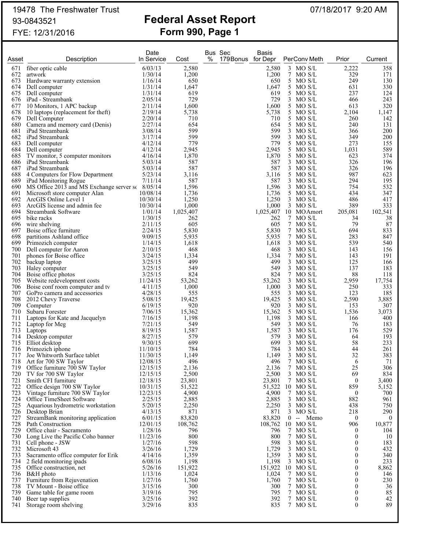# 19478 The Freshwater Trust 07/18/2017 9:20 AM

## 93-0843521 **Federal Asset Report** FYE: 12/31/2016 **Form 990, Page 1**

|            |                                                       | Date                |                | Bus Sec |                    | <b>Basis</b>   |                                 |              |              |
|------------|-------------------------------------------------------|---------------------|----------------|---------|--------------------|----------------|---------------------------------|--------------|--------------|
| Asset      | Description                                           | In Service          | Cost           | %       | 179 Bonus for Depr |                | PerConv Meth                    | Prior        | Current      |
| 671        | fiber optic cable                                     | 6/03/13             | 2,580          |         |                    | 2,580          | $3$ MO S/L                      | 2,222        | 358          |
| 672        | artwork                                               | 1/30/14             | 1,200          |         |                    | 1,200          | 7 MO S/L                        | 329          | 171          |
| 673        | Hardware warranty extension                           | 1/16/14             | 650            |         |                    | 650            | 5 MO S/L                        | 249          | 130          |
| 674        | Dell computer                                         | 1/31/14             | 1,647          |         |                    | 1,647          | 5 MO S/L                        | 631          | 330          |
| 675        | Dell computer                                         | 1/31/14             | 619            |         |                    | 619            | 5 MO S/L                        | 237          | 124          |
|            | 676 iPad - Streambank                                 | 2/05/14             | 729            |         |                    | 729            | 3 MO S/L                        | 466          | 243          |
| 677        | 10 Monitors, 1 APC backup                             | 2/11/14             | 1,600          |         |                    | 1,600          | 5 MO S/L                        | 613          | 320          |
| 678        | 10 laptops (replacement for theft)                    | 2/19/14             | 5,738          |         |                    | 5,738          | 5 MO S/L                        | 2,104        | 1,147        |
| 679        | Dell Computer                                         | 2/20/14             | 710            |         |                    | 710            | 5 MO S/L                        | 260          | 142          |
|            | 680 Camera and memory card (Denis)                    | 2/27/14             | 654            |         |                    | 654            | 5 MO S/L                        | 240          | 131          |
| 681        | iPad Streambank                                       | 3/08/14             | 599            |         |                    | 599            | $3$ MO S/L                      | 366          | 200          |
|            | 682 iPad Streambank                                   | 3/17/14             | 599            |         |                    | 599            | 3 MO S/L                        | 349          | 200          |
| 683        | Dell computer                                         | 4/12/14             | 779            |         |                    | 779            | 5 MO S/L                        | 273          | 155          |
| 684        | Dell computer                                         | 4/12/14             | 2,945          |         |                    | 2,945          | 5 MO S/L                        | 1,031        | 589          |
|            | 685 TV monitor, 5 computer monitors                   | 4/16/14             | 1,870          |         |                    | 1,870          | 5 MO S/L                        | 623          | 374          |
|            | 686 iPad Streambank                                   | 5/03/14             | 587            |         |                    | 587            | 3 MO S/L                        | 326          | 196          |
| 687        | iPad Streambank                                       | 5/03/14             | 587            |         |                    | 587            | $3$ MO S/L                      | 326          | 196          |
|            | 688 4 Computers for Flow Department                   | 5/23/14             | 3,116          |         |                    | 3,116          | 5 MO S/L                        | 987          | 623          |
|            | 689 iPad Monitoring Rogue                             | 7/11/14             | 587            |         |                    | 587            | $3$ MO S/L                      | 294          | 195          |
|            | 690 MS Office 2013 and MS Exchange server sc 8/05/14  |                     | 1,596          |         |                    | 1,596          | 3 MO S/L                        | 754          | 532          |
|            | 691 Microsoft store computer Alan                     | 10/08/14            | 1,736          |         |                    | 1,736          | 5 MO S/L                        | 434          | 347          |
| 692        | ArcGIS Online Level 1<br>ArcGIS license and admin fee | 10/30/14            | 1,250          |         |                    | 1,250          | $3$ MO S/L                      | 486          | 417          |
| 693        |                                                       | 10/30/14<br>1/01/14 | 1,000          |         |                    | 1,000          | $3$ MO S/L                      | 389          | 333          |
| 694        | Streambank Software                                   |                     | 1,025,407      |         |                    | 1,025,407      | 10 MOAmort                      | 205,081      | 102,541      |
| 695        | bike racks                                            | 1/30/15<br>2/11/15  | 262<br>605     |         |                    | 262<br>605     | 7 MO S/L                        | 34<br>79     | 38           |
| 696        | wire shelving                                         | 2/24/15             |                |         |                    |                | 7 MO S/L<br>7 MO S/L            |              | 87           |
| 697<br>698 | Boise office furniture<br>partitions Ashland office   | 9/09/15             | 5,830<br>5,935 |         |                    | 5,830<br>5,935 | 7 MO S/L                        | 694<br>283   | 833<br>847   |
| 699        | Primozich computer                                    | 1/14/15             | 1,618          |         |                    | 1,618          | $3$ MO S/L                      | 539          | 540          |
| 700        | Dell computer for Aaron                               | 2/10/15             | 468            |         |                    | 468            | $3$ MO S/L                      | 143          | 156          |
| 701        | phones for Boise office                               | 3/24/15             | 1,334          |         |                    | 1,334          | 7 MO S/L                        | 143          | 191          |
| 702        | backup laptop                                         | 3/25/15             | 499            |         |                    | 499            | $3$ MO S/L                      | 125          | 166          |
| 703.       | Haley computer                                        | 3/25/15             | 549            |         |                    | 549            | $3$ MO S/L                      | 137          | 183          |
| 704        | Boise office photos                                   | 3/25/15             | 824            |         |                    | 824            | 7 MO S/L                        | 88           | 118          |
|            | 705 Website redevelopment costs                       | 11/24/15            | 53,262         |         |                    | 53,262         | $3$ MO S/L                      | 2,959        | 17,754       |
|            | 706 Boise conf room computer and tv                   | 4/11/15             | 1,000          |         |                    | 1,000          | $3$ MO S/L                      | 250          | 333          |
|            | 707 GoPro camera and accessories                      | 4/28/15             | 555            |         |                    | 555            | $3$ MO S/L                      | 123          | 185          |
| 708.       | 2012 Chevy Traverse                                   | 5/08/15             | 19,425         |         |                    | 19,425         | 5 MO S/L                        | 2,590        | 3,885        |
|            | 709 Computer                                          | 6/19/15             | 920            |         |                    | 920            | $3$ MO S/L                      | 153          | 307          |
| 710        | Subaru Forester                                       | 7/06/15             | 15,362         |         |                    | 15,362         | 5 MO S/L                        | 1,536        | 3,073        |
| 711        | Laptops for Kate and Jacquelyn                        | 7/16/15             | 1,198          |         |                    | 1,198          | $3$ MO S/L                      | 166          | 400          |
| 712        | Laptop for Meg                                        | 7/21/15             | 549            |         |                    | 549            | $3$ MO S/L                      | 76           | 183          |
| 713        | Laptops                                               | 8/19/15             | 1,587          |         |                    | 1,587          | $3$ MO S/L                      | 176          | 529          |
| 714        | Desktop computer                                      | 8/27/15             | 579            |         |                    | 579            | $3$ MO S/L                      | 64           | 193          |
| 715        | Elliot desktop                                        | 9/30/15             | 699            |         |                    | 699            | $3$ MO S/L                      | 58           | 233          |
| 716        | Primozich iphone                                      | 11/10/15            | 784            |         |                    | 784            | 3 MO S/L                        | 44           | 261          |
| 717        | Joe Whitworth Surface tablet                          | 11/30/15            | 1,149          |         |                    | 1,149          | $3$ MO S/L                      | 32           | 383          |
|            | 718 Art for 700 SW Taylor                             | 12/08/15            | 496            |         |                    | 496            | 7 MO S/L                        | 6            | 71           |
| 719        | Office furniture 700 SW Taylor                        | 12/15/15            | 2,136          |         |                    | 2,136          | 7 MO S/L                        | 25           | 306          |
| 720        | TV for 700 SW Taylor                                  | 12/15/15            | 2,500          |         |                    | 2,500          | $3$ MO S/L                      | 69           | 834          |
| 721        | Smith CFI furniture                                   | 12/18/15            | 23,801         |         |                    | 23,801         | 7 MO S/L                        | 0            | 3,400        |
| 722        | Office design 700 SW Taylor                           | 10/31/15            | 51,522         |         |                    | 51,522         | $10$ MO S/L                     | 859          | 5,152        |
| 723        | Vintage furniture 700 SW Taylor                       | 12/23/15            | 4,900          |         |                    | 4,900          | 7 MO S/L                        | $\bf{0}$     | 700          |
|            | 724 Office TimeSheet Software                         | 2/25/15             | 2,885          |         |                    | 2,885          | $3$ MO S/L                      | 882          | 961          |
|            | 725 Aquarious hydrometric workstation                 | 5/20/15             | 2,250          |         |                    | 2,250          | 3 MO S/L                        | 438          | 750          |
|            | 726 Desktop Brian                                     | 4/13/15             | 871            |         |                    | 871            | $3$ MO S/L                      | 218          | 290          |
| 727        | StreamBank monitoring application                     | 6/01/15             | 83,820         |         |                    | 83,820         | $0 - Memo$                      | $\bf{0}$     | 0            |
|            | 728 Path Construction                                 | 12/01/15            | 108,762        |         |                    | 108,762        | $10$ MO S/L                     | 906          | 10,877       |
| 729        | Office chair - Sacramento                             | 1/28/16             | 796            |         |                    | 796            | 7 MO S/L                        | $^{()}$      | 104          |
|            | 730 Long Live the Pacific Coho banner                 | 11/23/16            | 800            |         |                    | 800            | 7 MO S/L                        | 0            | 10           |
| 731        | Cell phone - JSW                                      | 1/27/16             | 598            |         |                    | 598            | $3$ MO S/L                      | $\theta$     | 183          |
|            | 732 Microsoft 43                                      | 3/26/16             | 1,729          |         |                    | 1,729          | $3$ MO S/L                      | 0            | 432          |
| 733        | Sacramento office computer for Erik                   | 4/14/16             | 1,359          |         |                    | 1,359          | $3$ MO S/L                      | 0            | 340          |
| 734<br>735 | 2 field monitoring ipads                              | 6/08/16             | 1,198          |         |                    | 1,198          | $3$ MO S/L<br>151,922 10 MO S/L | 0<br>0       | 233<br>8,862 |
|            | Office construction, net<br>736 B&H photo             | 5/26/16             | 151,922        |         |                    |                |                                 |              |              |
| 737        | Furniture from Rejuvenation                           | 1/13/16<br>1/27/16  | 1,024<br>1,760 |         |                    | 1,024<br>1,760 | 7 MO S/L<br>7 MO S/L            | $^{()}$<br>0 | 146<br>230   |
| 738        | TV Mount - Boise office                               | 3/15/16             | 300            |         |                    | 300            | 7 MO S/L                        |              | 36           |
| 739        | Game table for game room                              | 3/19/16             | 795            |         |                    | 795            | 7 MO S/L                        | $_{0}$       | 85           |
| 740        | Beer tap supplies                                     | 3/25/16             | 392            |         |                    | 392            | 7 MO S/L                        | 0            | 42           |
| 741        | Storage room shelving                                 | 3/29/16             | 835            |         |                    | 835            | 7 MO S/L                        | 0            | 89           |
|            |                                                       |                     |                |         |                    |                |                                 |              |              |
|            |                                                       |                     |                |         |                    |                |                                 |              |              |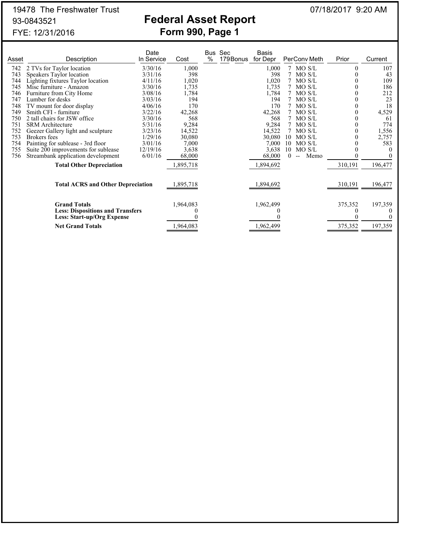# 19478 The Freshwater Trust 07/18/2017 9:20 AM

## 93-0843521 **Federal Asset Report** FYE: 12/31/2016 **Form 990, Page 1**

| Asset | Description                                                    | Date<br>In Service | Cost      | % | Bus Sec<br>179 Bonus | Basis<br>for Depr | PerConv Meth                | Prior   | Current |
|-------|----------------------------------------------------------------|--------------------|-----------|---|----------------------|-------------------|-----------------------------|---------|---------|
| 742   | 2 TVs for Taylor location                                      | 3/30/16            | 1,000     |   |                      | 1,000             | 7 MO S/L                    |         | 107     |
| 743   | Speakers Taylor location                                       | 3/31/16            | 398       |   |                      | 398               | MO S/L                      |         | 43      |
| 744   | Lighting fixtures Taylor location                              | 4/11/16            | 1,020     |   |                      | 1,020             | MO S/L                      |         | 109     |
| 745   | Misc furniture - Amazon                                        | 3/30/16            | 1,735     |   |                      | 1,735             | MO S/L                      |         | 186     |
| 746   | Furniture from City Home                                       | 3/08/16            | 1,784     |   |                      | 1,784             | MO S/L                      |         | 212     |
| 747   | Lumber for desks                                               | 3/03/16            | 194       |   |                      | 194               | MO S/L                      |         | 23      |
| 748   | TV mount for door display                                      | 4/06/16            | 170       |   |                      | 170               | MO S/L                      |         | 18      |
| 749   | Smith CFI - furniture                                          | 3/22/16            | 42,268    |   |                      | 42,268            | MO S/L                      |         | 4,529   |
| 750   | 2 tall chairs for JSW office                                   | 3/30/16            | 568       |   |                      | 568               | MO S/L                      |         | 61      |
| 751   | <b>SRM</b> Architecture                                        | 5/31/16            | 9,284     |   |                      | 9,284             | MO S/L                      |         | 774     |
| 752   | Geezer Gallery light and sculpture                             | 3/23/16            | 14,522    |   |                      | 14,522            | MO S/L                      |         | 1,556   |
| 753   | Brokers fees                                                   | 1/29/16            | 30,080    |   |                      | 30,080            | MO S/L<br>10                |         | 2,757   |
| 754   | Painting for sublease - 3rd floor                              | 3/01/16            | 7,000     |   |                      | 7,000             | MO S/L<br>10                |         | 583     |
| 755   | Suite 200 improvements for sublease                            | 12/19/16           | 3,638     |   |                      | 3,638             | 10<br>MO S/L                |         |         |
| 756   | Streambank application development                             | 6/01/16            | 68,000    |   |                      | 68,000            | 0<br>Memo<br>$\overline{a}$ |         |         |
|       | <b>Total Other Depreciation</b>                                |                    | ,895,718  |   |                      | 1,894,692         |                             | 310,191 | 196,477 |
|       | <b>Total ACRS and Other Depreciation</b>                       |                    | ,895,718  |   |                      | ,894,692          |                             | 310,191 | 196,477 |
|       | <b>Grand Totals</b><br><b>Less: Dispositions and Transfers</b> |                    | 1,964,083 |   |                      | 1,962,499         |                             | 375,352 | 197,359 |
|       | Less: Start-up/Org Expense                                     |                    |           |   |                      |                   |                             |         |         |
|       | <b>Net Grand Totals</b>                                        |                    | 1,964,083 |   |                      | ,962,499          |                             | 375,352 | 197,359 |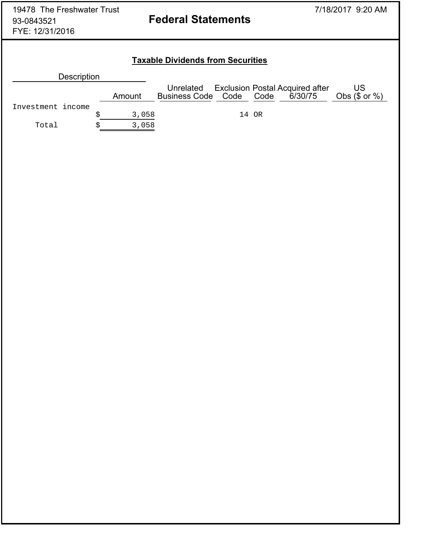### **Taxable Dividends from Securities**

| <b>Description</b> |        |                         |       |                                                      |                          |
|--------------------|--------|-------------------------|-------|------------------------------------------------------|--------------------------|
|                    | Amount | Business Code Code Code |       | Unrelated Exclusion Postal Acquired after<br>6/30/75 | US<br>Obs $(\$$ or $%$ ) |
| Investment income  |        |                         |       |                                                      |                          |
|                    | 3,058  |                         | 14 OR |                                                      |                          |
| Total              | 3,058  |                         |       |                                                      |                          |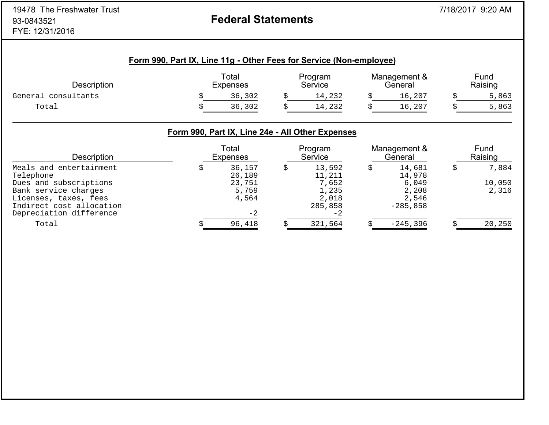# **Federal Statements**

|  |  | Form 990, Part IX, Line 11g - Other Fees for Service (Non-employee) |  |
|--|--|---------------------------------------------------------------------|--|
|  |  |                                                                     |  |

| <b>Description</b>     | Total<br><b>Expenses</b> | Program<br>Service | Management &<br>General | Fund<br>Raising |
|------------------------|--------------------------|--------------------|-------------------------|-----------------|
| consultants<br>General | 36,302                   | 14,232             | ⊥6,207                  | 5,863           |
| Total                  | 36,302                   | 14,232             | ⊥6,207                  | 5,863           |

### **Form 990, Part IX, Line 24e - All Other Expenses**

| <b>Description</b>       | Total<br><b>Expenses</b> | Program<br>Service | Management &<br>General | Fund<br>Raising |
|--------------------------|--------------------------|--------------------|-------------------------|-----------------|
| Meals and entertainment  | 36,157                   | 13,592             | 14,681                  | 7,884           |
| Telephone                | 26,189                   | 11,211             | 14,978                  |                 |
| Dues and subscriptions   | 23,751                   | 7,652              | 6,049                   | 10,050          |
| Bank service charges     | 5,759                    | 1,235              | 2,208                   | 2,316           |
| Licenses, taxes, fees    | 4,564                    | 2,018              | 2,546                   |                 |
| Indirect cost allocation |                          | 285,858            | $-285.858$              |                 |
| Depreciation difference  | $-2$                     | -2                 |                         |                 |
| Total                    | 96,418                   | 321,564            | $-245,396$              | 20,250          |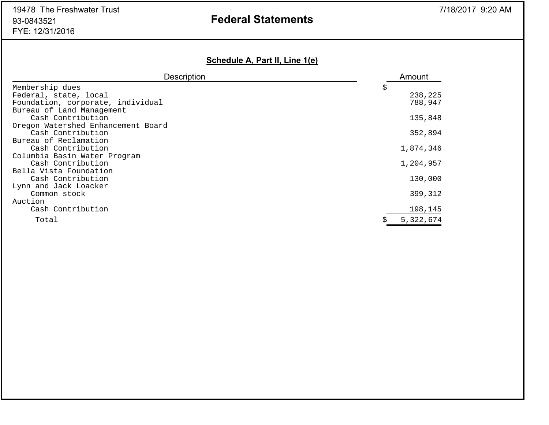# **Federal Statements**

### **Schedule A, Part II, Line 1(e)**

| <b>Description</b>                 | Amount    |
|------------------------------------|-----------|
| Membership dues                    | Ş         |
| Federal, state, local              | 238,225   |
| Foundation, corporate, individual  | 788,947   |
| Bureau of Land Management          |           |
| Cash Contribution                  | 135,848   |
| Oregon Watershed Enhancement Board |           |
| Cash Contribution                  | 352,894   |
| Bureau of Reclamation              |           |
| Cash Contribution                  | 1,874,346 |
| Columbia Basin Water Program       |           |
| Cash Contribution                  | 1,204,957 |
| Bella Vista Foundation             |           |
| Cash Contribution                  | 130,000   |
| Lynn and Jack Loacker              |           |
| Common stock                       | 399,312   |
| Auction                            |           |
| Cash Contribution                  | 198,145   |
| Total                              | 5,322,674 |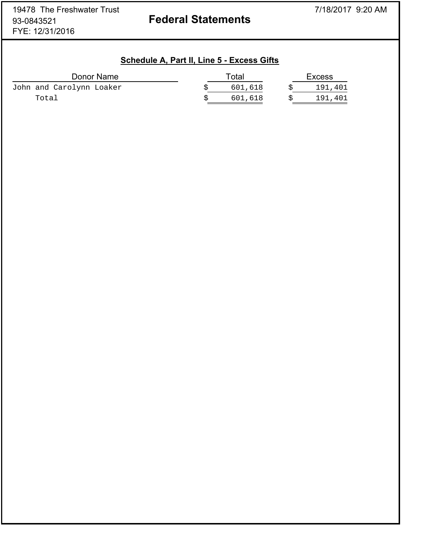|                          | Schedule A, Part II, Line 5 - Excess Gifts |         |               |
|--------------------------|--------------------------------------------|---------|---------------|
| Donor Name               |                                            | Total   | <b>Excess</b> |
| John and Carolynn Loaker |                                            | 601,618 | 191,401       |
| Total                    |                                            | 601,618 | 191,401       |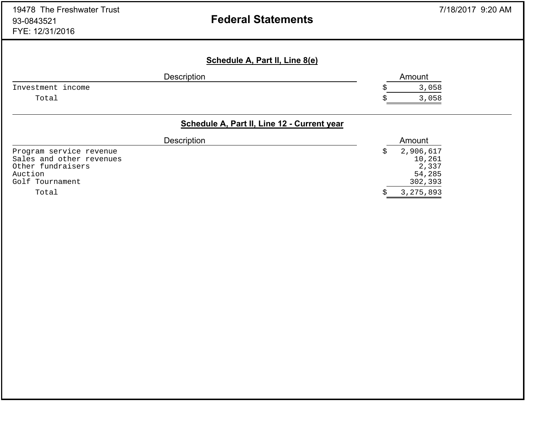# **Federal Statements**

| <b>Description</b> | Amount |
|--------------------|--------|
|                    | 3,058  |
|                    | 3,058  |
|                    |        |

| <b>Description</b>       | Amount      |  |
|--------------------------|-------------|--|
| Program service revenue  | 2,906,617   |  |
| Sales and other revenues | 10,261      |  |
| Other fundraisers        | 2,337       |  |
| Auction                  | 54,285      |  |
| Golf Tournament          | 302,393     |  |
| Total                    | 3, 275, 893 |  |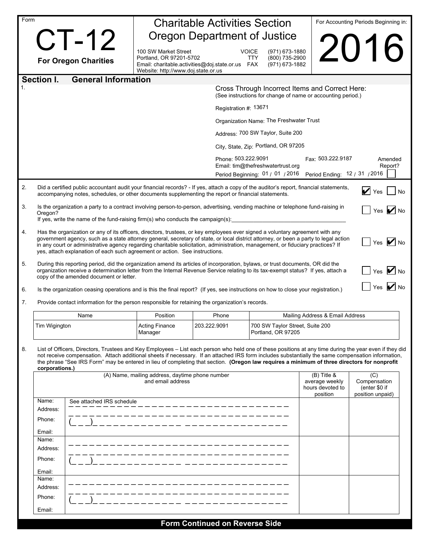| Form |                                                                                                                                                                                                                                                                                                                                                                                                                                                                                 |                                                                                                                    | <b>Charitable Activities Section</b> |                                                                                                                |                                                                 | For Accounting Periods Beginning in:                                |  |
|------|---------------------------------------------------------------------------------------------------------------------------------------------------------------------------------------------------------------------------------------------------------------------------------------------------------------------------------------------------------------------------------------------------------------------------------------------------------------------------------|--------------------------------------------------------------------------------------------------------------------|--------------------------------------|----------------------------------------------------------------------------------------------------------------|-----------------------------------------------------------------|---------------------------------------------------------------------|--|
|      | <b>CT-12</b>                                                                                                                                                                                                                                                                                                                                                                                                                                                                    | <b>Oregon Department of Justice</b>                                                                                |                                      |                                                                                                                |                                                                 |                                                                     |  |
|      |                                                                                                                                                                                                                                                                                                                                                                                                                                                                                 | 100 SW Market Street                                                                                               | <b>VOICE</b>                         | (971) 673-1880                                                                                                 |                                                                 | 2016                                                                |  |
|      | <b>For Oregon Charities</b>                                                                                                                                                                                                                                                                                                                                                                                                                                                     | Portland, OR 97201-5702<br>Email: charitable.activities@doj.state.or.us FAX<br>Website: http://www.doj.state.or.us |                                      | (800) 735-2900<br>TTY<br>(971) 673-1882                                                                        |                                                                 |                                                                     |  |
|      | <b>General Information</b><br>Section I.                                                                                                                                                                                                                                                                                                                                                                                                                                        |                                                                                                                    |                                      |                                                                                                                |                                                                 |                                                                     |  |
|      |                                                                                                                                                                                                                                                                                                                                                                                                                                                                                 |                                                                                                                    |                                      | Cross Through Incorrect Items and Correct Here:<br>(See instructions for change of name or accounting period.) |                                                                 |                                                                     |  |
|      |                                                                                                                                                                                                                                                                                                                                                                                                                                                                                 |                                                                                                                    | Registration #: 13671                |                                                                                                                |                                                                 |                                                                     |  |
|      |                                                                                                                                                                                                                                                                                                                                                                                                                                                                                 |                                                                                                                    |                                      | Organization Name: The Freshwater Trust                                                                        |                                                                 |                                                                     |  |
|      |                                                                                                                                                                                                                                                                                                                                                                                                                                                                                 |                                                                                                                    |                                      | Address: 700 SW Taylor, Suite 200                                                                              |                                                                 |                                                                     |  |
|      |                                                                                                                                                                                                                                                                                                                                                                                                                                                                                 |                                                                                                                    |                                      | City, State, Zip: Portland, OR 97205                                                                           |                                                                 |                                                                     |  |
|      |                                                                                                                                                                                                                                                                                                                                                                                                                                                                                 |                                                                                                                    | Phone: 503.222.9091                  |                                                                                                                | Fax: 503.222.9187                                               | Amended                                                             |  |
|      |                                                                                                                                                                                                                                                                                                                                                                                                                                                                                 |                                                                                                                    |                                      | Email: tim@thefreshwatertrust.org                                                                              |                                                                 | Report?                                                             |  |
|      |                                                                                                                                                                                                                                                                                                                                                                                                                                                                                 |                                                                                                                    |                                      | Period Beginning: 01 / 01 / 2016  Period Ending: 12 / 31 / 2016                                                |                                                                 |                                                                     |  |
| 2.   | Did a certified public accountant audit your financial records? - If yes, attach a copy of the auditor's report, financial statements,<br>accompanying notes, schedules, or other documents supplementing the report or financial statements.                                                                                                                                                                                                                                   |                                                                                                                    |                                      |                                                                                                                |                                                                 | $\triangledown$ Yes $\blacksquare$ No                               |  |
| 3.   | Is the organization a party to a contract involving person-to-person, advertising, vending machine or telephone fund-raising in                                                                                                                                                                                                                                                                                                                                                 |                                                                                                                    |                                      |                                                                                                                |                                                                 | Yes $\blacksquare$ No                                               |  |
|      | Oregon?<br>If yes, write the name of the fund-raising firm(s) who conducts the campaign(s):                                                                                                                                                                                                                                                                                                                                                                                     |                                                                                                                    |                                      |                                                                                                                |                                                                 |                                                                     |  |
| 4.   | Has the organization or any of its officers, directors, trustees, or key employees ever signed a voluntary agreement with any                                                                                                                                                                                                                                                                                                                                                   |                                                                                                                    |                                      |                                                                                                                |                                                                 |                                                                     |  |
|      | government agency, such as a state attorney general, secretary of state, or local district attorney, or been a party to legal action<br>$\vert$ Yes $\vert$ No<br>in any court or administrative agency regarding charitable solicitation, administration, management, or fiduciary practices? If<br>yes, attach explanation of each such agreement or action. See instructions.                                                                                                |                                                                                                                    |                                      |                                                                                                                |                                                                 |                                                                     |  |
| 5.   | During this reporting period, did the organization amend its articles of incorporation, bylaws, or trust documents, OR did the<br>organization receive a determination letter from the Internal Revenue Service relating to its tax-exempt status? If yes, attach a<br>copy of the amended document or letter.                                                                                                                                                                  |                                                                                                                    |                                      |                                                                                                                |                                                                 | $\sqrt{}$ Yes $\sqrt{}$ No                                          |  |
| 6.   | Is the organization ceasing operations and is this the final report? (If yes, see instructions on how to close your registration.)                                                                                                                                                                                                                                                                                                                                              |                                                                                                                    |                                      |                                                                                                                |                                                                 | Yes $ $ No                                                          |  |
| 7.   | Provide contact information for the person responsible for retaining the organization's records.                                                                                                                                                                                                                                                                                                                                                                                |                                                                                                                    |                                      |                                                                                                                |                                                                 |                                                                     |  |
|      | Name                                                                                                                                                                                                                                                                                                                                                                                                                                                                            | Position                                                                                                           | Phone                                |                                                                                                                | Mailing Address & Email Address                                 |                                                                     |  |
|      | Tim Wigington                                                                                                                                                                                                                                                                                                                                                                                                                                                                   | <b>Acting Finance</b>                                                                                              | 203.222.9091                         | 700 SW Taylor Street, Suite 200                                                                                |                                                                 |                                                                     |  |
|      |                                                                                                                                                                                                                                                                                                                                                                                                                                                                                 | Manager                                                                                                            |                                      | Portland, OR 97205                                                                                             |                                                                 |                                                                     |  |
| 8.   | List of Officers, Directors, Trustees and Key Employees - List each person who held one of these positions at any time during the year even if they did<br>not receive compensation. Attach additional sheets if necessary. If an attached IRS form includes substantially the same compensation information,<br>the phrase "See IRS Form" may be entered in lieu of completing that section. (Oregon law requires a minimum of three directors for nonprofit<br>corporations.) |                                                                                                                    |                                      |                                                                                                                |                                                                 |                                                                     |  |
|      |                                                                                                                                                                                                                                                                                                                                                                                                                                                                                 | (A) Name, mailing address, daytime phone number<br>and email address                                               |                                      |                                                                                                                | $(B)$ Title &<br>average weekly<br>hours devoted to<br>position | $\overline{C}$<br>Compensation<br>(enter \$0 if<br>position unpaid) |  |
|      | Name:<br>See attached IRS schedule                                                                                                                                                                                                                                                                                                                                                                                                                                              |                                                                                                                    |                                      |                                                                                                                |                                                                 |                                                                     |  |
|      | Address:<br>Phone:                                                                                                                                                                                                                                                                                                                                                                                                                                                              |                                                                                                                    |                                      |                                                                                                                |                                                                 |                                                                     |  |
|      |                                                                                                                                                                                                                                                                                                                                                                                                                                                                                 |                                                                                                                    |                                      |                                                                                                                |                                                                 |                                                                     |  |
|      | Email:<br>Name:                                                                                                                                                                                                                                                                                                                                                                                                                                                                 |                                                                                                                    |                                      |                                                                                                                |                                                                 |                                                                     |  |
|      | Address:                                                                                                                                                                                                                                                                                                                                                                                                                                                                        |                                                                                                                    |                                      |                                                                                                                |                                                                 |                                                                     |  |
|      | Phone:                                                                                                                                                                                                                                                                                                                                                                                                                                                                          |                                                                                                                    |                                      |                                                                                                                |                                                                 |                                                                     |  |
|      | Email:                                                                                                                                                                                                                                                                                                                                                                                                                                                                          |                                                                                                                    |                                      |                                                                                                                |                                                                 |                                                                     |  |
|      | Name:<br>Address:                                                                                                                                                                                                                                                                                                                                                                                                                                                               |                                                                                                                    |                                      |                                                                                                                |                                                                 |                                                                     |  |
|      | Phone:                                                                                                                                                                                                                                                                                                                                                                                                                                                                          |                                                                                                                    |                                      |                                                                                                                |                                                                 |                                                                     |  |
|      | Email:                                                                                                                                                                                                                                                                                                                                                                                                                                                                          |                                                                                                                    |                                      |                                                                                                                |                                                                 |                                                                     |  |
|      |                                                                                                                                                                                                                                                                                                                                                                                                                                                                                 |                                                                                                                    | Earm Cantinuad an Davaras Cida       |                                                                                                                |                                                                 |                                                                     |  |

| <b>Form Continued on Reverse Side</b> |  |  |
|---------------------------------------|--|--|
|---------------------------------------|--|--|